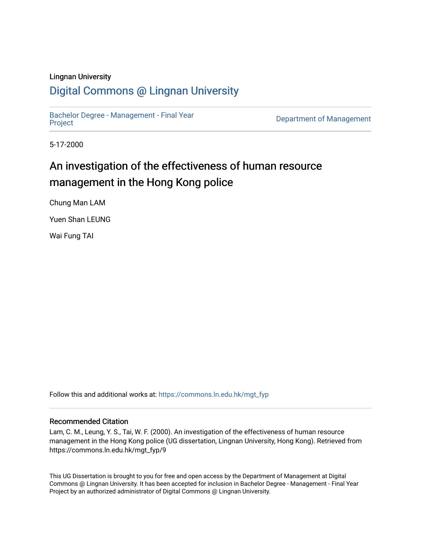#### Lingnan University

## [Digital Commons @ Lingnan University](https://commons.ln.edu.hk/)

[Bachelor Degree - Management - Final Year](https://commons.ln.edu.hk/mgt_fyp)

Department of Management

5-17-2000

## An investigation of the effectiveness of human resource management in the Hong Kong police

Chung Man LAM

Yuen Shan LEUNG

Wai Fung TAI

Follow this and additional works at: [https://commons.ln.edu.hk/mgt\\_fyp](https://commons.ln.edu.hk/mgt_fyp?utm_source=commons.ln.edu.hk%2Fmgt_fyp%2F9&utm_medium=PDF&utm_campaign=PDFCoverPages) 

#### Recommended Citation

Lam, C. M., Leung, Y. S., Tai, W. F. (2000). An investigation of the effectiveness of human resource management in the Hong Kong police (UG dissertation, Lingnan University, Hong Kong). Retrieved from https://commons.ln.edu.hk/mgt\_fyp/9

This UG Dissertation is brought to you for free and open access by the Department of Management at Digital Commons @ Lingnan University. It has been accepted for inclusion in Bachelor Degree - Management - Final Year Project by an authorized administrator of Digital Commons @ Lingnan University.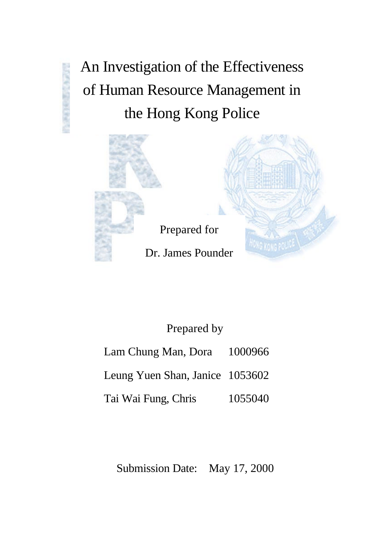An Investigation of the Effectiveness of Human Resource Management in the Hong Kong Police





# Prepared for Dr. James Pounder

## Prepared by

- Lam Chung Man, Dora 1000966
- Leung Yuen Shan, Janice 1053602
- Tai Wai Fung, Chris 1055040

Submission Date: May 17, 2000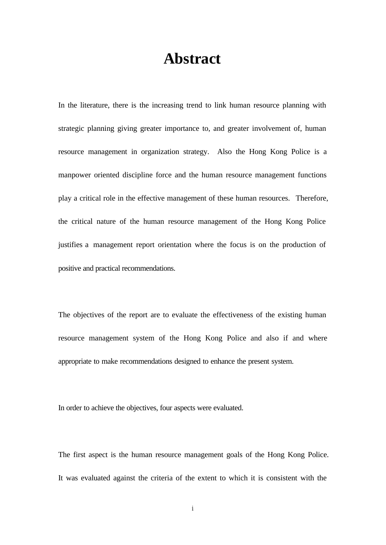## **Abstract**

In the literature, there is the increasing trend to link human resource planning with strategic planning giving greater importance to, and greater involvement of, human resource management in organization strategy. Also the Hong Kong Police is a manpower oriented discipline force and the human resource management functions play a critical role in the effective management of these human resources. Therefore, the critical nature of the human resource management of the Hong Kong Police justifies a management report orientation where the focus is on the production of positive and practical recommendations.

The objectives of the report are to evaluate the effectiveness of the existing human resource management system of the Hong Kong Police and also if and where appropriate to make recommendations designed to enhance the present system.

In order to achieve the objectives, four aspects were evaluated.

The first aspect is the human resource management goals of the Hong Kong Police. It was evaluated against the criteria of the extent to which it is consistent with the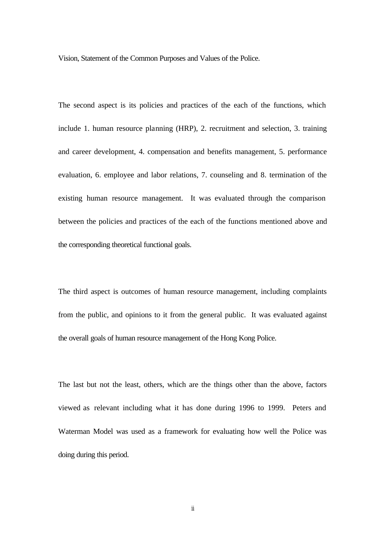Vision, Statement of the Common Purposes and Values of the Police.

The second aspect is its policies and practices of the each of the functions, which include 1. human resource planning (HRP), 2. recruitment and selection, 3. training and career development, 4. compensation and benefits management, 5. performance evaluation, 6. employee and labor relations, 7. counseling and 8. termination of the existing human resource management. It was evaluated through the comparison between the policies and practices of the each of the functions mentioned above and the corresponding theoretical functional goals.

The third aspect is outcomes of human resource management, including complaints from the public, and opinions to it from the general public. It was evaluated against the overall goals of human resource management of the Hong Kong Police.

The last but not the least, others, which are the things other than the above, factors viewed as relevant including what it has done during 1996 to 1999. Peters and Waterman Model was used as a framework for evaluating how well the Police was doing during this period.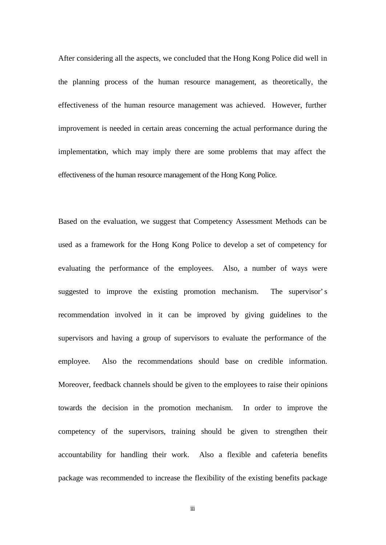After considering all the aspects, we concluded that the Hong Kong Police did well in the planning process of the human resource management, as theoretically, the effectiveness of the human resource management was achieved. However, further improvement is needed in certain areas concerning the actual performance during the implementation, which may imply there are some problems that may affect the effectiveness of the human resource management of the Hong Kong Police.

Based on the evaluation, we suggest that Competency Assessment Methods can be used as a framework for the Hong Kong Police to develop a set of competency for evaluating the performance of the employees. Also, a number of ways were suggested to improve the existing promotion mechanism. The supervisor's recommendation involved in it can be improved by giving guidelines to the supervisors and having a group of supervisors to evaluate the performance of the employee. Also the recommendations should base on credible information. Moreover, feedback channels should be given to the employees to raise their opinions towards the decision in the promotion mechanism. In order to improve the competency of the supervisors, training should be given to strengthen their accountability for handling their work. Also a flexible and cafeteria benefits package was recommended to increase the flexibility of the existing benefits package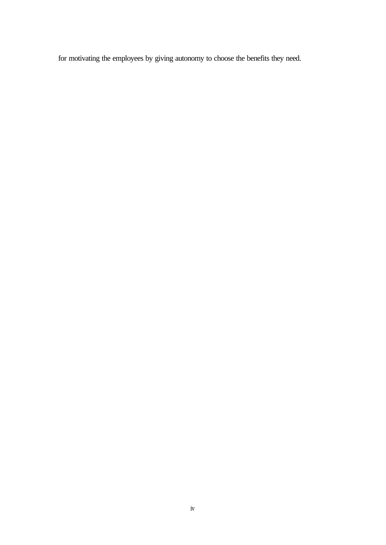for motivating the employees by giving autonomy to choose the benefits they need.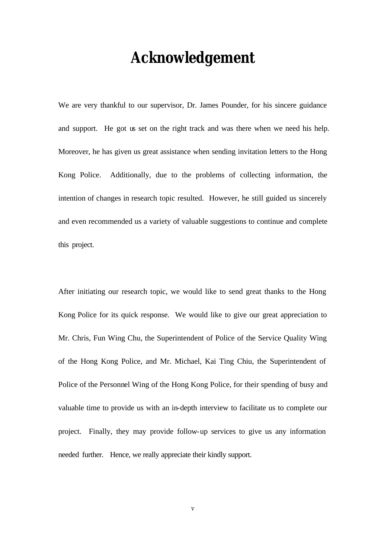# **Acknowledgement**

We are very thankful to our supervisor, Dr. James Pounder, for his sincere guidance and support. He got us set on the right track and was there when we need his help. Moreover, he has given us great assistance when sending invitation letters to the Hong Kong Police. Additionally, due to the problems of collecting information, the intention of changes in research topic resulted. However, he still guided us sincerely and even recommended us a variety of valuable suggestions to continue and complete this project.

After initiating our research topic, we would like to send great thanks to the Hong Kong Police for its quick response. We would like to give our great appreciation to Mr. Chris, Fun Wing Chu, the Superintendent of Police of the Service Quality Wing of the Hong Kong Police, and Mr. Michael, Kai Ting Chiu, the Superintendent of Police of the Personnel Wing of the Hong Kong Police, for their spending of busy and valuable time to provide us with an in-depth interview to facilitate us to complete our project. Finally, they may provide follow-up services to give us any information needed further. Hence, we really appreciate their kindly support.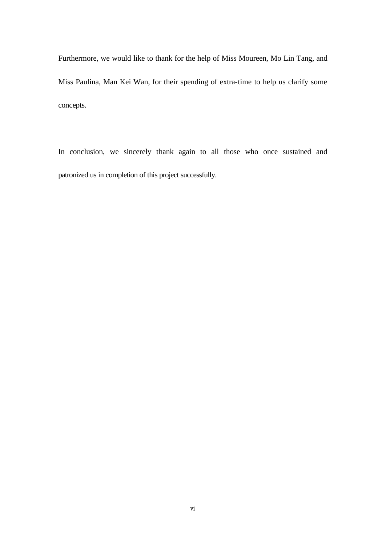Furthermore, we would like to thank for the help of Miss Moureen, Mo Lin Tang, and Miss Paulina, Man Kei Wan, for their spending of extra-time to help us clarify some concepts.

In conclusion, we sincerely thank again to all those who once sustained and patronized us in completion of this project successfully.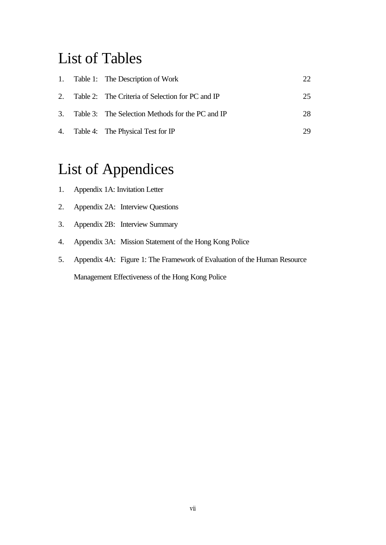# List of Tables

|  | 1. Table 1: The Description of Work                 | 22. |
|--|-----------------------------------------------------|-----|
|  | 2. Table 2: The Criteria of Selection for PC and IP | 25  |
|  | 3. Table 3: The Selection Methods for the PC and IP | 28  |
|  | 4. Table 4: The Physical Test for IP                | 29  |

# List of Appendices

- 1. Appendix 1A: Invitation Letter
- 2. Appendix 2A: Interview Questions
- 3. Appendix 2B: Interview Summary
- 4. Appendix 3A: Mission Statement of the Hong Kong Police
- 5. Appendix 4A: Figure 1: The Framework of Evaluation of the Human Resource Management Effectiveness of the Hong Kong Police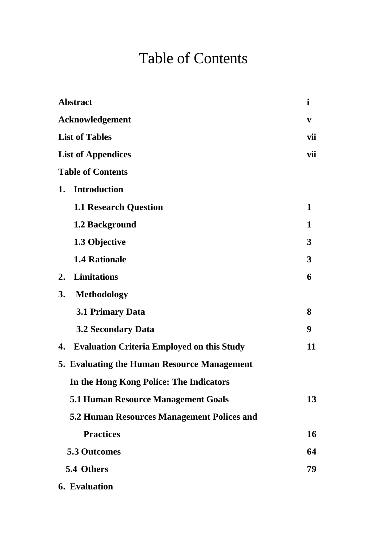# Table of Contents

| <b>Abstract</b>                                         |              |  |
|---------------------------------------------------------|--------------|--|
| <b>Acknowledgement</b>                                  | $\mathbf{v}$ |  |
| <b>List of Tables</b>                                   |              |  |
| <b>List of Appendices</b>                               |              |  |
| <b>Table of Contents</b>                                |              |  |
| <b>Introduction</b><br>1.                               |              |  |
| <b>1.1 Research Question</b>                            | 1            |  |
| 1.2 Background                                          | 1            |  |
| 1.3 Objective                                           | 3            |  |
| <b>1.4 Rationale</b>                                    | 3            |  |
| <b>Limitations</b><br>2.                                | 6            |  |
| 3.<br><b>Methodology</b>                                |              |  |
| <b>3.1 Primary Data</b>                                 | 8            |  |
| <b>3.2 Secondary Data</b>                               | 9            |  |
| <b>Evaluation Criteria Employed on this Study</b><br>4. | 11           |  |
| 5. Evaluating the Human Resource Management             |              |  |
| In the Hong Kong Police: The Indicators                 |              |  |
| <b>5.1 Human Resource Management Goals</b>              | 13           |  |
| <b>5.2 Human Resources Management Polices and</b>       |              |  |
| <b>Practices</b>                                        | 16           |  |
| <b>5.3 Outcomes</b>                                     |              |  |
| 5.4 Others                                              |              |  |
| <b>6.</b> Evaluation                                    |              |  |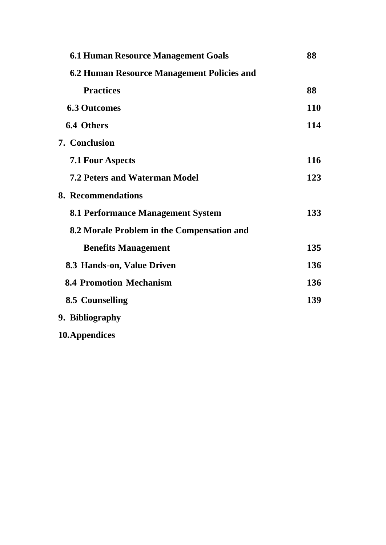| <b>6.1 Human Resource Management Goals</b> | 88         |
|--------------------------------------------|------------|
| 6.2 Human Resource Management Policies and |            |
| <b>Practices</b>                           | 88         |
| <b>6.3 Outcomes</b>                        | <b>110</b> |
| 6.4 Others                                 | 114        |
| <b>7. Conclusion</b>                       |            |
| <b>7.1 Four Aspects</b>                    | 116        |
| <b>7.2 Peters and Waterman Model</b>       | 123        |
| 8. Recommendations                         |            |
| <b>8.1 Performance Management System</b>   | 133        |
| 8.2 Morale Problem in the Compensation and |            |
| <b>Benefits Management</b>                 | 135        |
| 8.3 Hands-on, Value Driven                 | 136        |
| <b>8.4 Promotion Mechanism</b>             | 136        |
| 8.5 Counselling                            | 139        |
| 9. Bibliography                            |            |
| 10. Appendices                             |            |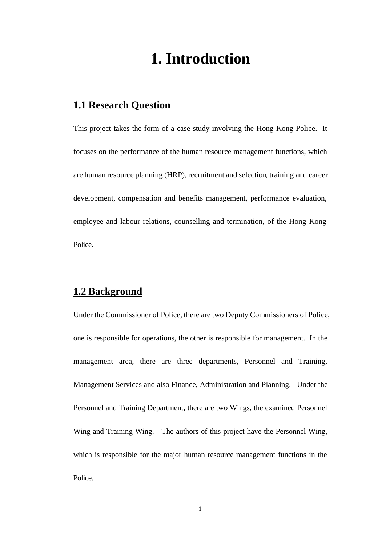# **1. Introduction**

## **1.1 Research Question**

This project takes the form of a case study involving the Hong Kong Police. It focuses on the performance of the human resource management functions, which are human resource planning (HRP), recruitment and selection, training and career development, compensation and benefits management, performance evaluation, employee and labour relations, counselling and termination, of the Hong Kong Police.

## **1.2 Background**

Under the Commissioner of Police, there are two Deputy Commissioners of Police, one is responsible for operations, the other is responsible for management. In the management area, there are three departments, Personnel and Training, Management Services and also Finance, Administration and Planning. Under the Personnel and Training Department, there are two Wings, the examined Personnel Wing and Training Wing. The authors of this project have the Personnel Wing, which is responsible for the major human resource management functions in the Police.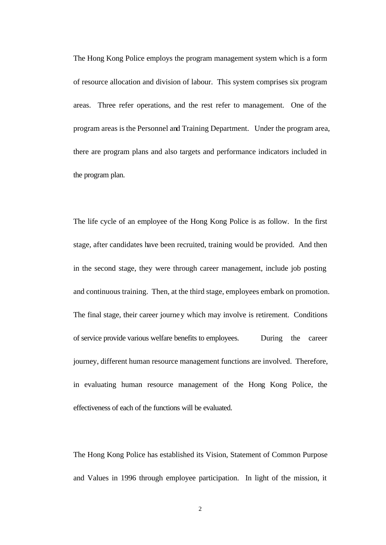The Hong Kong Police employs the program management system which is a form of resource allocation and division of labour. This system comprises six program areas. Three refer operations, and the rest refer to management. One of the program areas is the Personnel and Training Department. Under the program area, there are program plans and also targets and performance indicators included in the program plan.

The life cycle of an employee of the Hong Kong Police is as follow. In the first stage, after candidates have been recruited, training would be provided. And then in the second stage, they were through career management, include job posting and continuous training. Then, at the third stage, employees embark on promotion. The final stage, their career journey which may involve is retirement. Conditions of service provide various welfare benefits to employees. During the career journey, different human resource management functions are involved. Therefore, in evaluating human resource management of the Hong Kong Police, the effectiveness of each of the functions will be evaluated.

The Hong Kong Police has established its Vision, Statement of Common Purpose and Values in 1996 through employee participation. In light of the mission, it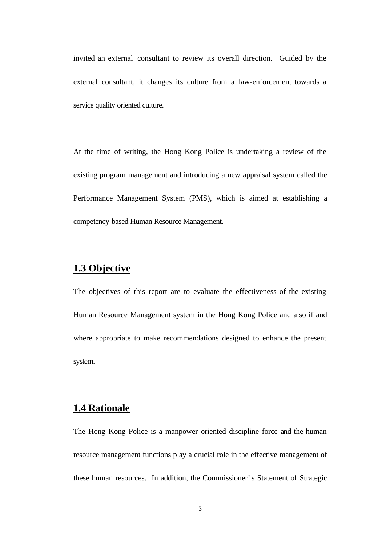invited an external consultant to review its overall direction. Guided by the external consultant, it changes its culture from a law-enforcement towards a service quality oriented culture.

At the time of writing, the Hong Kong Police is undertaking a review of the existing program management and introducing a new appraisal system called the Performance Management System (PMS), which is aimed at establishing a competency-based Human Resource Management.

## **1.3 Objective**

The objectives of this report are to evaluate the effectiveness of the existing Human Resource Management system in the Hong Kong Police and also if and where appropriate to make recommendations designed to enhance the present system.

## **1.4 Rationale**

The Hong Kong Police is a manpower oriented discipline force and the human resource management functions play a crucial role in the effective management of these human resources. In addition, the Commissioner's Statement of Strategic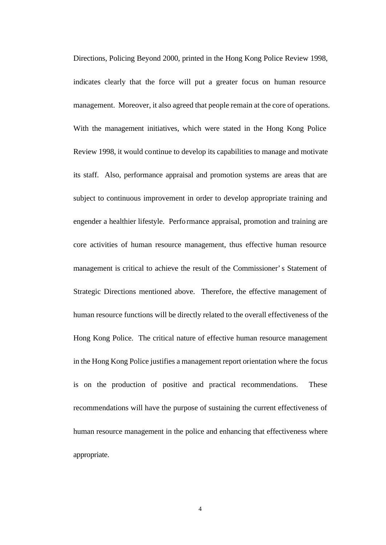Directions, Policing Beyond 2000, printed in the Hong Kong Police Review 1998, indicates clearly that the force will put a greater focus on human resource management. Moreover, it also agreed that people remain at the core of operations. With the management initiatives, which were stated in the Hong Kong Police Review 1998, it would continue to develop its capabilities to manage and motivate its staff. Also, performance appraisal and promotion systems are areas that are subject to continuous improvement in order to develop appropriate training and engender a healthier lifestyle. Performance appraisal, promotion and training are core activities of human resource management, thus effective human resource management is critical to achieve the result of the Commissioner's Statement of Strategic Directions mentioned above. Therefore, the effective management of human resource functions will be directly related to the overall effectiveness of the Hong Kong Police. The critical nature of effective human resource management in the Hong Kong Police justifies a management report orientation where the focus is on the production of positive and practical recommendations. These recommendations will have the purpose of sustaining the current effectiveness of human resource management in the police and enhancing that effectiveness where appropriate.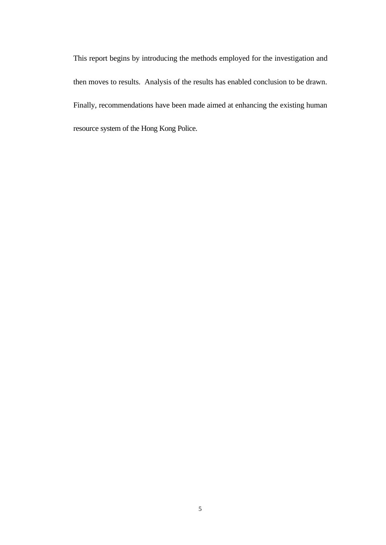This report begins by introducing the methods employed for the investigation and then moves to results. Analysis of the results has enabled conclusion to be drawn. Finally, recommendations have been made aimed at enhancing the existing human resource system of the Hong Kong Police.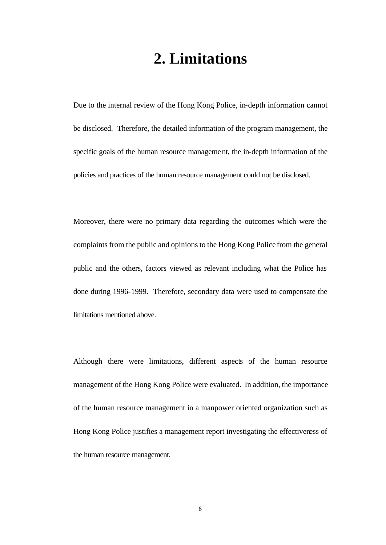# **2. Limitations**

Due to the internal review of the Hong Kong Police, in-depth information cannot be disclosed. Therefore, the detailed information of the program management, the specific goals of the human resource management, the in-depth information of the policies and practices of the human resource management could not be disclosed.

Moreover, there were no primary data regarding the outcomes which were the complaints from the public and opinions to the Hong Kong Police from the general public and the others, factors viewed as relevant including what the Police has done during 1996-1999. Therefore, secondary data were used to compensate the limitations mentioned above.

Although there were limitations, different aspects of the human resource management of the Hong Kong Police were evaluated. In addition, the importance of the human resource management in a manpower oriented organization such as Hong Kong Police justifies a management report investigating the effectiveness of the human resource management.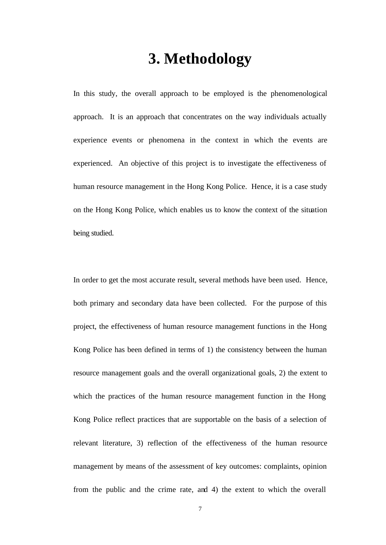# **3. Methodology**

In this study, the overall approach to be employed is the phenomenological approach. It is an approach that concentrates on the way individuals actually experience events or phenomena in the context in which the events are experienced. An objective of this project is to investigate the effectiveness of human resource management in the Hong Kong Police. Hence, it is a case study on the Hong Kong Police, which enables us to know the context of the situation being studied.

In order to get the most accurate result, several methods have been used. Hence, both primary and secondary data have been collected. For the purpose of this project, the effectiveness of human resource management functions in the Hong Kong Police has been defined in terms of 1) the consistency between the human resource management goals and the overall organizational goals, 2) the extent to which the practices of the human resource management function in the Hong Kong Police reflect practices that are supportable on the basis of a selection of relevant literature, 3) reflection of the effectiveness of the human resource management by means of the assessment of key outcomes: complaints, opinion from the public and the crime rate, and 4) the extent to which the overall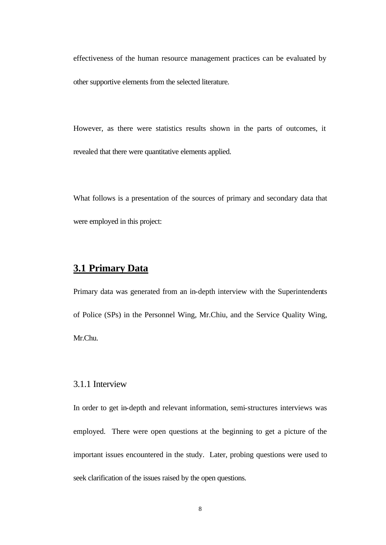effectiveness of the human resource management practices can be evaluated by other supportive elements from the selected literature.

However, as there were statistics results shown in the parts of outcomes, it revealed that there were quantitative elements applied.

What follows is a presentation of the sources of primary and secondary data that were employed in this project:

## **3.1 Primary Data**

Primary data was generated from an in-depth interview with the Superintendents of Police (SPs) in the Personnel Wing, Mr.Chiu, and the Service Quality Wing, Mr.Chu.

### 3.1.1 Interview

In order to get in-depth and relevant information, semi-structures interviews was employed. There were open questions at the beginning to get a picture of the important issues encountered in the study. Later, probing questions were used to seek clarification of the issues raised by the open questions.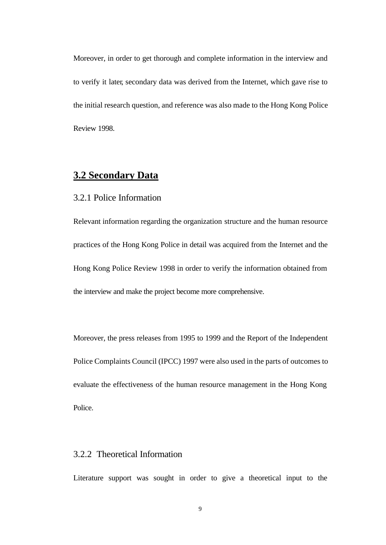Moreover, in order to get thorough and complete information in the interview and to verify it later, secondary data was derived from the Internet, which gave rise to the initial research question, and reference was also made to the Hong Kong Police Review 1998.

## **3.2 Secondary Data**

### 3.2.1 Police Information

Relevant information regarding the organization structure and the human resource practices of the Hong Kong Police in detail was acquired from the Internet and the Hong Kong Police Review 1998 in order to verify the information obtained from the interview and make the project become more comprehensive.

Moreover, the press releases from 1995 to 1999 and the Report of the Independent Police Complaints Council (IPCC) 1997 were also used in the parts of outcomes to evaluate the effectiveness of the human resource management in the Hong Kong Police.

## 3.2.2 Theoretical Information

Literature support was sought in order to give a theoretical input to the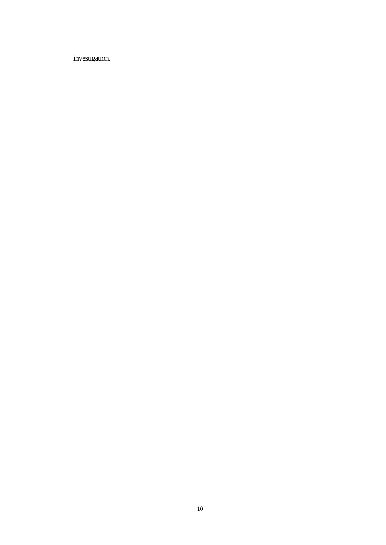investigation.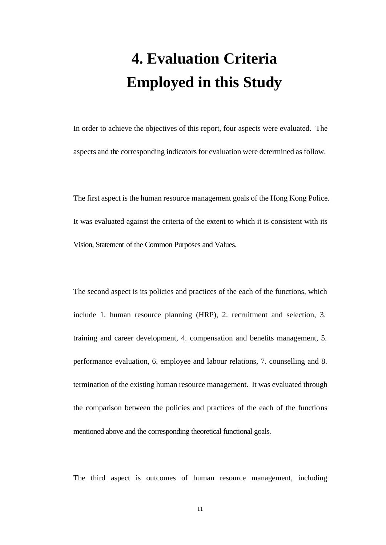# **4. Evaluation Criteria Employed in this Study**

In order to achieve the objectives of this report, four aspects were evaluated. The aspects and the corresponding indicators for evaluation were determined as follow.

The first aspect is the human resource management goals of the Hong Kong Police. It was evaluated against the criteria of the extent to which it is consistent with its Vision, Statement of the Common Purposes and Values.

The second aspect is its policies and practices of the each of the functions, which include 1. human resource planning (HRP), 2. recruitment and selection, 3. training and career development, 4. compensation and benefits management, 5. performance evaluation, 6. employee and labour relations, 7. counselling and 8. termination of the existing human resource management. It was evaluated through the comparison between the policies and practices of the each of the functions mentioned above and the corresponding theoretical functional goals.

The third aspect is outcomes of human resource management, including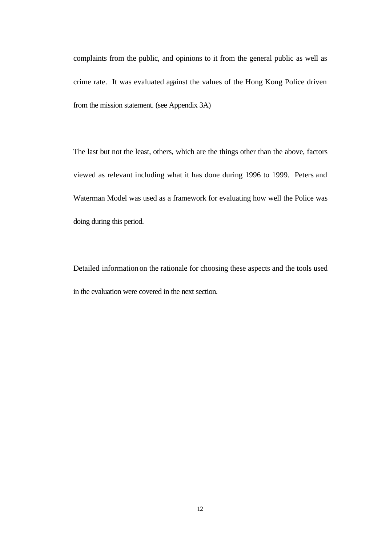complaints from the public, and opinions to it from the general public as well as crime rate. It was evaluated against the values of the Hong Kong Police driven from the mission statement. (see Appendix 3A)

The last but not the least, others, which are the things other than the above, factors viewed as relevant including what it has done during 1996 to 1999. Peters and Waterman Model was used as a framework for evaluating how well the Police was doing during this period.

Detailed information on the rationale for choosing these aspects and the tools used in the evaluation were covered in the next section.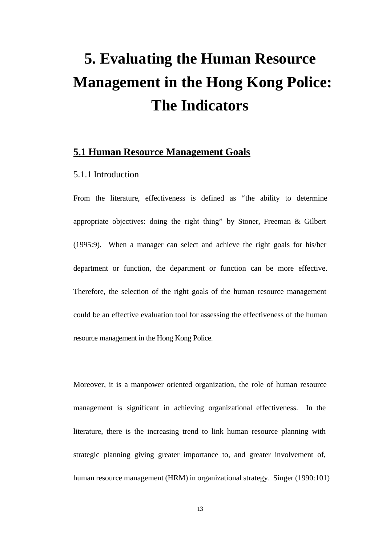# **5. Evaluating the Human Resource Management in the Hong Kong Police: The Indicators**

## **5.1 Human Resource Management Goals**

### 5.1.1 Introduction

From the literature, effectiveness is defined as "the ability to determine appropriate objectives: doing the right thing" by Stoner, Freeman & Gilbert (1995:9). When a manager can select and achieve the right goals for his/her department or function, the department or function can be more effective. Therefore, the selection of the right goals of the human resource management could be an effective evaluation tool for assessing the effectiveness of the human resource management in the Hong Kong Police.

Moreover, it is a manpower oriented organization, the role of human resource management is significant in achieving organizational effectiveness. In the literature, there is the increasing trend to link human resource planning with strategic planning giving greater importance to, and greater involvement of, human resource management (HRM) in organizational strategy. Singer (1990:101)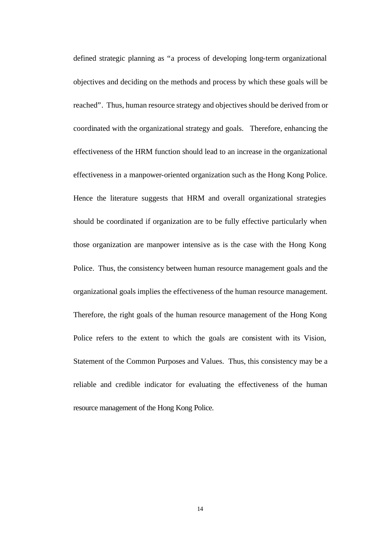defined strategic planning as "a process of developing long-term organizational objectives and deciding on the methods and process by which these goals will be reached". Thus, human resource strategy and objectives should be derived from or coordinated with the organizational strategy and goals. Therefore, enhancing the effectiveness of the HRM function should lead to an increase in the organizational effectiveness in a manpower-oriented organization such as the Hong Kong Police. Hence the literature suggests that HRM and overall organizational strategies should be coordinated if organization are to be fully effective particularly when those organization are manpower intensive as is the case with the Hong Kong Police. Thus, the consistency between human resource management goals and the organizational goals implies the effectiveness of the human resource management. Therefore, the right goals of the human resource management of the Hong Kong Police refers to the extent to which the goals are consistent with its Vision, Statement of the Common Purposes and Values. Thus, this consistency may be a reliable and credible indicator for evaluating the effectiveness of the human resource management of the Hong Kong Police.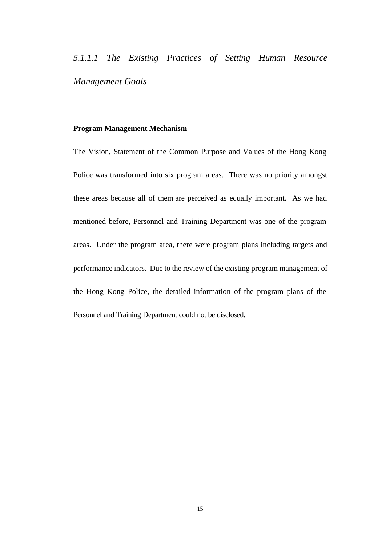*5.1.1.1 The Existing Practices of Setting Human Resource Management Goals*

### **Program Management Mechanism**

The Vision, Statement of the Common Purpose and Values of the Hong Kong Police was transformed into six program areas. There was no priority amongst these areas because all of them are perceived as equally important. As we had mentioned before, Personnel and Training Department was one of the program areas. Under the program area, there were program plans including targets and performance indicators. Due to the review of the existing program management of the Hong Kong Police, the detailed information of the program plans of the Personnel and Training Department could not be disclosed.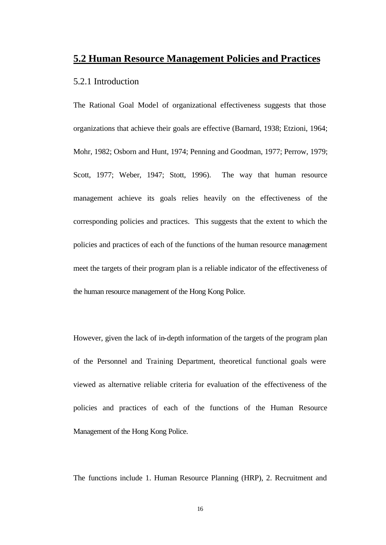## **5.2 Human Resource Management Policies and Practices**

### 5.2.1 Introduction

The Rational Goal Model of organizational effectiveness suggests that those organizations that achieve their goals are effective (Barnard, 1938; Etzioni, 1964; Mohr, 1982; Osborn and Hunt, 1974; Penning and Goodman, 1977; Perrow, 1979; Scott, 1977; Weber, 1947; Stott, 1996). The way that human resource management achieve its goals relies heavily on the effectiveness of the corresponding policies and practices. This suggests that the extent to which the policies and practices of each of the functions of the human resource management meet the targets of their program plan is a reliable indicator of the effectiveness of the human resource management of the Hong Kong Police.

However, given the lack of in-depth information of the targets of the program plan of the Personnel and Training Department, theoretical functional goals were viewed as alternative reliable criteria for evaluation of the effectiveness of the policies and practices of each of the functions of the Human Resource Management of the Hong Kong Police.

The functions include 1. Human Resource Planning (HRP), 2. Recruitment and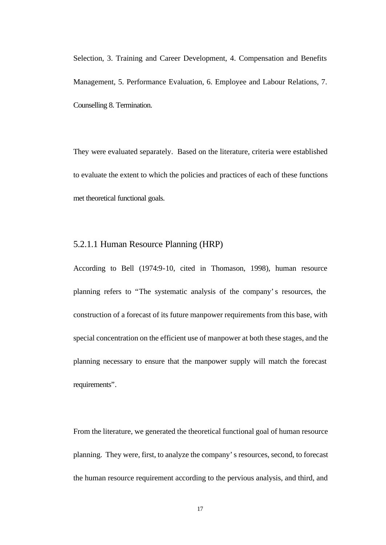Selection, 3. Training and Career Development, 4. Compensation and Benefits Management, 5. Performance Evaluation, 6. Employee and Labour Relations, 7. Counselling 8. Termination.

They were evaluated separately. Based on the literature, criteria were established to evaluate the extent to which the policies and practices of each of these functions met theoretical functional goals.

## 5.2.1.1 Human Resource Planning (HRP)

According to Bell (1974:9-10, cited in Thomason, 1998), human resource planning refers to "The systematic analysis of the company's resources, the construction of a forecast of its future manpower requirements from this base, with special concentration on the efficient use of manpower at both these stages, and the planning necessary to ensure that the manpower supply will match the forecast requirements".

From the literature, we generated the theoretical functional goal of human resource planning. They were, first, to analyze the company's resources, second, to forecast the human resource requirement according to the pervious analysis, and third, and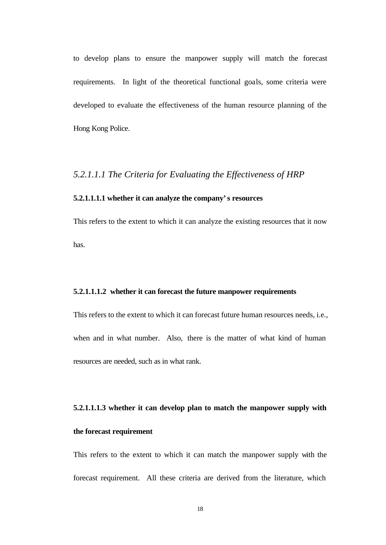to develop plans to ensure the manpower supply will match the forecast requirements. In light of the theoretical functional goals, some criteria were developed to evaluate the effectiveness of the human resource planning of the Hong Kong Police.

### *5.2.1.1.1 The Criteria for Evaluating the Effectiveness of HRP*

### **5.2.1.1.1.1 whether it can analyze the company's resources**

This refers to the extent to which it can analyze the existing resources that it now has.

#### **5.2.1.1.1.2 whether it can forecast the future manpower requirements**

This refers to the extent to which it can forecast future human resources needs, i.e., when and in what number. Also, there is the matter of what kind of human resources are needed, such as in what rank.

# **5.2.1.1.1.3 whether it can develop plan to match the manpower supply with the forecast requirement**

This refers to the extent to which it can match the manpower supply with the forecast requirement. All these criteria are derived from the literature, which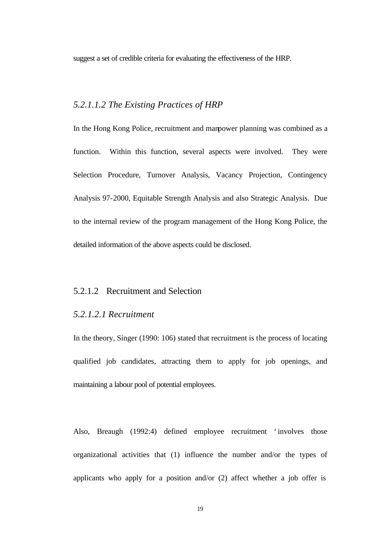suggest a set of credible criteria for evaluating the effectiveness of the HRP.

## *5.2.1.1.2 The Existing Practices of HRP*

In the Hong Kong Police, recruitment and manpower planning was combined as a function. Within this function, several aspects were involved. They were Selection Procedure, Turnover Analysis, Vacancy Projection, Contingency Analysis 97-2000, Equitable Strength Analysis and also Strategic Analysis. Due to the internal review of the program management of the Hong Kong Police, the detailed information of the above aspects could be disclosed.

### 5.2.1.2 Recruitment and Selection

### *5.2.1.2.1 Recruitment*

In the theory, Singer (1990: 106) stated that recruitment is the process of locating qualified job candidates, attracting them to apply for job openings, and maintaining a labour pool of potential employees.

Also, Breaugh (1992:4) defined employee recruitment 'involves those organizational activities that (1) influence the number and/or the types of applicants who apply for a position and/or (2) affect whether a job offer is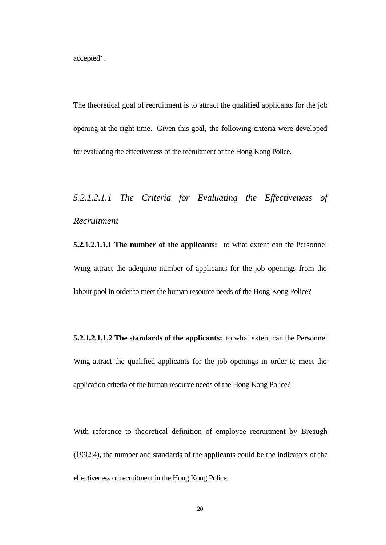accepted'.

The theoretical goal of recruitment is to attract the qualified applicants for the job opening at the right time. Given this goal, the following criteria were developed for evaluating the effectiveness of the recruitment of the Hong Kong Police.

# *5.2.1.2.1.1 The Criteria for Evaluating the Effectiveness of Recruitment*

**5.2.1.2.1.1.1 The number of the applicants:** to what extent can the Personnel Wing attract the adequate number of applicants for the job openings from the labour pool in order to meet the human resource needs of the Hong Kong Police?

**5.2.1.2.1.1.2 The standards of the applicants:** to what extent can the Personnel Wing attract the qualified applicants for the job openings in order to meet the application criteria of the human resource needs of the Hong Kong Police?

With reference to theoretical definition of employee recruitment by Breaugh (1992:4), the number and standards of the applicants could be the indicators of the effectiveness of recruitment in the Hong Kong Police.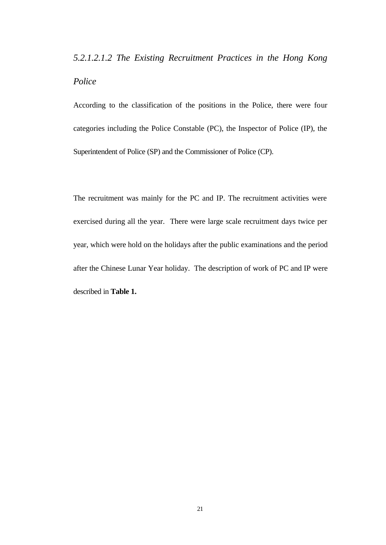# *5.2.1.2.1.2 The Existing Recruitment Practices in the Hong Kong Police*

According to the classification of the positions in the Police, there were four categories including the Police Constable (PC), the Inspector of Police (IP), the Superintendent of Police (SP) and the Commissioner of Police (CP).

The recruitment was mainly for the PC and IP. The recruitment activities were exercised during all the year. There were large scale recruitment days twice per year, which were hold on the holidays after the public examinations and the period after the Chinese Lunar Year holiday. The description of work of PC and IP were described in **Table 1.**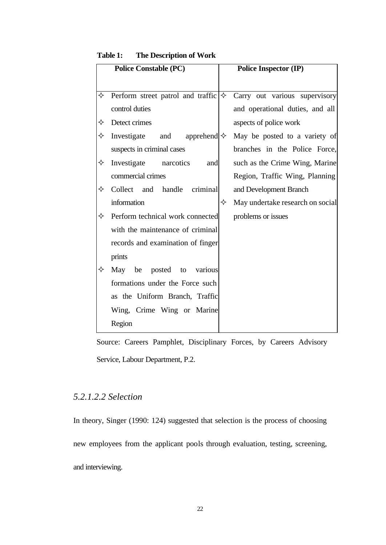| <b>Police Constable (PC)</b> |                                                    |   | <b>Police Inspector (IP)</b>     |  |
|------------------------------|----------------------------------------------------|---|----------------------------------|--|
|                              |                                                    |   |                                  |  |
| ✧                            | Perform street patrol and traffic $\ket{\diamond}$ |   | Carry out various supervisory    |  |
|                              | control duties                                     |   | and operational duties, and all  |  |
| ✧                            | Detect crimes                                      |   | aspects of police work           |  |
| ✧                            | Investigate and apprehend $\diamond$               |   | May be posted to a variety of    |  |
|                              | suspects in criminal cases                         |   | branches in the Police Force,    |  |
| ✧                            | Investigate narcotics<br>and                       |   | such as the Crime Wing, Marine   |  |
|                              | commercial crimes                                  |   | Region, Traffic Wing, Planning   |  |
| ✧                            | Collect and handle criminal                        |   | and Development Branch           |  |
|                              | information                                        | ✧ | May undertake research on social |  |
| ✧                            | Perform technical work connected                   |   | problems or issues               |  |
|                              | with the maintenance of criminal                   |   |                                  |  |
|                              | records and examination of finger                  |   |                                  |  |
|                              | prints                                             |   |                                  |  |
| ✧                            | be<br>posted to various<br>May                     |   |                                  |  |
|                              | formations under the Force such                    |   |                                  |  |
|                              | as the Uniform Branch, Traffic                     |   |                                  |  |
|                              | Wing, Crime Wing or Marine                         |   |                                  |  |
|                              | Region                                             |   |                                  |  |

 **Table 1: The Description of Work**

Source: Careers Pamphlet, Disciplinary Forces, by Careers Advisory Service, Labour Department, P.2.

## *5.2.1.2.2 Selection*

In theory, Singer (1990: 124) suggested that selection is the process of choosing new employees from the applicant pools through evaluation, testing, screening, and interviewing.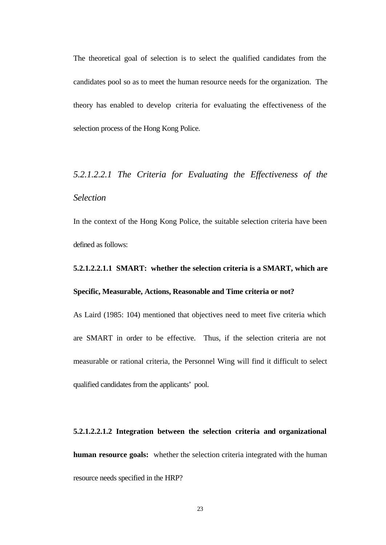The theoretical goal of selection is to select the qualified candidates from the candidates pool so as to meet the human resource needs for the organization. The theory has enabled to develop criteria for evaluating the effectiveness of the selection process of the Hong Kong Police.

# *5.2.1.2.2.1 The Criteria for Evaluating the Effectiveness of the Selection*

In the context of the Hong Kong Police, the suitable selection criteria have been defined as follows:

# **5.2.1.2.2.1.1 SMART: whether the selection criteria is a SMART, which are Specific, Measurable, Actions, Reasonable and Time criteria or not?**

As Laird (1985: 104) mentioned that objectives need to meet five criteria which are SMART in order to be effective. Thus, if the selection criteria are not measurable or rational criteria, the Personnel Wing will find it difficult to select qualified candidates from the applicants' pool.

**5.2.1.2.2.1.2 Integration between the selection criteria and organizational human resource goals:** whether the selection criteria integrated with the human resource needs specified in the HRP?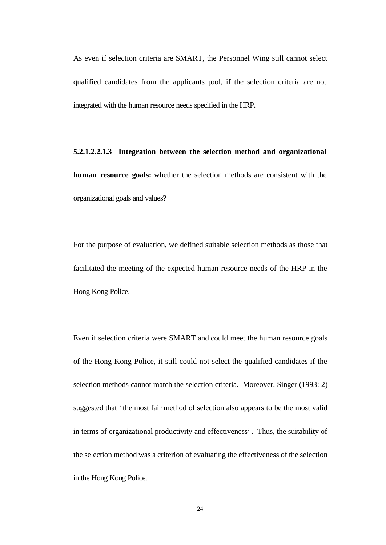As even if selection criteria are SMART, the Personnel Wing still cannot select qualified candidates from the applicants pool, if the selection criteria are not integrated with the human resource needs specified in the HRP.

**5.2.1.2.2.1.3 Integration between the selection method and organizational human resource goals:** whether the selection methods are consistent with the organizational goals and values?

For the purpose of evaluation, we defined suitable selection methods as those that facilitated the meeting of the expected human resource needs of the HRP in the Hong Kong Police.

Even if selection criteria were SMART and could meet the human resource goals of the Hong Kong Police, it still could not select the qualified candidates if the selection methods cannot match the selection criteria. Moreover, Singer (1993: 2) suggested that 'the most fair method of selection also appears to be the most valid in terms of organizational productivity and effectiveness'. Thus, the suitability of the selection method was a criterion of evaluating the effectiveness of the selection in the Hong Kong Police.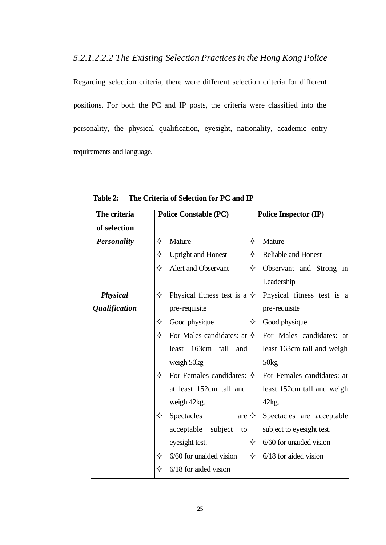*5.2.1.2.2.2 The Existing Selection Practices in the Hong Kong Police*

Regarding selection criteria, there were different selection criteria for different positions. For both the PC and IP posts, the criteria were classified into the personality, the physical qualification, eyesight, nationality, academic entry requirements and language.

| The criteria                | <b>Police Constable (PC)</b>                   | <b>Police Inspector (IP)</b> |  |  |
|-----------------------------|------------------------------------------------|------------------------------|--|--|
| of selection                |                                                |                              |  |  |
| <b>Personality</b>          | ✧<br>Mature                                    | ✧<br>Mature                  |  |  |
|                             | ✧<br><b>Upright and Honest</b>                 | Reliable and Honest<br>✧     |  |  |
|                             | Alert and Observant<br>✧                       | ✧<br>Observant and Strong in |  |  |
|                             |                                                | Leadership                   |  |  |
| <b>Physical</b>             | ✧<br>Physical fitness test is $a \diamondsuit$ | Physical fitness test is a   |  |  |
| <i><b>Qualification</b></i> | pre-requisite                                  | pre-requisite                |  |  |
|                             | Good physique<br>✧                             | Good physique<br>✧           |  |  |
|                             | ✧<br>For Males candidates: at $\diamond$       | For Males candidates: at     |  |  |
|                             | 163cm tall<br>least<br>and                     | least 163cm tall and weigh   |  |  |
|                             | weigh 50kg                                     | 50kg                         |  |  |
|                             | For Females candidates: $ \diamondsuit $<br>✧  | For Females candidates: at   |  |  |
|                             | at least 152cm tall and                        | least 152cm tall and weigh   |  |  |
|                             | weigh 42kg.                                    | 42kg.                        |  |  |
|                             | ✧<br>Spectacles<br>are $\Leftrightarrow$       | Spectacles are acceptable    |  |  |
|                             | acceptable<br>subject<br>to                    | subject to eyesight test.    |  |  |
|                             | eyesight test.                                 | 6/60 for unaided vision<br>✧ |  |  |
|                             | 6/60 for unaided vision<br>✧                   | 6/18 for aided vision<br>✧   |  |  |
|                             | 6/18 for aided vision<br>✧                     |                              |  |  |

**Table 2: The Criteria of Selection for PC and IP**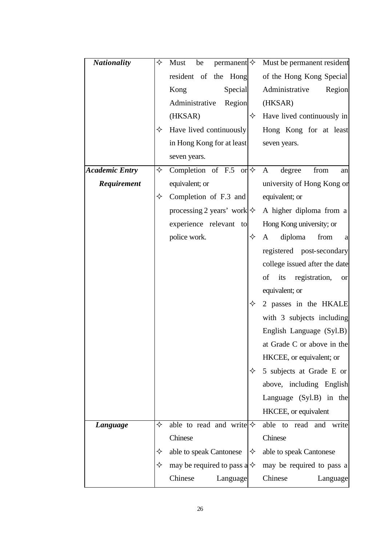| <b>Nationality</b>    | ✧ | Must<br>be                           |   | $\upmu$ permanent $\diamond$ Must be permanent resident |
|-----------------------|---|--------------------------------------|---|---------------------------------------------------------|
|                       |   | resident of the Hong                 |   | of the Hong Kong Special                                |
|                       |   | Kong<br>Special                      |   | Administrative<br>Region                                |
|                       |   | Region<br>Administrative             |   | (HKSAR)                                                 |
|                       |   | (HKSAR)                              | ✧ | Have lived continuously in                              |
|                       | ✧ | Have lived continuously              |   | Hong Kong for at least                                  |
|                       |   | in Hong Kong for at least            |   | seven years.                                            |
|                       |   | seven years.                         |   |                                                         |
| <b>Academic Entry</b> | ✧ | Completion of F.5 or $\diamond$      |   | $\mathbf{A}$<br>degree<br>from<br>an                    |
| Requirement           |   | equivalent; or                       |   | university of Hong Kong or                              |
|                       | ✧ | Completion of F.3 and                |   | equivalent; or                                          |
|                       |   | processing 2 years' work $\diamond$  |   | A higher diploma from a                                 |
|                       |   | experience relevant to               |   | Hong Kong university; or                                |
|                       |   | police work.                         | ✧ | diploma<br>from<br>A<br>a                               |
|                       |   |                                      |   | registered post-secondary                               |
|                       |   |                                      |   | college issued after the date                           |
|                       |   |                                      |   | of<br>its registration,<br><b>or</b>                    |
|                       |   |                                      |   | equivalent; or                                          |
|                       |   |                                      | ✧ | 2 passes in the HKALE                                   |
|                       |   |                                      |   | with 3 subjects including                               |
|                       |   |                                      |   | English Language (Syl.B)                                |
|                       |   |                                      |   | at Grade C or above in the                              |
|                       |   |                                      |   | HKCEE, or equivalent; or                                |
|                       |   |                                      | ✧ | 5 subjects at Grade E or                                |
|                       |   |                                      |   | above, including English                                |
|                       |   |                                      |   | Language $(Syl.B)$ in the                               |
|                       |   |                                      |   | HKCEE, or equivalent                                    |
| Language              | ✧ | able to read and write $\diamond$    |   | able to read and<br>write                               |
|                       |   | Chinese                              |   | Chinese                                                 |
|                       | ✧ | able to speak Cantonese              | ✧ | able to speak Cantonese                                 |
|                       | ✧ | may be required to pass a $\diamond$ |   | may be required to pass a                               |
|                       |   | Chinese<br>Language                  |   | Chinese<br>Language                                     |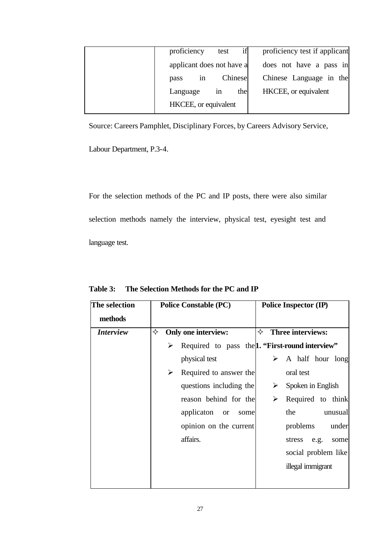| if<br>proficiency test if applicant<br>proficiency<br>test |  |
|------------------------------------------------------------|--|
| applicant does not have a<br>does not have a pass in       |  |
| Chinese Language in the<br>Chinese<br>pass<br>1n           |  |
| HKCEE, or equivalent<br>the<br>Language<br>1n              |  |
| HKCEE, or equivalent                                       |  |

Source: Careers Pamphlet, Disciplinary Forces, by Careers Advisory Service,

Labour Department, P.3-4.

For the selection methods of the PC and IP posts, there were also similar selection methods namely the interview, physical test, eyesight test and language test.

| The selection<br>methods | <b>Police Constable (PC)</b> | <b>Police Inspector (IP)</b>                           |
|--------------------------|------------------------------|--------------------------------------------------------|
| <i><b>Interview</b></i>  | Only one interview:<br>✧     | ✧<br>Three interviews:                                 |
|                          | ➤                            | Required to pass the <b>1.</b> "First-round interview" |
|                          | physical test                | A half hour long                                       |
|                          | Required to answer the<br>➤  | oral test                                              |
|                          | questions including the      | Spoken in English<br>➤                                 |
|                          | reason behind for the        | Required to think<br>➤                                 |
|                          | applicaton or<br>some        | the<br>unusual                                         |
|                          | opinion on the current       | problems<br>under                                      |
|                          | affairs.                     | stress<br>e.g.<br>some                                 |
|                          |                              | social problem like                                    |
|                          |                              | illegal immigrant                                      |
|                          |                              |                                                        |

**Table 3: The Selection Methods for the PC and IP**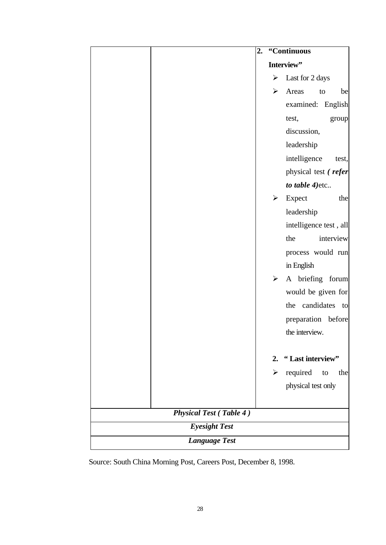|                                | 2. |                       | "Continuous            |
|--------------------------------|----|-----------------------|------------------------|
|                                |    |                       | Interview"             |
|                                |    | ➤                     | Last for 2 days        |
|                                |    | ➤                     | Areas<br>to<br>be      |
|                                |    |                       | examined: English      |
|                                |    |                       | test,<br>group         |
|                                |    |                       | discussion,            |
|                                |    |                       | leadership             |
|                                |    |                       | intelligence<br>test,  |
|                                |    |                       | physical test (refer   |
|                                |    |                       | to table 4) etc        |
|                                |    | ➤                     | Expect<br>the          |
|                                |    |                       | leadership             |
|                                |    |                       | intelligence test, all |
|                                |    |                       | interview<br>the       |
|                                |    |                       | process would run      |
|                                |    |                       | in English             |
|                                |    | $\blacktriangleright$ | A briefing forum       |
|                                |    |                       | would be given for     |
|                                |    |                       | the candidates to      |
|                                |    |                       | preparation before     |
|                                |    |                       | the interview.         |
|                                |    |                       |                        |
|                                |    | 2.                    | "Last interview"       |
|                                |    | ➤                     | required<br>the<br>to  |
|                                |    |                       | physical test only     |
|                                |    |                       |                        |
| <b>Physical Test (Table 4)</b> |    |                       |                        |
| <b>Eyesight Test</b>           |    |                       |                        |
| <b>Language Test</b>           |    |                       |                        |

Source: South China Morning Post, Careers Post, December 8, 1998.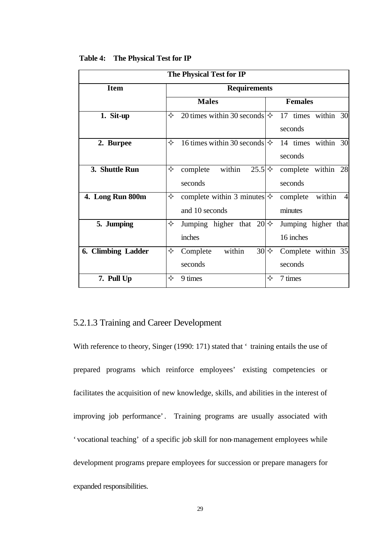| The Physical Test for IP |                                                             |                                                 |  |
|--------------------------|-------------------------------------------------------------|-------------------------------------------------|--|
| <b>Item</b>              | <b>Requirements</b>                                         |                                                 |  |
|                          | <b>Males</b>                                                | <b>Females</b>                                  |  |
| 1. Sit-up                | 20 times within 30 seconds $\ket{\diamond}$<br>✧            | 17 times within 30<br>seconds                   |  |
| 2. Burpee                | 16 times within 30 seconds $\ket{\diamond}$<br>✧            | 14 times within 30<br>seconds                   |  |
| 3. Shuttle Run           | ✧<br>within<br>$25.5$ $\diamond$<br>complete<br>seconds     | complete within 28<br>seconds                   |  |
| 4. Long Run 800m         | complete within 3 minutes $\diamond$<br>✧<br>and 10 seconds | within<br>$\overline{4}$<br>complete<br>minutes |  |
| 5. Jumping               | ✧<br>Jumping higher that $20 \diamond$<br>inches            | Jumping higher that<br>16 inches                |  |
| 6. Climbing Ladder       | within<br>$30 \diamond$<br>✧<br>Complete<br>seconds         | Complete within 35<br>seconds                   |  |
| 7. Pull Up               | ✧<br>9 times                                                | ✧<br>7 times                                    |  |

#### **Table 4: The Physical Test for IP**

## 5.2.1.3 Training and Career Development

With reference to theory, Singer (1990: 171) stated that ' training entails the use of prepared programs which reinforce employees' existing competencies or facilitates the acquisition of new knowledge, skills, and abilities in the interest of improving job performance'. Training programs are usually associated with 'vocational teaching' of a specific job skill for non-management employees while development programs prepare employees for succession or prepare managers for expanded responsibilities.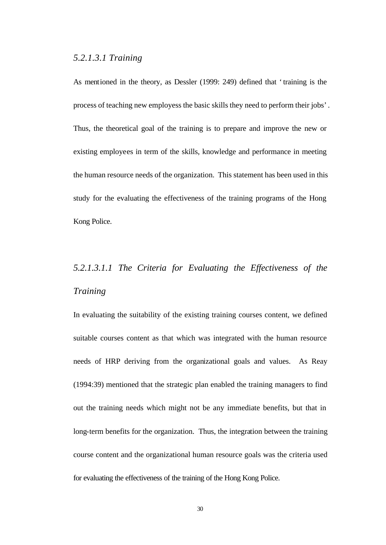## *5.2.1.3.1 Training*

As mentioned in the theory, as Dessler (1999: 249) defined that 'training is the process of teaching new employess the basic skills they need to perform their jobs'. Thus, the theoretical goal of the training is to prepare and improve the new or existing employees in term of the skills, knowledge and performance in meeting the human resource needs of the organization. This statement has been used in this study for the evaluating the effectiveness of the training programs of the Hong Kong Police.

## *5.2.1.3.1.1 The Criteria for Evaluating the Effectiveness of the Training*

In evaluating the suitability of the existing training courses content, we defined suitable courses content as that which was integrated with the human resource needs of HRP deriving from the organizational goals and values. As Reay (1994:39) mentioned that the strategic plan enabled the training managers to find out the training needs which might not be any immediate benefits, but that in long-term benefits for the organization. Thus, the integration between the training course content and the organizational human resource goals was the criteria used for evaluating the effectiveness of the training of the Hong Kong Police.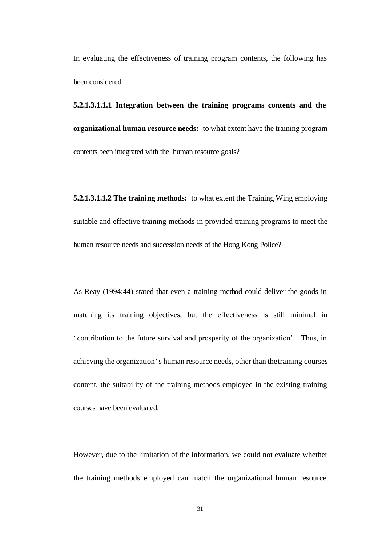In evaluating the effectiveness of training program contents, the following has been considered

**5.2.1.3.1.1.1 Integration between the training programs contents and the organizational human resource needs:** to what extent have the training program contents been integrated with the human resource goals?

**5.2.1.3.1.1.2 The training methods:** to what extent the Training Wing employing suitable and effective training methods in provided training programs to meet the human resource needs and succession needs of the Hong Kong Police?

As Reay (1994:44) stated that even a training method could deliver the goods in matching its training objectives, but the effectiveness is still minimal in 'contribution to the future survival and prosperity of the organization'. Thus, in achieving the organization's human resource needs, other than the training courses content, the suitability of the training methods employed in the existing training courses have been evaluated.

However, due to the limitation of the information, we could not evaluate whether the training methods employed can match the organizational human resource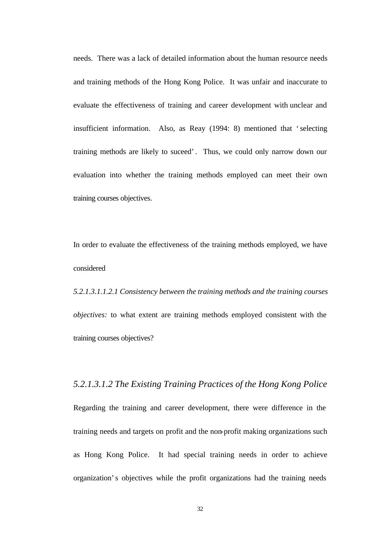needs. There was a lack of detailed information about the human resource needs and training methods of the Hong Kong Police. It was unfair and inaccurate to evaluate the effectiveness of training and career development with unclear and insufficient information. Also, as Reay (1994: 8) mentioned that 'selecting training methods are likely to suceed'. Thus, we could only narrow down our evaluation into whether the training methods employed can meet their own training courses objectives.

In order to evaluate the effectiveness of the training methods employed, we have considered

*5.2.1.3.1.1.2.1 Consistency between the training methods and the training courses objectives:* to what extent are training methods employed consistent with the training courses objectives?

*5.2.1.3.1.2 The Existing Training Practices of the Hong Kong Police*  Regarding the training and career development, there were difference in the training needs and targets on profit and the non-profit making organizations such as Hong Kong Police. It had special training needs in order to achieve organization's objectives while the profit organizations had the training needs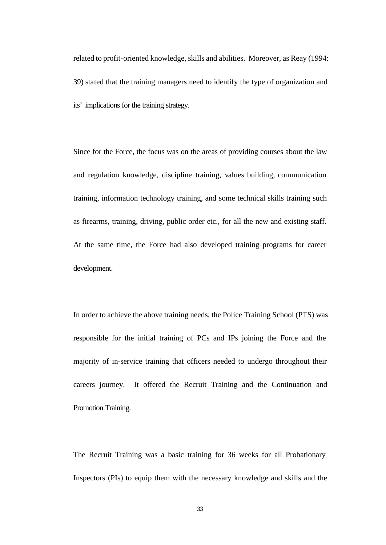related to profit-oriented knowledge, skills and abilities. Moreover, as Reay (1994: 39) stated that the training managers need to identify the type of organization and its' implications for the training strategy.

Since for the Force, the focus was on the areas of providing courses about the law and regulation knowledge, discipline training, values building, communication training, information technology training, and some technical skills training such as firearms, training, driving, public order etc., for all the new and existing staff. At the same time, the Force had also developed training programs for career development.

In order to achieve the above training needs, the Police Training School (PTS) was responsible for the initial training of PCs and IPs joining the Force and the majority of in-service training that officers needed to undergo throughout their careers journey. It offered the Recruit Training and the Continuation and Promotion Training.

The Recruit Training was a basic training for 36 weeks for all Probationary Inspectors (PIs) to equip them with the necessary knowledge and skills and the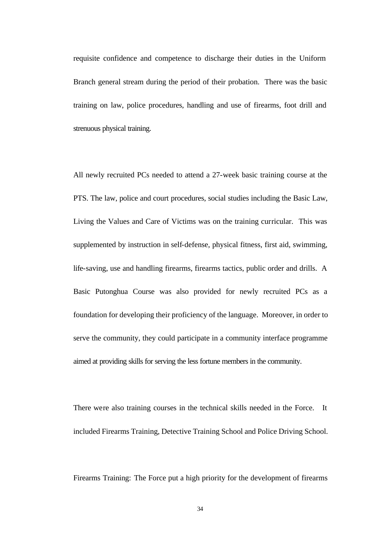requisite confidence and competence to discharge their duties in the Uniform Branch general stream during the period of their probation. There was the basic training on law, police procedures, handling and use of firearms, foot drill and strenuous physical training.

All newly recruited PCs needed to attend a 27-week basic training course at the PTS. The law, police and court procedures, social studies including the Basic Law, Living the Values and Care of Victims was on the training curricular. This was supplemented by instruction in self-defense, physical fitness, first aid, swimming, life-saving, use and handling firearms, firearms tactics, public order and drills. A Basic Putonghua Course was also provided for newly recruited PCs as a foundation for developing their proficiency of the language. Moreover, in order to serve the community, they could participate in a community interface programme aimed at providing skills for serving the less fortune members in the community.

There were also training courses in the technical skills needed in the Force. It included Firearms Training, Detective Training School and Police Driving School.

Firearms Training: The Force put a high priority for the development of firearms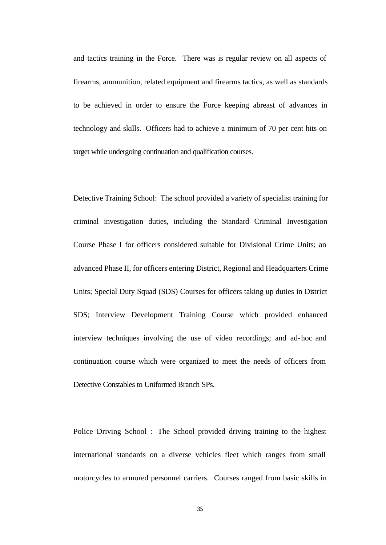and tactics training in the Force. There was is regular review on all aspects of firearms, ammunition, related equipment and firearms tactics, as well as standards to be achieved in order to ensure the Force keeping abreast of advances in technology and skills. Officers had to achieve a minimum of 70 per cent hits on target while undergoing continuation and qualification courses.

Detective Training School: The school provided a variety of specialist training for criminal investigation duties, including the Standard Criminal Investigation Course Phase I for officers considered suitable for Divisional Crime Units; an advanced Phase II, for officers entering District, Regional and Headquarters Crime Units; Special Duty Squad (SDS) Courses for officers taking up duties in District SDS; Interview Development Training Course which provided enhanced interview techniques involving the use of video recordings; and ad-hoc and continuation course which were organized to meet the needs of officers from Detective Constables to Uniformed Branch SPs.

Police Driving School :The School provided driving training to the highest international standards on a diverse vehicles fleet which ranges from small motorcycles to armored personnel carriers. Courses ranged from basic skills in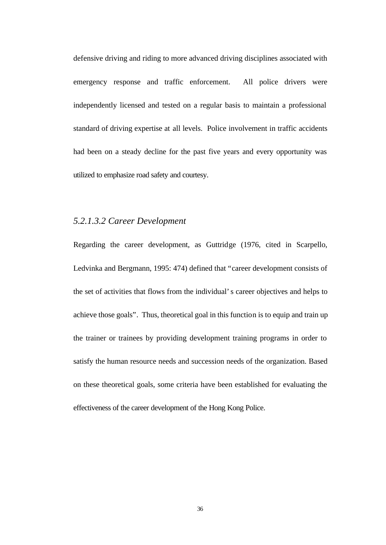defensive driving and riding to more advanced driving disciplines associated with emergency response and traffic enforcement. All police drivers were independently licensed and tested on a regular basis to maintain a professional standard of driving expertise at all levels. Police involvement in traffic accidents had been on a steady decline for the past five years and every opportunity was utilized to emphasize road safety and courtesy.

## *5.2.1.3.2 Career Development*

Regarding the career development, as Guttridge (1976, cited in Scarpello, Ledvinka and Bergmann, 1995: 474) defined that "career development consists of the set of activities that flows from the individual's career objectives and helps to achieve those goals". Thus, theoretical goal in this function is to equip and train up the trainer or trainees by providing development training programs in order to satisfy the human resource needs and succession needs of the organization. Based on these theoretical goals, some criteria have been established for evaluating the effectiveness of the career development of the Hong Kong Police.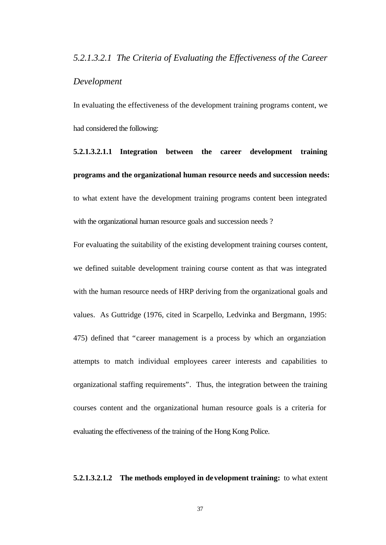## *5.2.1.3.2.1 The Criteria of Evaluating the Effectiveness of the Career*

## *Development*

In evaluating the effectiveness of the development training programs content, we had considered the following:

**5.2.1.3.2.1.1 Integration between the career development training programs and the organizational human resource needs and succession needs:**  to what extent have the development training programs content been integrated with the organizational human resource goals and succession needs?

For evaluating the suitability of the existing development training courses content, we defined suitable development training course content as that was integrated with the human resource needs of HRP deriving from the organizational goals and values. As Guttridge (1976, cited in Scarpello, Ledvinka and Bergmann, 1995: 475) defined that "career management is a process by which an organziation attempts to match individual employees career interests and capabilities to organizational staffing requirements". Thus, the integration between the training courses content and the organizational human resource goals is a criteria for evaluating the effectiveness of the training of the Hong Kong Police.

## **5.2.1.3.2.1.2 The methods employed in development training:** to what extent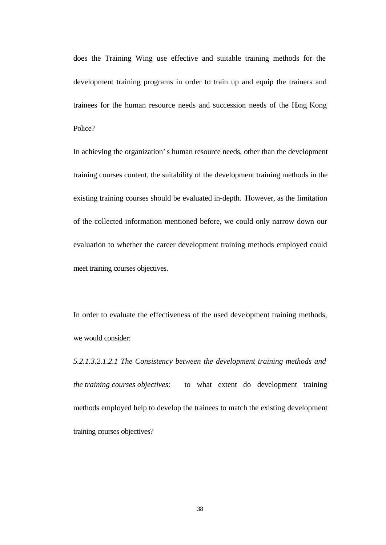does the Training Wing use effective and suitable training methods for the development training programs in order to train up and equip the trainers and trainees for the human resource needs and succession needs of the Hong Kong Police?

In achieving the organization's human resource needs, other than the development training courses content, the suitability of the development training methods in the existing training courses should be evaluated in-depth. However, as the limitation of the collected information mentioned before, we could only narrow down our evaluation to whether the career development training methods employed could meet training courses objectives.

In order to evaluate the effectiveness of the used development training methods, we would consider:

*5.2.1.3.2.1.2.1 The Consistency between the development training methods and the training courses objectives:* to what extent do development training methods employed help to develop the trainees to match the existing development training courses objectives?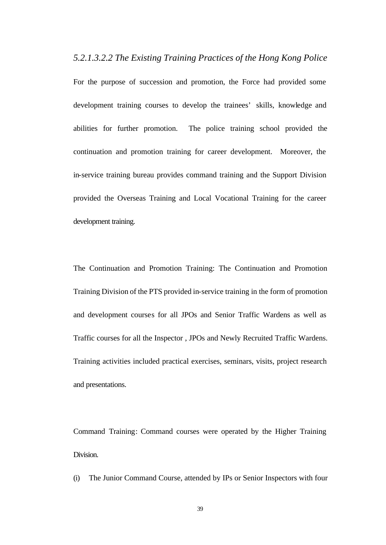*5.2.1.3.2.2 The Existing Training Practices of the Hong Kong Police*

For the purpose of succession and promotion, the Force had provided some development training courses to develop the trainees' skills, knowledge and abilities for further promotion. The police training school provided the continuation and promotion training for career development. Moreover, the in-service training bureau provides command training and the Support Division provided the Overseas Training and Local Vocational Training for the career development training.

The Continuation and Promotion Training: The Continuation and Promotion Training Division of the PTS provided in-service training in the form of promotion and development courses for all JPOs and Senior Traffic Wardens as well as Traffic courses for all the Inspector , JPOs and Newly Recruited Traffic Wardens. Training activities included practical exercises, seminars, visits, project research and presentations.

Command Training: Command courses were operated by the Higher Training Division.

(i) The Junior Command Course, attended by IPs or Senior Inspectors with four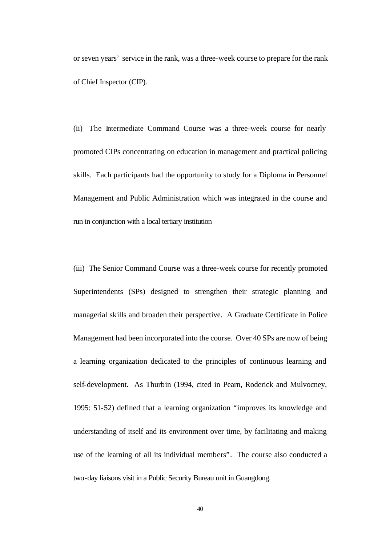or seven years' service in the rank, was a three-week course to prepare for the rank of Chief Inspector (CIP).

(ii) The Intermediate Command Course was a three-week course for nearly promoted CIPs concentrating on education in management and practical policing skills. Each participants had the opportunity to study for a Diploma in Personnel Management and Public Administration which was integrated in the course and run in conjunction with a local tertiary institution

(iii) The Senior Command Course was a three-week course for recently promoted Superintendents (SPs) designed to strengthen their strategic planning and managerial skills and broaden their perspective. A Graduate Certificate in Police Management had been incorporated into the course. Over 40 SPs are now of being a learning organization dedicated to the principles of continuous learning and self-development. As Thurbin (1994, cited in Pearn, Roderick and Mulvocney, 1995: 51-52) defined that a learning organization "improves its knowledge and understanding of itself and its environment over time, by facilitating and making use of the learning of all its individual members". The course also conducted a two-day liaisons visit in a Public Security Bureau unit in Guangdong.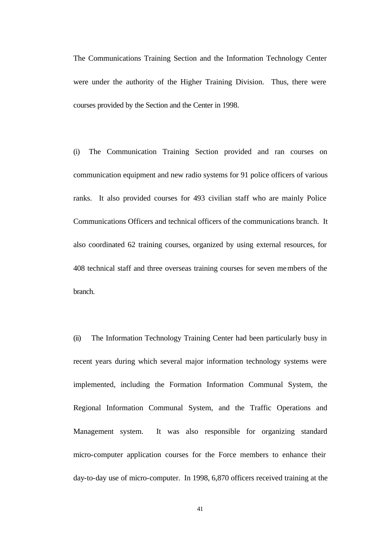The Communications Training Section and the Information Technology Center were under the authority of the Higher Training Division. Thus, there were courses provided by the Section and the Center in 1998.

(i) The Communication Training Section provided and ran courses on communication equipment and new radio systems for 91 police officers of various ranks. It also provided courses for 493 civilian staff who are mainly Police Communications Officers and technical officers of the communications branch. It also coordinated 62 training courses, organized by using external resources, for 408 technical staff and three overseas training courses for seven members of the branch.

(ii) The Information Technology Training Center had been particularly busy in recent years during which several major information technology systems were implemented, including the Formation Information Communal System, the Regional Information Communal System, and the Traffic Operations and Management system. It was also responsible for organizing standard micro-computer application courses for the Force members to enhance their day-to-day use of micro-computer. In 1998, 6,870 officers received training at the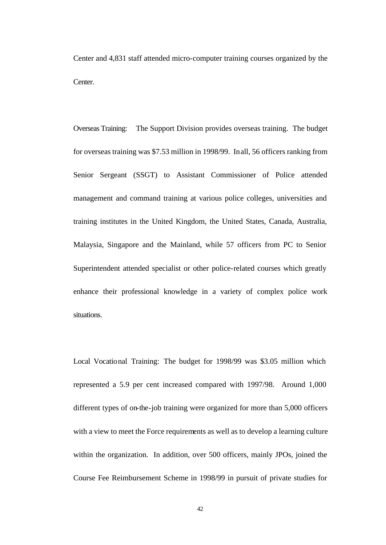Center and 4,831 staff attended micro-computer training courses organized by the Center.

Overseas Training: The Support Division provides overseas training. The budget for overseas training was \$7.53 million in 1998/99. In all, 56 officers ranking from Senior Sergeant (SSGT) to Assistant Commissioner of Police attended management and command training at various police colleges, universities and training institutes in the United Kingdom, the United States, Canada, Australia, Malaysia, Singapore and the Mainland, while 57 officers from PC to Senior Superintendent attended specialist or other police-related courses which greatly enhance their professional knowledge in a variety of complex police work situations.

Local Vocational Training: The budget for 1998/99 was \$3.05 million which represented a 5.9 per cent increased compared with 1997/98. Around 1,000 different types of on-the-job training were organized for more than 5,000 officers with a view to meet the Force requirements as well as to develop a learning culture within the organization. In addition, over 500 officers, mainly JPOs, joined the Course Fee Reimbursement Scheme in 1998/99 in pursuit of private studies for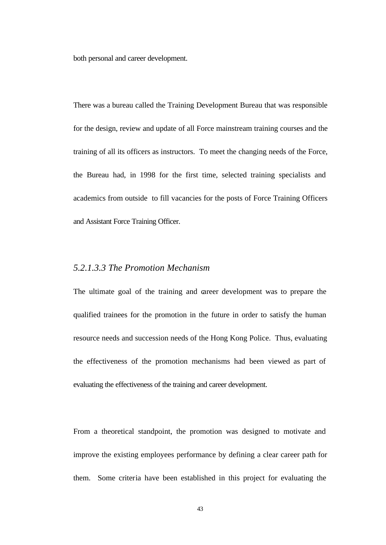both personal and career development.

There was a bureau called the Training Development Bureau that was responsible for the design, review and update of all Force mainstream training courses and the training of all its officers as instructors. To meet the changing needs of the Force, the Bureau had, in 1998 for the first time, selected training specialists and academics from outside to fill vacancies for the posts of Force Training Officers and Assistant Force Training Officer.

## *5.2.1.3.3 The Promotion Mechanism*

The ultimate goal of the training and career development was to prepare the qualified trainees for the promotion in the future in order to satisfy the human resource needs and succession needs of the Hong Kong Police. Thus, evaluating the effectiveness of the promotion mechanisms had been viewed as part of evaluating the effectiveness of the training and career development.

From a theoretical standpoint, the promotion was designed to motivate and improve the existing employees performance by defining a clear career path for them. Some criteria have been established in this project for evaluating the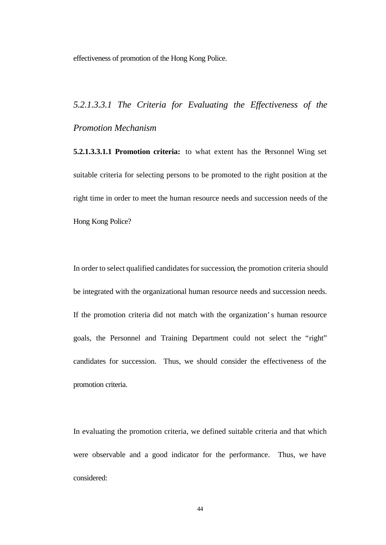effectiveness of promotion of the Hong Kong Police.

## *5.2.1.3.3.1 The Criteria for Evaluating the Effectiveness of the Promotion Mechanism*

**5.2.1.3.3.1.1 Promotion criteria:** to what extent has the Personnel Wing set suitable criteria for selecting persons to be promoted to the right position at the right time in order to meet the human resource needs and succession needs of the Hong Kong Police?

In order to select qualified candidates for succession, the promotion criteria should be integrated with the organizational human resource needs and succession needs. If the promotion criteria did not match with the organization's human resource goals, the Personnel and Training Department could not select the "right" candidates for succession. Thus, we should consider the effectiveness of the promotion criteria.

In evaluating the promotion criteria, we defined suitable criteria and that which were observable and a good indicator for the performance. Thus, we have considered: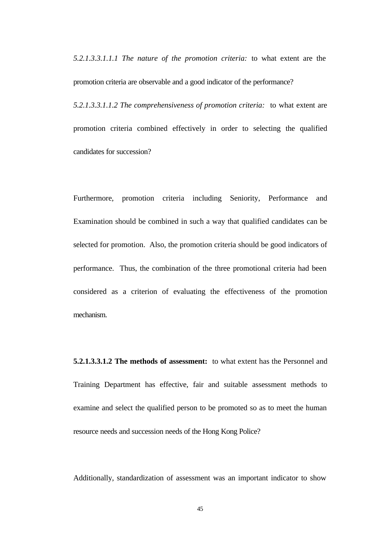*5.2.1.3.3.1.1.1 The nature of the promotion criteria:* to what extent are the promotion criteria are observable and a good indicator of the performance?

*5.2.1.3.3.1.1.2 The comprehensiveness of promotion criteria:* to what extent are promotion criteria combined effectively in order to selecting the qualified candidates for succession?

Furthermore, promotion criteria including Seniority, Performance and Examination should be combined in such a way that qualified candidates can be selected for promotion. Also, the promotion criteria should be good indicators of performance. Thus, the combination of the three promotional criteria had been considered as a criterion of evaluating the effectiveness of the promotion mechanism.

**5.2.1.3.3.1.2 The methods of assessment:** to what extent has the Personnel and Training Department has effective, fair and suitable assessment methods to examine and select the qualified person to be promoted so as to meet the human resource needs and succession needs of the Hong Kong Police?

Additionally, standardization of assessment was an important indicator to show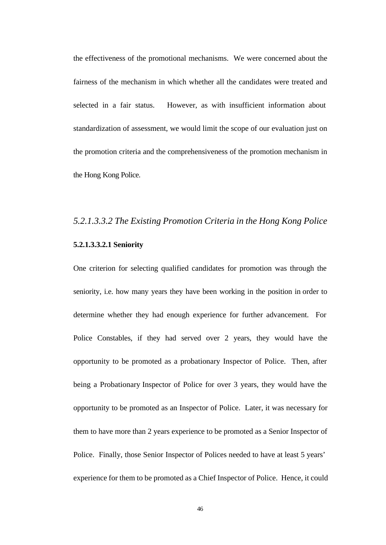the effectiveness of the promotional mechanisms. We were concerned about the fairness of the mechanism in which whether all the candidates were treated and selected in a fair status. However, as with insufficient information about standardization of assessment, we would limit the scope of our evaluation just on the promotion criteria and the comprehensiveness of the promotion mechanism in the Hong Kong Police.

## *5.2.1.3.3.2 The Existing Promotion Criteria in the Hong Kong Police* **5.2.1.3.3.2.1 Seniority**

One criterion for selecting qualified candidates for promotion was through the seniority, i.e. how many years they have been working in the position in order to determine whether they had enough experience for further advancement. For Police Constables, if they had served over 2 years, they would have the opportunity to be promoted as a probationary Inspector of Police. Then, after being a Probationary Inspector of Police for over 3 years, they would have the opportunity to be promoted as an Inspector of Police. Later, it was necessary for them to have more than 2 years experience to be promoted as a Senior Inspector of Police. Finally, those Senior Inspector of Polices needed to have at least 5 years' experience for them to be promoted as a Chief Inspector of Police. Hence, it could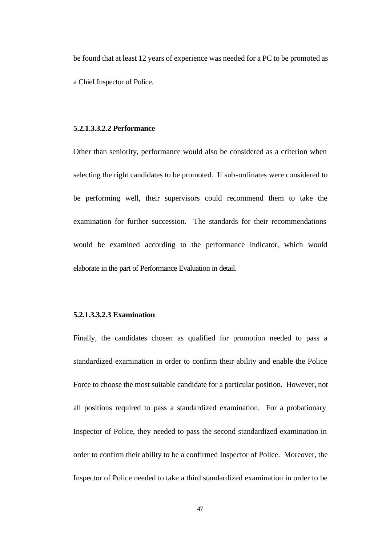be found that at least 12 years of experience was needed for a PC to be promoted as a Chief Inspector of Police.

### **5.2.1.3.3.2.2 Performance**

Other than seniority, performance would also be considered as a criterion when selecting the right candidates to be promoted. If sub-ordinates were considered to be performing well, their supervisors could recommend them to take the examination for further succession. The standards for their recommendations would be examined according to the performance indicator, which would elaborate in the part of Performance Evaluation in detail.

#### **5.2.1.3.3.2.3 Examination**

Finally, the candidates chosen as qualified for promotion needed to pass a standardized examination in order to confirm their ability and enable the Police Force to choose the most suitable candidate for a particular position. However, not all positions required to pass a standardized examination. For a probationary Inspector of Police, they needed to pass the second standardized examination in order to confirm their ability to be a confirmed Inspector of Police. Moreover, the Inspector of Police needed to take a third standardized examination in order to be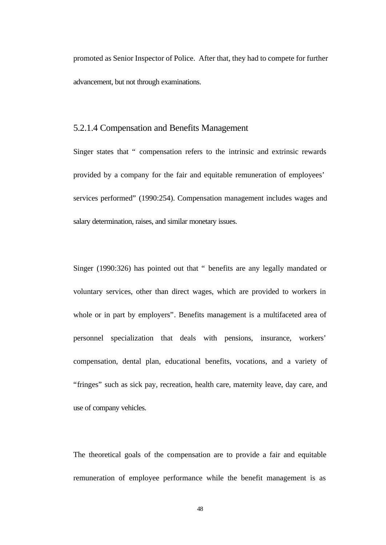promoted as Senior Inspector of Police. After that, they had to compete for further advancement, but not through examinations.

## 5.2.1.4 Compensation and Benefits Management

Singer states that " compensation refers to the intrinsic and extrinsic rewards provided by a company for the fair and equitable remuneration of employees' services performed" (1990:254). Compensation management includes wages and salary determination, raises, and similar monetary issues.

Singer (1990:326) has pointed out that " benefits are any legally mandated or voluntary services, other than direct wages, which are provided to workers in whole or in part by employers". Benefits management is a multifaceted area of personnel specialization that deals with pensions, insurance, workers' compensation, dental plan, educational benefits, vocations, and a variety of "fringes" such as sick pay, recreation, health care, maternity leave, day care, and use of company vehicles.

The theoretical goals of the compensation are to provide a fair and equitable remuneration of employee performance while the benefit management is as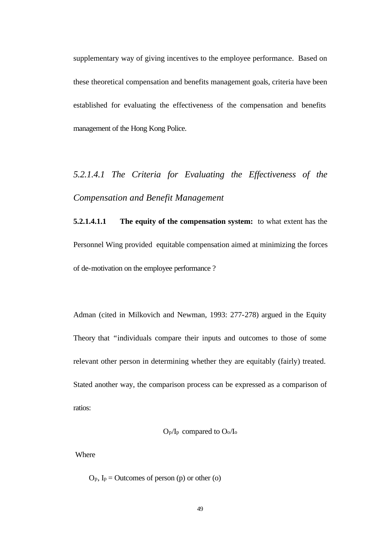supplementary way of giving incentives to the employee performance. Based on these theoretical compensation and benefits management goals, criteria have been established for evaluating the effectiveness of the compensation and benefits management of the Hong Kong Police.

# *5.2.1.4.1 The Criteria for Evaluating the Effectiveness of the Compensation and Benefit Management*

**5.2.1.4.1.1 The equity of the compensation system:** to what extent has the Personnel Wing provided equitable compensation aimed at minimizing the forces of de-motivation on the employee performance ?

Adman (cited in Milkovich and Newman, 1993: 277-278) argued in the Equity Theory that "individuals compare their inputs and outcomes to those of some relevant other person in determining whether they are equitably (fairly) treated. Stated another way, the comparison process can be expressed as a comparison of ratios:

Op/Ip compared to Oo/I<sup>o</sup>

Where

 $O_p$ ,  $I_p = Outcomes of person (p) or other (o)$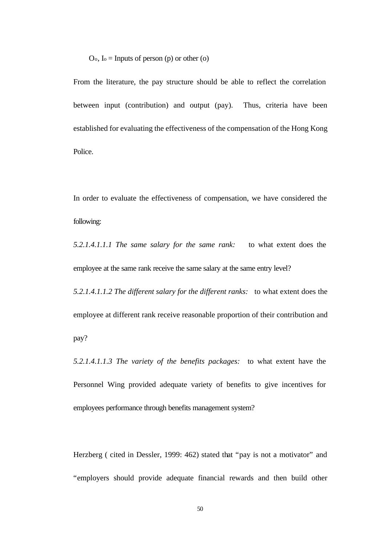$O_0$ ,  $I_0 =$  Inputs of person (p) or other (o)

From the literature, the pay structure should be able to reflect the correlation between input (contribution) and output (pay). Thus, criteria have been established for evaluating the effectiveness of the compensation of the Hong Kong Police.

In order to evaluate the effectiveness of compensation, we have considered the following:

*5.2.1.4.1.1.1 The same salary for the same rank:* to what extent does the employee at the same rank receive the same salary at the same entry level?

*5.2.1.4.1.1.2 The different salary for the different ranks:* to what extent does the employee at different rank receive reasonable proportion of their contribution and pay?

*5.2.1.4.1.1.3 The variety of the benefits packages:* to what extent have the Personnel Wing provided adequate variety of benefits to give incentives for employees performance through benefits management system?

Herzberg ( cited in Dessler, 1999: 462) stated that "pay is not a motivator" and "employers should provide adequate financial rewards and then build other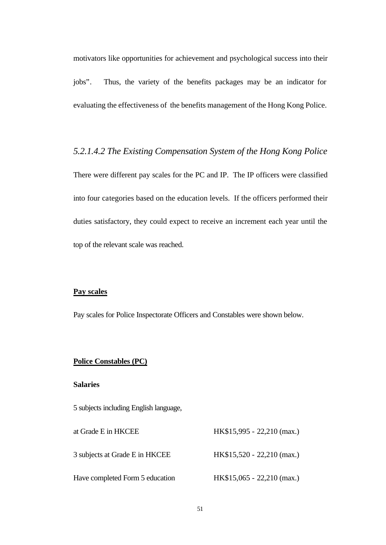motivators like opportunities for achievement and psychological success into their jobs". Thus, the variety of the benefits packages may be an indicator for evaluating the effectiveness of the benefits management of the Hong Kong Police.

*5.2.1.4.2 The Existing Compensation System of the Hong Kong Police* There were different pay scales for the PC and IP. The IP officers were classified into four categories based on the education levels. If the officers performed their duties satisfactory, they could expect to receive an increment each year until the top of the relevant scale was reached.

#### **Pay scales**

Pay scales for Police Inspectorate Officers and Constables were shown below.

### **Police Constables (PC)**

#### **Salaries**

5 subjects including English language,

| at Grade E in HKCEE             | HK\$15,995 - 22,210 (max.)          |
|---------------------------------|-------------------------------------|
| 3 subjects at Grade E in HKCEE  | $HK$15,520 - 22,210 \text{ (max.)}$ |
| Have completed Form 5 education | $HK$15,065 - 22,210 (max.)$         |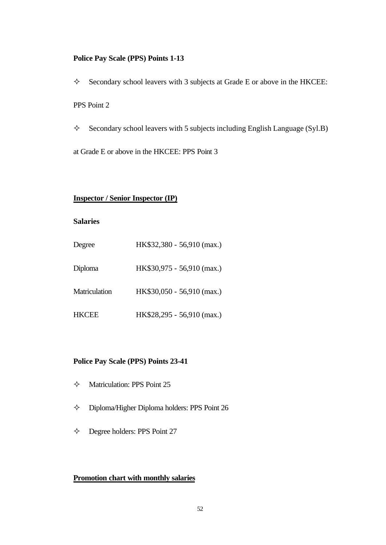#### **Police Pay Scale (PPS) Points 1-13**

 $\Diamond$  Secondary school leavers with 3 subjects at Grade E or above in the HKCEE: PPS Point 2

 $\Diamond$  Secondary school leavers with 5 subjects including English Language (Syl.B)

at Grade E or above in the HKCEE: PPS Point 3

#### **Inspector / Senior Inspector (IP)**

## **Salaries**

| Degree        | HK\$32,380 - 56,910 (max.) |
|---------------|----------------------------|
| Diploma       | HK\$30,975 - 56,910 (max.) |
| Matriculation | HK\$30,050 - 56,910 (max.) |
| <b>HKCEE</b>  | HK\$28,295 - 56,910 (max.) |

## **Police Pay Scale (PPS) Points 23-41**

- $\diamond$  Matriculation: PPS Point 25
- $\Diamond$  Diploma/Higher Diploma holders: PPS Point 26
- $\diamond$  Degree holders: PPS Point 27

#### **Promotion chart with monthly salaries**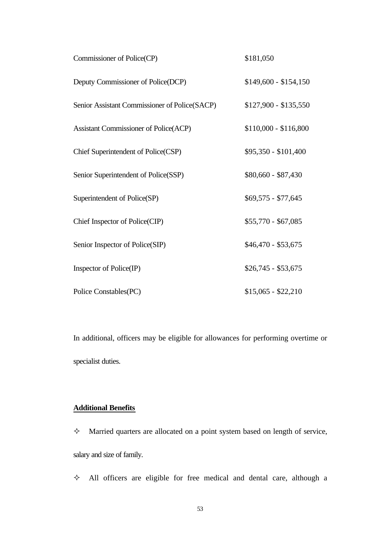| Commissioner of Police(CP)                    | \$181,050             |
|-----------------------------------------------|-----------------------|
| Deputy Commissioner of Police(DCP)            | $$149,600 - $154,150$ |
| Senior Assistant Commissioner of Police(SACP) | $$127,900 - $135,550$ |
| <b>Assistant Commissioner of Police(ACP)</b>  | $$110,000 - $116,800$ |
| Chief Superintendent of Police(CSP)           | \$95,350 - \$101,400  |
| Senior Superintendent of Police(SSP)          | \$80,660 - \$87,430   |
| Superintendent of Police(SP)                  | $$69,575 - $77,645$   |
| Chief Inspector of Police(CIP)                | \$55,770 - \$67,085   |
| Senior Inspector of Police(SIP)               | $$46,470 - $53,675$   |
| Inspector of Police(IP)                       | $$26,745 - $53,675$   |
| Police Constables(PC)                         | $$15,065 - $22,210$   |

In additional, officers may be eligible for allowances for performing overtime or specialist duties.

## **Additional Benefits**

 $\Diamond$  Married quarters are allocated on a point system based on length of service, salary and size of family.

 $\Diamond$  All officers are eligible for free medical and dental care, although a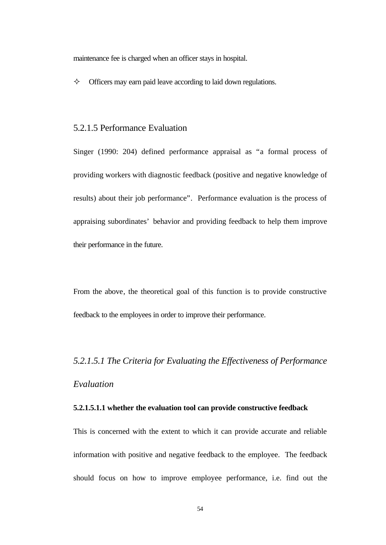maintenance fee is charged when an officer stays in hospital.

 $\Diamond$  Officers may earn paid leave according to laid down regulations.

## 5.2.1.5 Performance Evaluation

Singer (1990: 204) defined performance appraisal as "a formal process of providing workers with diagnostic feedback (positive and negative knowledge of results) about their job performance". Performance evaluation is the process of appraising subordinates' behavior and providing feedback to help them improve their performance in the future.

From the above, the theoretical goal of this function is to provide constructive feedback to the employees in order to improve their performance.

# *5.2.1.5.1 The Criteria for Evaluating the Effectiveness of Performance Evaluation*

### **5.2.1.5.1.1 whether the evaluation tool can provide constructive feedback**

This is concerned with the extent to which it can provide accurate and reliable information with positive and negative feedback to the employee. The feedback should focus on how to improve employee performance, i.e. find out the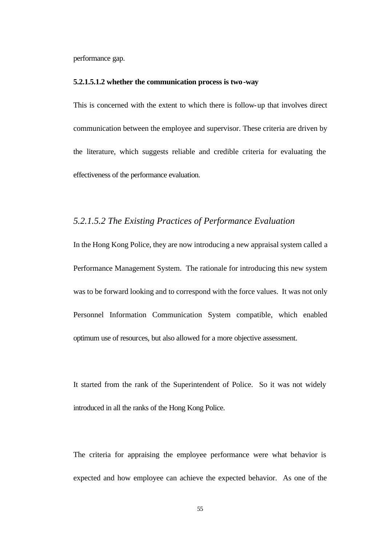performance gap.

#### **5.2.1.5.1.2 whether the communication process is two-way**

This is concerned with the extent to which there is follow-up that involves direct communication between the employee and supervisor. These criteria are driven by the literature, which suggests reliable and credible criteria for evaluating the effectiveness of the performance evaluation.

## *5.2.1.5.2 The Existing Practices of Performance Evaluation*

In the Hong Kong Police, they are now introducing a new appraisal system called a Performance Management System. The rationale for introducing this new system was to be forward looking and to correspond with the force values. It was not only Personnel Information Communication System compatible, which enabled optimum use of resources, but also allowed for a more objective assessment.

It started from the rank of the Superintendent of Police. So it was not widely introduced in all the ranks of the Hong Kong Police.

The criteria for appraising the employee performance were what behavior is expected and how employee can achieve the expected behavior. As one of the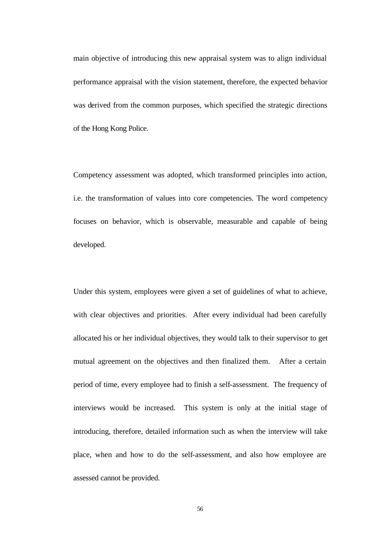main objective of introducing this new appraisal system was to align individual performance appraisal with the vision statement, therefore, the expected behavior was derived from the common purposes, which specified the strategic directions of the Hong Kong Police.

Competency assessment was adopted, which transformed principles into action, i.e. the transformation of values into core competencies. The word competency focuses on behavior, which is observable, measurable and capable of being developed.

Under this system, employees were given a set of guidelines of what to achieve, with clear objectives and priorities. After every individual had been carefully allocated his or her individual objectives, they would talk to their supervisor to get mutual agreement on the objectives and then finalized them. After a certain period of time, every employee had to finish a self-assessment. The frequency of interviews would be increased. This system is only at the initial stage of introducing, therefore, detailed information such as when the interview will take place, when and how to do the self-assessment, and also how employee are assessed cannot be provided.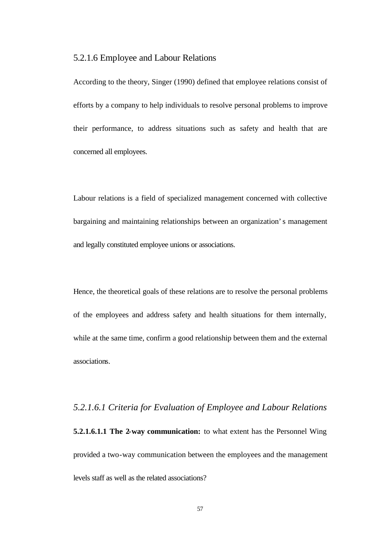### 5.2.1.6 Employee and Labour Relations

According to the theory, Singer (1990) defined that employee relations consist of efforts by a company to help individuals to resolve personal problems to improve their performance, to address situations such as safety and health that are concerned all employees.

Labour relations is a field of specialized management concerned with collective bargaining and maintaining relationships between an organization's management and legally constituted employee unions or associations.

Hence, the theoretical goals of these relations are to resolve the personal problems of the employees and address safety and health situations for them internally, while at the same time, confirm a good relationship between them and the external associations.

# *5.2.1.6.1 Criteria for Evaluation of Employee and Labour Relations* **5.2.1.6.1.1 The 2-way communication:** to what extent has the Personnel Wing provided a two-way communication between the employees and the management levels staff as well as the related associations?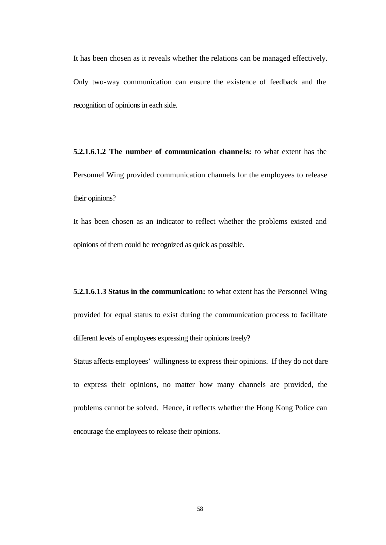It has been chosen as it reveals whether the relations can be managed effectively. Only two-way communication can ensure the existence of feedback and the recognition of opinions in each side.

**5.2.1.6.1.2 The number of communication channe ls:** to what extent has the Personnel Wing provided communication channels for the employees to release their opinions?

It has been chosen as an indicator to reflect whether the problems existed and opinions of them could be recognized as quick as possible.

**5.2.1.6.1.3 Status in the communication:** to what extent has the Personnel Wing provided for equal status to exist during the communication process to facilitate different levels of employees expressing their opinions freely?

Status affects employees' willingness to express their opinions. If they do not dare to express their opinions, no matter how many channels are provided, the problems cannot be solved. Hence, it reflects whether the Hong Kong Police can encourage the employees to release their opinions.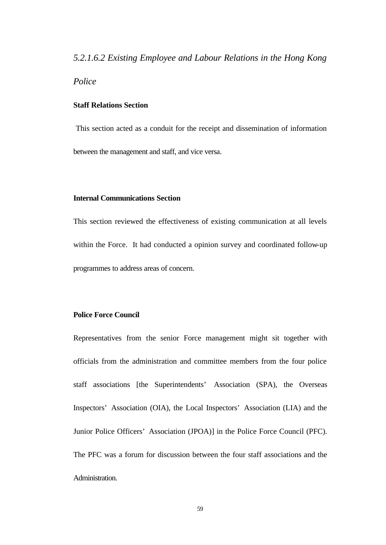### *5.2.1.6.2 Existing Employee and Labour Relations in the Hong Kong*

## *Police*

#### **Staff Relations Section**

 This section acted as a conduit for the receipt and dissemination of information between the management and staff, and vice versa.

#### **Internal Communications Section**

This section reviewed the effectiveness of existing communication at all levels within the Force. It had conducted a opinion survey and coordinated follow-up programmes to address areas of concern.

### **Police Force Council**

Representatives from the senior Force management might sit together with officials from the administration and committee members from the four police staff associations [the Superintendents' Association (SPA), the Overseas Inspectors' Association (OIA), the Local Inspectors' Association (LIA) and the Junior Police Officers' Association (JPOA)] in the Police Force Council (PFC). The PFC was a forum for discussion between the four staff associations and the Administration.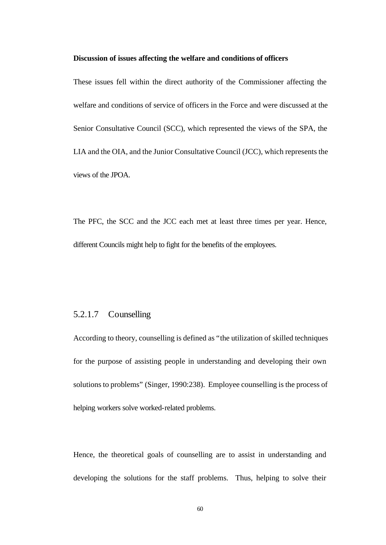#### **Discussion of issues affecting the welfare and conditions of officers**

These issues fell within the direct authority of the Commissioner affecting the welfare and conditions of service of officers in the Force and were discussed at the Senior Consultative Council (SCC), which represented the views of the SPA, the LIA and the OIA, and the Junior Consultative Council (JCC), which represents the views of the JPOA.

The PFC, the SCC and the JCC each met at least three times per year. Hence, different Councils might help to fight for the benefits of the employees.

## 5.2.1.7 Counselling

According to theory, counselling is defined as "the utilization of skilled techniques for the purpose of assisting people in understanding and developing their own solutions to problems" (Singer, 1990:238). Employee counselling is the process of helping workers solve worked-related problems.

Hence, the theoretical goals of counselling are to assist in understanding and developing the solutions for the staff problems. Thus, helping to solve their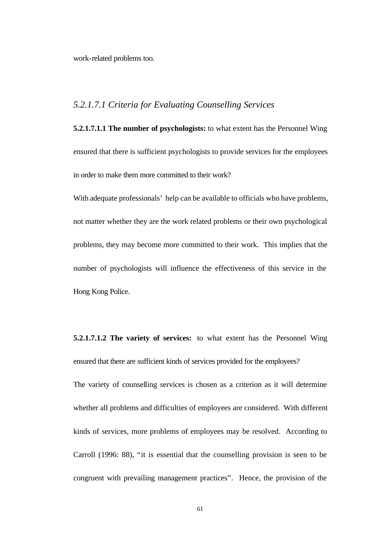work-related problems too.

## *5.2.1.7.1 Criteria for Evaluating Counselling Services*

**5.2.1.7.1.1 The number of psychologists:** to what extent has the Personnel Wing ensured that there is sufficient psychologists to provide services for the employees in order to make them more committed to their work?

With adequate professionals' help can be available to officials who have problems, not matter whether they are the work related problems or their own psychological problems, they may become more committed to their work. This implies that the number of psychologists will influence the effectiveness of this service in the Hong Kong Police.

**5.2.1.7.1.2 The variety of services:** to what extent has the Personnel Wing ensured that there are sufficient kinds of services provided for the employees?

The variety of counselling services is chosen as a criterion as it will determine whether all problems and difficulties of employees are considered. With different kinds of services, more problems of employees may be resolved. According to Carroll (1996: 88), "it is essential that the counselling provision is seen to be congruent with prevailing management practices". Hence, the provision of the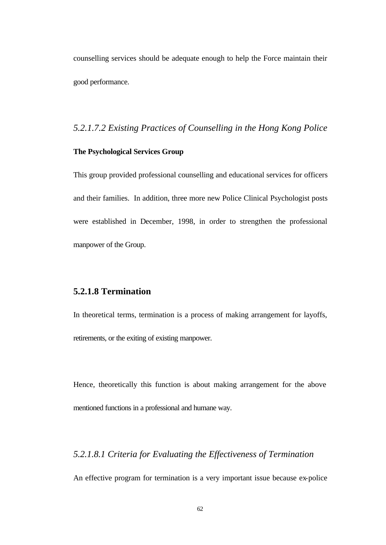counselling services should be adequate enough to help the Force maintain their good performance.

# *5.2.1.7.2 Existing Practices of Counselling in the Hong Kong Police*

## **The Psychological Services Group**

This group provided professional counselling and educational services for officers and their families. In addition, three more new Police Clinical Psychologist posts were established in December, 1998, in order to strengthen the professional manpower of the Group.

# **5.2.1.8 Termination**

In theoretical terms, termination is a process of making arrangement for layoffs, retirements, or the exiting of existing manpower.

Hence, theoretically this function is about making arrangement for the above mentioned functions in a professional and humane way.

# *5.2.1.8.1 Criteria for Evaluating the Effectiveness of Termination*

An effective program for termination is a very important issue because ex-police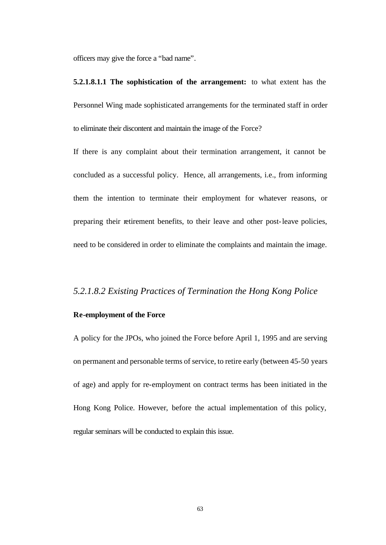officers may give the force a "bad name".

**5.2.1.8.1.1 The sophistication of the arrangement:** to what extent has the Personnel Wing made sophisticated arrangements for the terminated staff in order to eliminate their discontent and maintain the image of the Force?

If there is any complaint about their termination arrangement, it cannot be concluded as a successful policy. Hence, all arrangements, i.e., from informing them the intention to terminate their employment for whatever reasons, or preparing their retirement benefits, to their leave and other post-leave policies, need to be considered in order to eliminate the complaints and maintain the image.

## *5.2.1.8.2 Existing Practices of Termination the Hong Kong Police*

## **Re-employment of the Force**

A policy for the JPOs, who joined the Force before April 1, 1995 and are serving on permanent and personable terms of service, to retire early (between 45-50 years of age) and apply for re-employment on contract terms has been initiated in the Hong Kong Police. However, before the actual implementation of this policy, regular seminars will be conducted to explain this issue.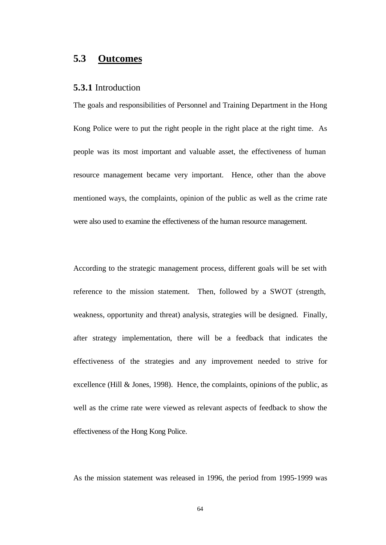# **5.3 Outcomes**

## **5.3.1** Introduction

The goals and responsibilities of Personnel and Training Department in the Hong Kong Police were to put the right people in the right place at the right time. As people was its most important and valuable asset, the effectiveness of human resource management became very important. Hence, other than the above mentioned ways, the complaints, opinion of the public as well as the crime rate were also used to examine the effectiveness of the human resource management.

According to the strategic management process, different goals will be set with reference to the mission statement. Then, followed by a SWOT (strength, weakness, opportunity and threat) analysis, strategies will be designed. Finally, after strategy implementation, there will be a feedback that indicates the effectiveness of the strategies and any improvement needed to strive for excellence (Hill  $&$  Jones, 1998). Hence, the complaints, opinions of the public, as well as the crime rate were viewed as relevant aspects of feedback to show the effectiveness of the Hong Kong Police.

As the mission statement was released in 1996, the period from 1995-1999 was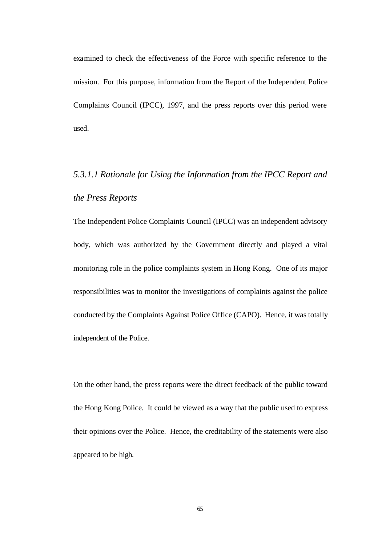examined to check the effectiveness of the Force with specific reference to the mission. For this purpose, information from the Report of the Independent Police Complaints Council (IPCC), 1997, and the press reports over this period were used.

# *5.3.1.1 Rationale for Using the Information from the IPCC Report and the Press Reports*

The Independent Police Complaints Council (IPCC) was an independent advisory body, which was authorized by the Government directly and played a vital monitoring role in the police complaints system in Hong Kong. One of its major responsibilities was to monitor the investigations of complaints against the police conducted by the Complaints Against Police Office (CAPO). Hence, it was totally independent of the Police.

On the other hand, the press reports were the direct feedback of the public toward the Hong Kong Police. It could be viewed as a way that the public used to express their opinions over the Police. Hence, the creditability of the statements were also appeared to be high.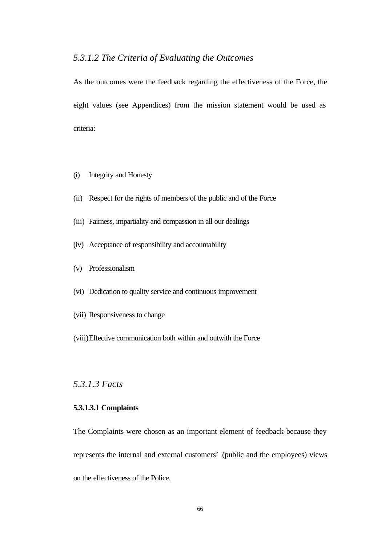# *5.3.1.2 The Criteria of Evaluating the Outcomes*

As the outcomes were the feedback regarding the effectiveness of the Force, the eight values (see Appendices) from the mission statement would be used as criteria:

- (i) Integrity and Honesty
- (ii) Respect for the rights of members of the public and of the Force
- (iii) Fairness, impartiality and compassion in all our dealings
- (iv) Acceptance of responsibility and accountability
- (v) Professionalism
- (vi) Dedication to quality service and continuous improvement
- (vii) Responsiveness to change
- (viii)Effective communication both within and outwith the Force

*5.3.1.3 Facts*

## **5.3.1.3.1 Complaints**

The Complaints were chosen as an important element of feedback because they represents the internal and external customers' (public and the employees) views on the effectiveness of the Police.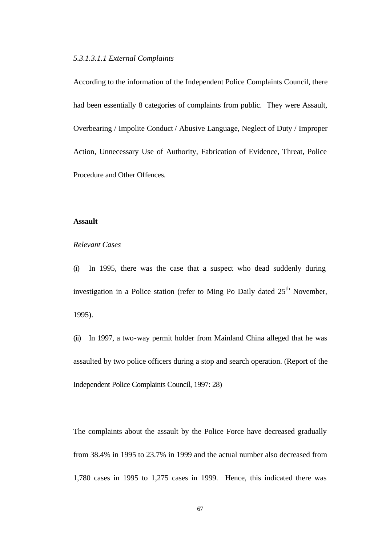#### *5.3.1.3.1.1 External Complaints*

According to the information of the Independent Police Complaints Council, there had been essentially 8 categories of complaints from public. They were Assault, Overbearing / Impolite Conduct / Abusive Language, Neglect of Duty / Improper Action, Unnecessary Use of Authority, Fabrication of Evidence, Threat, Police Procedure and Other Offences.

#### **Assault**

#### *Relevant Cases*

(i) In 1995, there was the case that a suspect who dead suddenly during investigation in a Police station (refer to Ming Po Daily dated  $25<sup>th</sup>$  November, 1995).

(ii) In 1997, a two-way permit holder from Mainland China alleged that he was assaulted by two police officers during a stop and search operation. (Report of the Independent Police Complaints Council, 1997: 28)

The complaints about the assault by the Police Force have decreased gradually from 38.4% in 1995 to 23.7% in 1999 and the actual number also decreased from 1,780 cases in 1995 to 1,275 cases in 1999. Hence, this indicated there was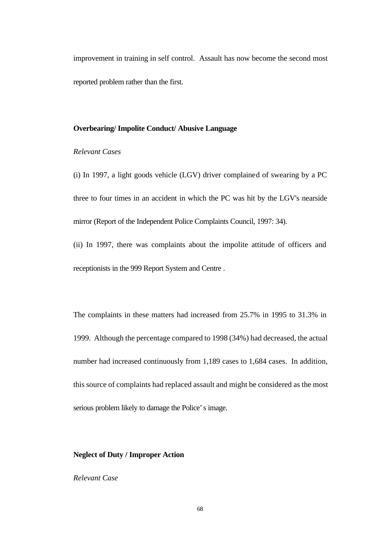improvement in training in self control. Assault has now become the second most reported problem rather than the first.

#### **Overbearing/ Impolite Conduct/ Abusive Language**

#### *Relevant Cases*

(i) In 1997, a light goods vehicle (LGV) driver complained of swearing by a PC three to four times in an accident in which the PC was hit by the LGV's nearside mirror (Report of the Independent Police Complaints Council, 1997: 34).

(ii) In 1997, there was complaints about the impolite attitude of officers and receptionists in the 999 Report System and Centre .

The complaints in these matters had increased from 25.7% in 1995 to 31.3% in 1999. Although the percentage compared to 1998 (34%) had decreased, the actual number had increased continuously from 1,189 cases to 1,684 cases. In addition, this source of complaints had replaced assault and might be considered as the most serious problem likely to damage the Police's image.

#### **Neglect of Duty / Improper Action**

## *Relevant Case*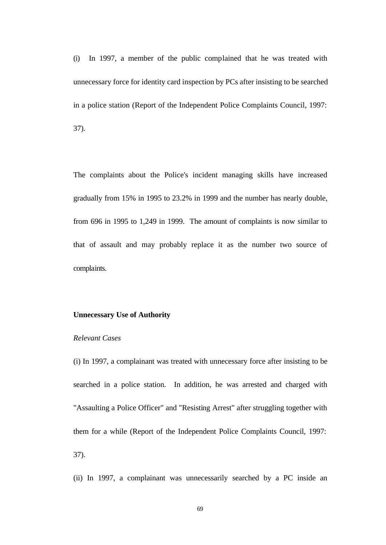(i) In 1997, a member of the public complained that he was treated with unnecessary force for identity card inspection by PCs after insisting to be searched in a police station (Report of the Independent Police Complaints Council, 1997: 37).

The complaints about the Police's incident managing skills have increased gradually from 15% in 1995 to 23.2% in 1999 and the number has nearly double, from 696 in 1995 to 1,249 in 1999. The amount of complaints is now similar to that of assault and may probably replace it as the number two source of complaints.

## **Unnecessary Use of Authority**

#### *Relevant Cases*

(i) In 1997, a complainant was treated with unnecessary force after insisting to be searched in a police station. In addition, he was arrested and charged with "Assaulting a Police Officer" and "Resisting Arrest" after struggling together with them for a while (Report of the Independent Police Complaints Council, 1997: 37).

(ii) In 1997, a complainant was unnecessarily searched by a PC inside an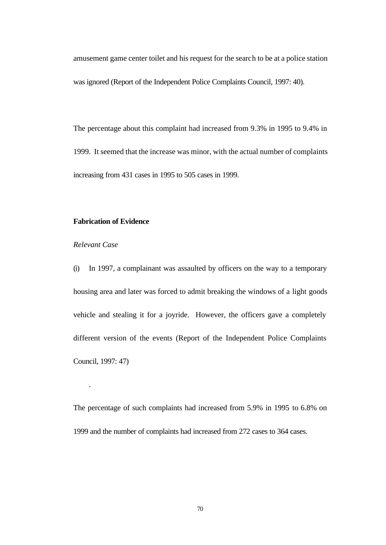amusement game center toilet and his request for the search to be at a police station was ignored (Report of the Independent Police Complaints Council, 1997: 40).

The percentage about this complaint had increased from 9.3% in 1995 to 9.4% in 1999. It seemed that the increase was minor, with the actual number of complaints increasing from 431 cases in 1995 to 505 cases in 1999.

#### **Fabrication of Evidence**

## *Relevant Case*

.

(i) In 1997, a complainant was assaulted by officers on the way to a temporary housing area and later was forced to admit breaking the windows of a light goods vehicle and stealing it for a joyride. However, the officers gave a completely different version of the events (Report of the Independent Police Complaints Council, 1997: 47)

The percentage of such complaints had increased from 5.9% in 1995 to 6.8% on 1999 and the number of complaints had increased from 272 cases to 364 cases.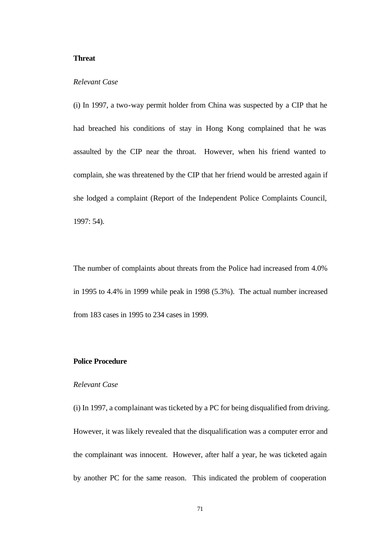#### **Threat**

#### *Relevant Case*

(i) In 1997, a two-way permit holder from China was suspected by a CIP that he had breached his conditions of stay in Hong Kong complained that he was assaulted by the CIP near the throat. However, when his friend wanted to complain, she was threatened by the CIP that her friend would be arrested again if she lodged a complaint (Report of the Independent Police Complaints Council, 1997: 54).

The number of complaints about threats from the Police had increased from 4.0% in 1995 to 4.4% in 1999 while peak in 1998 (5.3%). The actual number increased from 183 cases in 1995 to 234 cases in 1999.

## **Police Procedure**

#### *Relevant Case*

(i) In 1997, a complainant was ticketed by a PC for being disqualified from driving. However, it was likely revealed that the disqualification was a computer error and the complainant was innocent. However, after half a year, he was ticketed again by another PC for the same reason. This indicated the problem of cooperation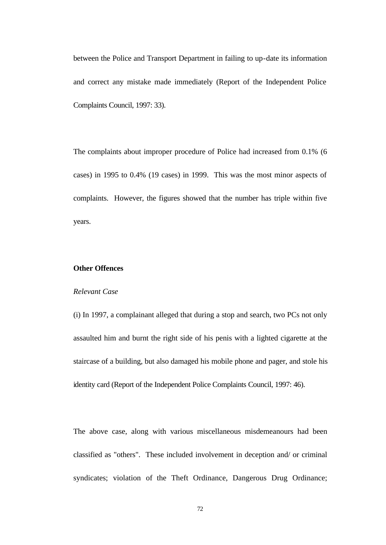between the Police and Transport Department in failing to up-date its information and correct any mistake made immediately (Report of the Independent Police Complaints Council, 1997: 33).

The complaints about improper procedure of Police had increased from 0.1% (6 cases) in 1995 to 0.4% (19 cases) in 1999. This was the most minor aspects of complaints. However, the figures showed that the number has triple within five years.

#### **Other Offences**

#### *Relevant Case*

(i) In 1997, a complainant alleged that during a stop and search, two PCs not only assaulted him and burnt the right side of his penis with a lighted cigarette at the staircase of a building, but also damaged his mobile phone and pager, and stole his identity card (Report of the Independent Police Complaints Council, 1997: 46).

The above case, along with various miscellaneous misdemeanours had been classified as "others". These included involvement in deception and/ or criminal syndicates; violation of the Theft Ordinance, Dangerous Drug Ordinance;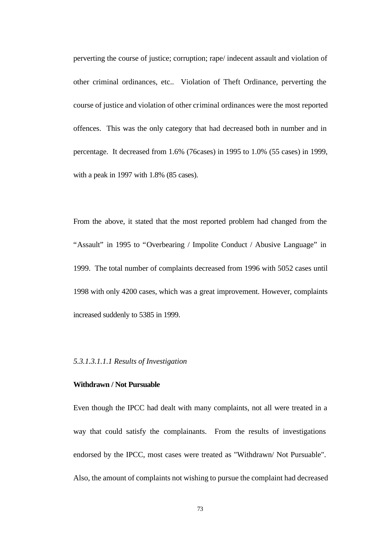perverting the course of justice; corruption; rape/ indecent assault and violation of other criminal ordinances, etc.. Violation of Theft Ordinance, perverting the course of justice and violation of other criminal ordinances were the most reported offences. This was the only category that had decreased both in number and in percentage. It decreased from 1.6% (76cases) in 1995 to 1.0% (55 cases) in 1999, with a peak in 1997 with 1.8% (85 cases).

From the above, it stated that the most reported problem had changed from the "Assault" in 1995 to "Overbearing / Impolite Conduct / Abusive Language" in 1999. The total number of complaints decreased from 1996 with 5052 cases until 1998 with only 4200 cases, which was a great improvement. However, complaints increased suddenly to 5385 in 1999.

*5.3.1.3.1.1.1 Results of Investigation*

## **Withdrawn / Not Pursuable**

Even though the IPCC had dealt with many complaints, not all were treated in a way that could satisfy the complainants. From the results of investigations endorsed by the IPCC, most cases were treated as "Withdrawn/ Not Pursuable". Also, the amount of complaints not wishing to pursue the complaint had decreased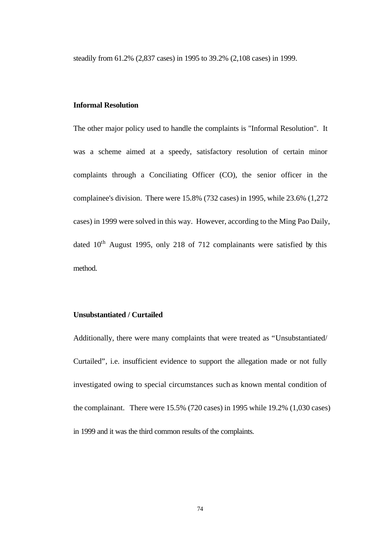steadily from 61.2% (2,837 cases) in 1995 to 39.2% (2,108 cases) in 1999.

### **Informal Resolution**

The other major policy used to handle the complaints is "Informal Resolution". It was a scheme aimed at a speedy, satisfactory resolution of certain minor complaints through a Conciliating Officer (CO), the senior officer in the complainee's division. There were 15.8% (732 cases) in 1995, while 23.6% (1,272 cases) in 1999 were solved in this way. However, according to the Ming Pao Daily, dated  $10^{th}$  August 1995, only 218 of 712 complainants were satisfied by this method.

## **Unsubstantiated / Curtailed**

Additionally, there were many complaints that were treated as "Unsubstantiated/ Curtailed", i.e. insufficient evidence to support the allegation made or not fully investigated owing to special circumstances such as known mental condition of the complainant. There were 15.5% (720 cases) in 1995 while 19.2% (1,030 cases) in 1999 and it was the third common results of the complaints.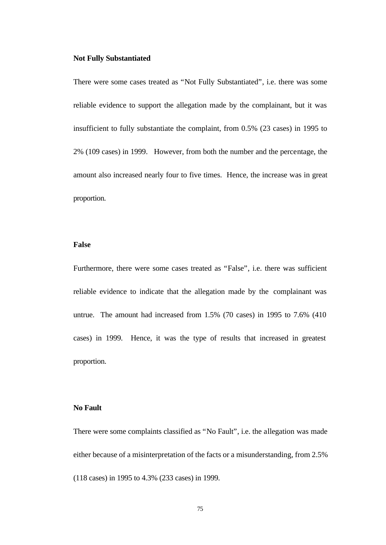#### **Not Fully Substantiated**

There were some cases treated as "Not Fully Substantiated", i.e. there was some reliable evidence to support the allegation made by the complainant, but it was insufficient to fully substantiate the complaint, from 0.5% (23 cases) in 1995 to 2% (109 cases) in 1999. However, from both the number and the percentage, the amount also increased nearly four to five times. Hence, the increase was in great proportion.

#### **False**

Furthermore, there were some cases treated as "False", i.e. there was sufficient reliable evidence to indicate that the allegation made by the complainant was untrue. The amount had increased from 1.5% (70 cases) in 1995 to 7.6% (410 cases) in 1999. Hence, it was the type of results that increased in greatest proportion.

#### **No Fault**

There were some complaints classified as "No Fault", i.e. the allegation was made either because of a misinterpretation of the facts or a misunderstanding, from 2.5% (118 cases) in 1995 to 4.3% (233 cases) in 1999.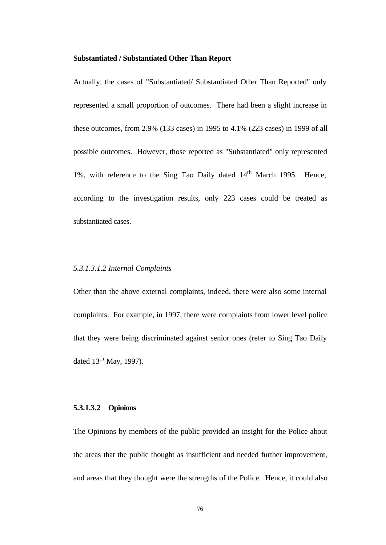#### **Substantiated / Substantiated Other Than Report**

Actually, the cases of "Substantiated/ Substantiated Other Than Reported" only represented a small proportion of outcomes. There had been a slight increase in these outcomes, from 2.9% (133 cases) in 1995 to 4.1% (223 cases) in 1999 of all possible outcomes. However, those reported as "Substantiated" only represented 1%, with reference to the Sing Tao Daily dated 14<sup>th</sup> March 1995. Hence, according to the investigation results, only 223 cases could be treated as substantiated cases.

## *5.3.1.3.1.2 Internal Complaints*

Other than the above external complaints, indeed, there were also some internal complaints. For example, in 1997, there were complaints from lower level police that they were being discriminated against senior ones (refer to Sing Tao Daily dated  $13<sup>th</sup>$  May, 1997).

#### **5.3.1.3.2 Opinions**

The Opinions by members of the public provided an insight for the Police about the areas that the public thought as insufficient and needed further improvement, and areas that they thought were the strengths of the Police. Hence, it could also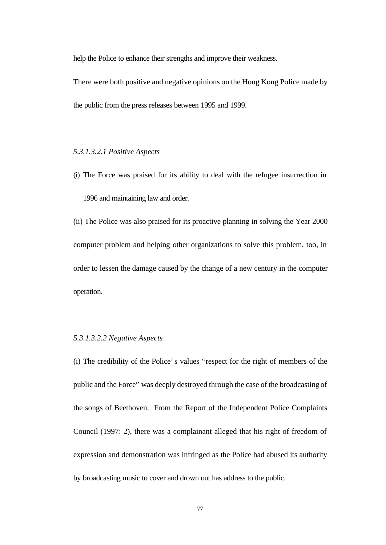help the Police to enhance their strengths and improve their weakness.

There were both positive and negative opinions on the Hong Kong Police made by the public from the press releases between 1995 and 1999.

#### *5.3.1.3.2.1 Positive Aspects*

(i) The Force was praised for its ability to deal with the refugee insurrection in 1996 and maintaining law and order.

(ii) The Police was also praised for its proactive planning in solving the Year 2000 computer problem and helping other organizations to solve this problem, too, in order to lessen the damage caused by the change of a new century in the computer operation.

#### *5.3.1.3.2.2 Negative Aspects*

(i) The credibility of the Police's values "respect for the right of members of the public and the Force" was deeply destroyed through the case of the broadcasting of the songs of Beethoven. From the Report of the Independent Police Complaints Council (1997: 2), there was a complainant alleged that his right of freedom of expression and demonstration was infringed as the Police had abused its authority by broadcasting music to cover and drown out has address to the public.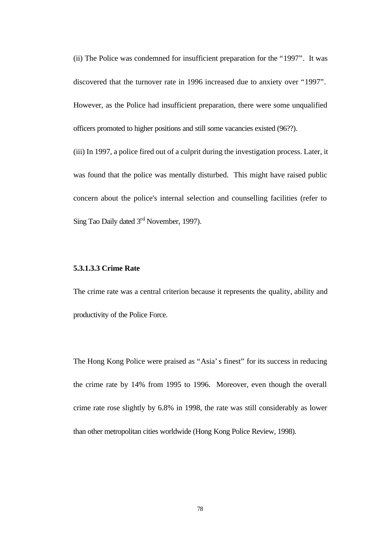(ii) The Police was condemned for insufficient preparation for the "1997". It was discovered that the turnover rate in 1996 increased due to anxiety over "1997". However, as the Police had insufficient preparation, there were some unqualified officers promoted to higher positions and still some vacancies existed (96??).

(iii) In 1997, a police fired out of a culprit during the investigation process. Later, it was found that the police was mentally disturbed. This might have raised public concern about the police's internal selection and counselling facilities (refer to Sing Tao Daily dated 3<sup>rd</sup> November, 1997).

#### **5.3.1.3.3 Crime Rate**

The crime rate was a central criterion because it represents the quality, ability and productivity of the Police Force.

The Hong Kong Police were praised as "Asia's finest" for its success in reducing the crime rate by 14% from 1995 to 1996. Moreover, even though the overall crime rate rose slightly by 6.8% in 1998, the rate was still considerably as lower than other metropolitan cities worldwide (Hong Kong Police Review, 1998).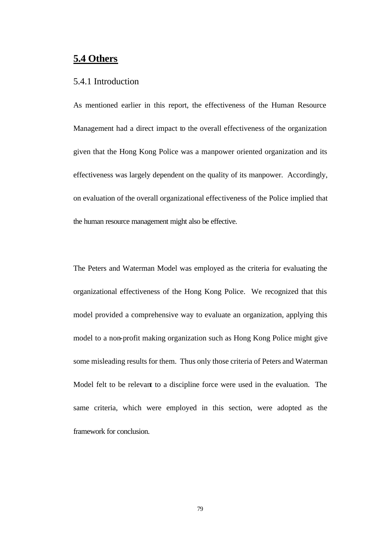# **5.4 Others**

## 5.4.1 Introduction

As mentioned earlier in this report, the effectiveness of the Human Resource Management had a direct impact to the overall effectiveness of the organization given that the Hong Kong Police was a manpower oriented organization and its effectiveness was largely dependent on the quality of its manpower. Accordingly, on evaluation of the overall organizational effectiveness of the Police implied that the human resource management might also be effective.

The Peters and Waterman Model was employed as the criteria for evaluating the organizational effectiveness of the Hong Kong Police. We recognized that this model provided a comprehensive way to evaluate an organization, applying this model to a non-profit making organization such as Hong Kong Police might give some misleading results for them. Thus only those criteria of Peters and Waterman Model felt to be relevant to a discipline force were used in the evaluation. The same criteria, which were employed in this section, were adopted as the framework for conclusion.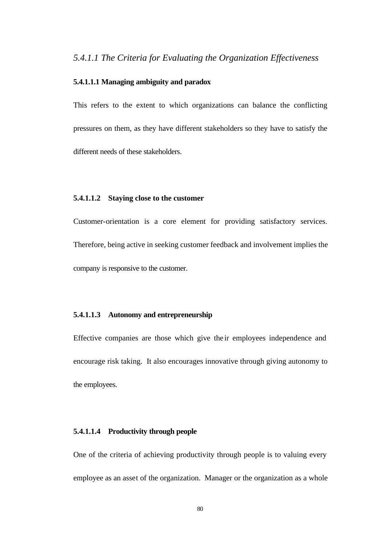### **5.4.1.1.1 Managing ambiguity and paradox**

This refers to the extent to which organizations can balance the conflicting pressures on them, as they have different stakeholders so they have to satisfy the different needs of these stakeholders.

## **5.4.1.1.2 Staying close to the customer**

Customer-orientation is a core element for providing satisfactory services. Therefore, being active in seeking customer feedback and involvement implies the company is responsive to the customer.

## **5.4.1.1.3 Autonomy and entrepreneurship**

Effective companies are those which give the ir employees independence and encourage risk taking. It also encourages innovative through giving autonomy to the employees.

## **5.4.1.1.4 Productivity through people**

One of the criteria of achieving productivity through people is to valuing every employee as an asset of the organization. Manager or the organization as a whole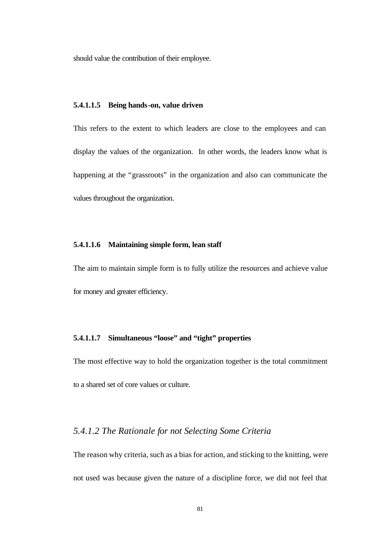should value the contribution of their employee.

#### **5.4.1.1.5 Being hands-on, value driven**

This refers to the extent to which leaders are close to the employees and can display the values of the organization. In other words, the leaders know what is happening at the "grassroots" in the organization and also can communicate the values throughout the organization.

## **5.4.1.1.6 Maintaining simple form, lean staff**

The aim to maintain simple form is to fully utilize the resources and achieve value for money and greater efficiency.

## **5.4.1.1.7 Simultaneous "loose" and "tight" properties**

The most effective way to hold the organization together is the total commitment to a shared set of core values or culture.

## *5.4.1.2 The Rationale for not Selecting Some Criteria*

The reason why criteria, such as a bias for action, and sticking to the knitting, were not used was because given the nature of a discipline force, we did not feel that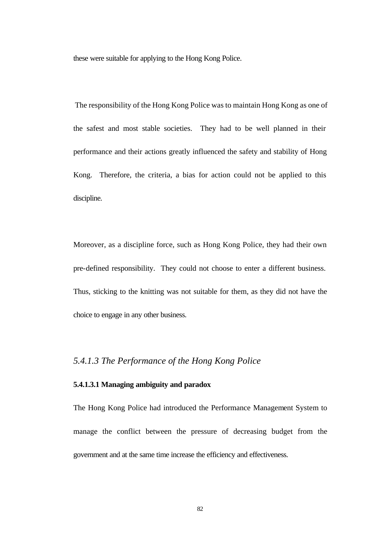these were suitable for applying to the Hong Kong Police.

 The responsibility of the Hong Kong Police was to maintain Hong Kong as one of the safest and most stable societies. They had to be well planned in their performance and their actions greatly influenced the safety and stability of Hong Kong. Therefore, the criteria, a bias for action could not be applied to this discipline.

Moreover, as a discipline force, such as Hong Kong Police, they had their own pre-defined responsibility. They could not choose to enter a different business. Thus, sticking to the knitting was not suitable for them, as they did not have the choice to engage in any other business.

## *5.4.1.3 The Performance of the Hong Kong Police*

#### **5.4.1.3.1 Managing ambiguity and paradox**

The Hong Kong Police had introduced the Performance Management System to manage the conflict between the pressure of decreasing budget from the government and at the same time increase the efficiency and effectiveness.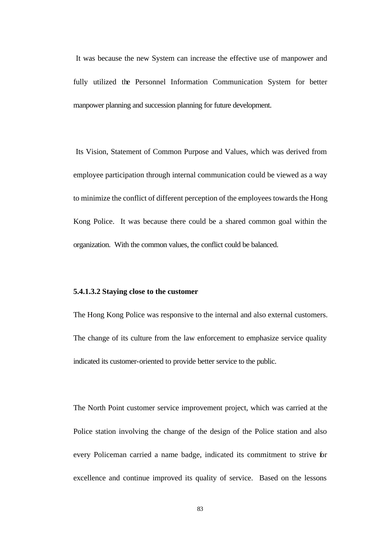It was because the new System can increase the effective use of manpower and fully utilized the Personnel Information Communication System for better manpower planning and succession planning for future development.

 Its Vision, Statement of Common Purpose and Values, which was derived from employee participation through internal communication could be viewed as a way to minimize the conflict of different perception of the employees towards the Hong Kong Police. It was because there could be a shared common goal within the organization. With the common values, the conflict could be balanced.

#### **5.4.1.3.2 Staying close to the customer**

The Hong Kong Police was responsive to the internal and also external customers. The change of its culture from the law enforcement to emphasize service quality indicated its customer-oriented to provide better service to the public.

The North Point customer service improvement project, which was carried at the Police station involving the change of the design of the Police station and also every Policeman carried a name badge, indicated its commitment to strive for excellence and continue improved its quality of service. Based on the lessons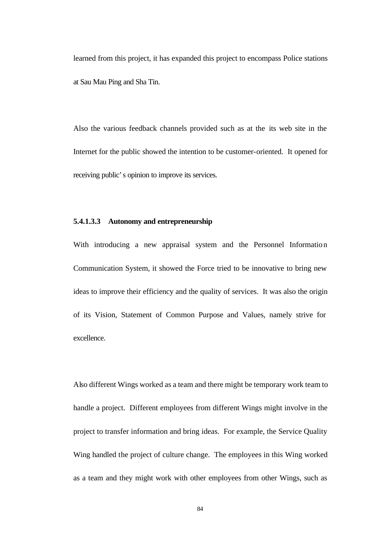learned from this project, it has expanded this project to encompass Police stations at Sau Mau Ping and Sha Tin.

Also the various feedback channels provided such as at the its web site in the Internet for the public showed the intention to be customer-oriented. It opened for receiving public's opinion to improve its services.

#### **5.4.1.3.3 Autonomy and entrepreneurship**

With introducing a new appraisal system and the Personnel Information Communication System, it showed the Force tried to be innovative to bring new ideas to improve their efficiency and the quality of services. It was also the origin of its Vision, Statement of Common Purpose and Values, namely strive for excellence.

Also different Wings worked as a team and there might be temporary work team to handle a project. Different employees from different Wings might involve in the project to transfer information and bring ideas. For example, the Service Quality Wing handled the project of culture change. The employees in this Wing worked as a team and they might work with other employees from other Wings, such as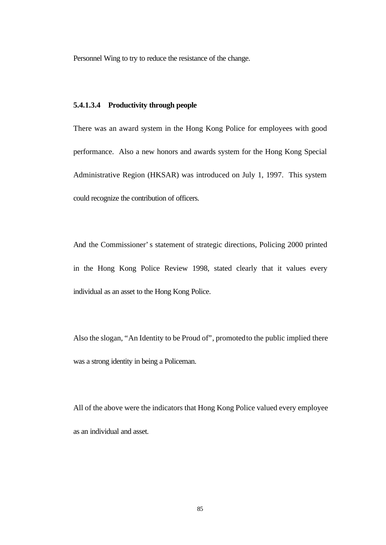Personnel Wing to try to reduce the resistance of the change.

## **5.4.1.3.4 Productivity through people**

There was an award system in the Hong Kong Police for employees with good performance. Also a new honors and awards system for the Hong Kong Special Administrative Region (HKSAR) was introduced on July 1, 1997. This system could recognize the contribution of officers.

And the Commissioner's statement of strategic directions, Policing 2000 printed in the Hong Kong Police Review 1998, stated clearly that it values every individual as an asset to the Hong Kong Police.

Also the slogan, "An Identity to be Proud of", promoted to the public implied there was a strong identity in being a Policeman.

All of the above were the indicators that Hong Kong Police valued every employee as an individual and asset.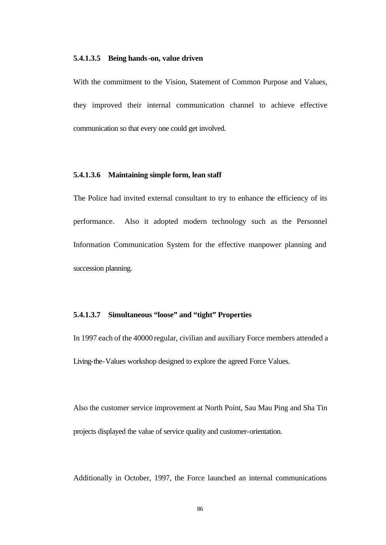#### **5.4.1.3.5 Being hands-on, value driven**

With the commitment to the Vision, Statement of Common Purpose and Values, they improved their internal communication channel to achieve effective communication so that every one could get involved.

#### **5.4.1.3.6 Maintaining simple form, lean staff**

The Police had invited external consultant to try to enhance the efficiency of its performance. Also it adopted modern technology such as the Personnel Information Communication System for the effective manpower planning and succession planning.

## **5.4.1.3.7 Simultaneous "loose" and "tight" Properties**

In 1997 each of the 40000 regular, civilian and auxiliary Force members attended a Living-the-Values workshop designed to explore the agreed Force Values.

Also the customer service improvement at North Point, Sau Mau Ping and Sha Tin projects displayed the value of service quality and customer-orientation.

Additionally in October, 1997, the Force launched an internal communications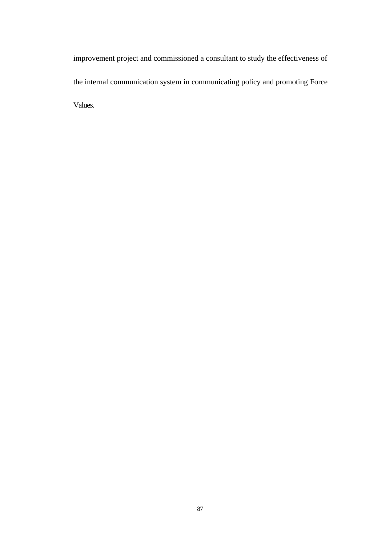improvement project and commissioned a consultant to study the effectiveness of the internal communication system in communicating policy and promoting Force Values.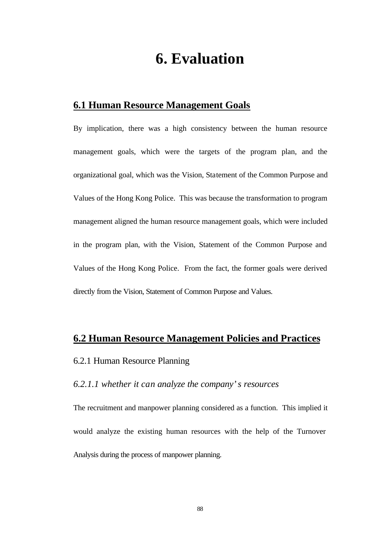# **6. Evaluation**

# **6.1 Human Resource Management Goals**

By implication, there was a high consistency between the human resource management goals, which were the targets of the program plan, and the organizational goal, which was the Vision, Statement of the Common Purpose and Values of the Hong Kong Police. This was because the transformation to program management aligned the human resource management goals, which were included in the program plan, with the Vision, Statement of the Common Purpose and Values of the Hong Kong Police. From the fact, the former goals were derived directly from the Vision, Statement of Common Purpose and Values.

# **6.2 Human Resource Management Policies and Practices**

# 6.2.1 Human Resource Planning

## *6.2.1.1 whether it can analyze the company's resources*

The recruitment and manpower planning considered as a function. This implied it would analyze the existing human resources with the help of the Turnover Analysis during the process of manpower planning.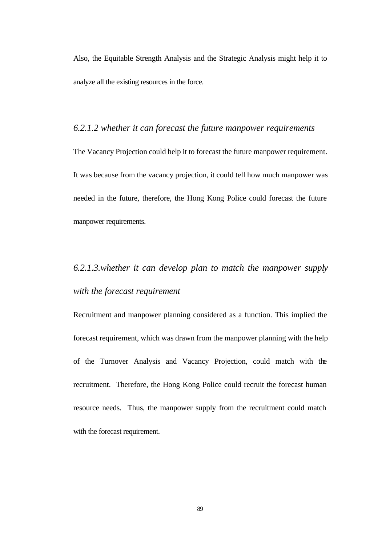Also, the Equitable Strength Analysis and the Strategic Analysis might help it to analyze all the existing resources in the force.

# *6.2.1.2 whether it can forecast the future manpower requirements*

The Vacancy Projection could help it to forecast the future manpower requirement. It was because from the vacancy projection, it could tell how much manpower was needed in the future, therefore, the Hong Kong Police could forecast the future manpower requirements.

# *6.2.1.3.whether it can develop plan to match the manpower supply with the forecast requirement*

Recruitment and manpower planning considered as a function. This implied the forecast requirement, which was drawn from the manpower planning with the help of the Turnover Analysis and Vacancy Projection, could match with the recruitment. Therefore, the Hong Kong Police could recruit the forecast human resource needs. Thus, the manpower supply from the recruitment could match with the forecast requirement.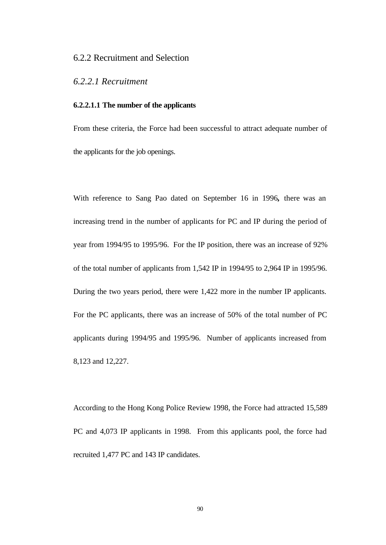## 6.2.2 Recruitment and Selection

## *6.2.2.1 Recruitment*

### **6.2.2.1.1 The number of the applicants**

From these criteria, the Force had been successful to attract adequate number of the applicants for the job openings.

With reference to Sang Pao dated on September 16 in 1996*,* there was an increasing trend in the number of applicants for PC and IP during the period of year from 1994/95 to 1995/96. For the IP position, there was an increase of 92% of the total number of applicants from 1,542 IP in 1994/95 to 2,964 IP in 1995/96. During the two years period, there were 1,422 more in the number IP applicants. For the PC applicants, there was an increase of 50% of the total number of PC applicants during 1994/95 and 1995/96. Number of applicants increased from 8,123 and 12,227.

According to the Hong Kong Police Review 1998, the Force had attracted 15,589 PC and 4,073 IP applicants in 1998. From this applicants pool, the force had recruited 1,477 PC and 143 IP candidates.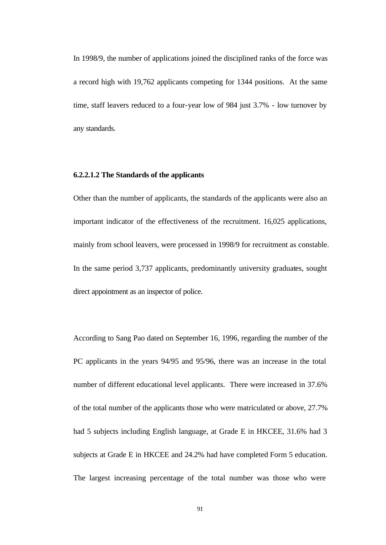In 1998/9, the number of applications joined the disciplined ranks of the force was a record high with 19,762 applicants competing for 1344 positions. At the same time, staff leavers reduced to a four-year low of 984 just 3.7% - low turnover by any standards.

## **6.2.2.1.2 The Standards of the applicants**

Other than the number of applicants, the standards of the applicants were also an important indicator of the effectiveness of the recruitment. 16,025 applications, mainly from school leavers, were processed in 1998/9 for recruitment as constable. In the same period 3,737 applicants, predominantly university graduates, sought direct appointment as an inspector of police.

According to Sang Pao dated on September 16, 1996, regarding the number of the PC applicants in the years 94/95 and 95/96, there was an increase in the total number of different educational level applicants. There were increased in 37.6% of the total number of the applicants those who were matriculated or above, 27.7% had 5 subjects including English language, at Grade E in HKCEE, 31.6% had 3 subjects at Grade E in HKCEE and 24.2% had have completed Form 5 education. The largest increasing percentage of the total number was those who were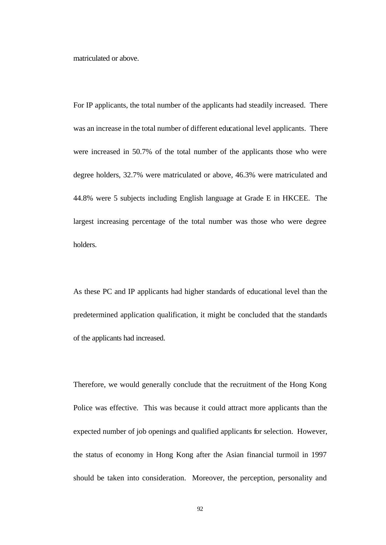matriculated or above.

For IP applicants, the total number of the applicants had steadily increased. There was an increase in the total number of different educational level applicants. There were increased in 50.7% of the total number of the applicants those who were degree holders, 32.7% were matriculated or above, 46.3% were matriculated and 44.8% were 5 subjects including English language at Grade E in HKCEE. The largest increasing percentage of the total number was those who were degree holders.

As these PC and IP applicants had higher standards of educational level than the predetermined application qualification, it might be concluded that the standards of the applicants had increased.

Therefore, we would generally conclude that the recruitment of the Hong Kong Police was effective. This was because it could attract more applicants than the expected number of job openings and qualified applicants for selection. However, the status of economy in Hong Kong after the Asian financial turmoil in 1997 should be taken into consideration. Moreover, the perception, personality and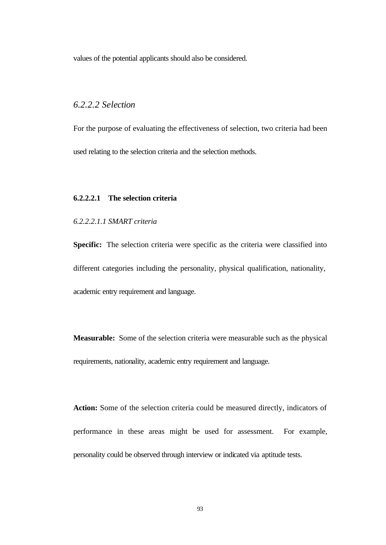values of the potential applicants should also be considered.

# *6.2.2.2 Selection*

For the purpose of evaluating the effectiveness of selection, two criteria had been used relating to the selection criteria and the selection methods.

#### **6.2.2.2.1 The selection criteria**

#### *6.2.2.2.1.1 SMART criteria*

**Specific:** The selection criteria were specific as the criteria were classified into different categories including the personality, physical qualification, nationality, academic entry requirement and language.

**Measurable:** Some of the selection criteria were measurable such as the physical requirements, nationality, academic entry requirement and language.

**Action:** Some of the selection criteria could be measured directly, indicators of performance in these areas might be used for assessment. For example, personality could be observed through interview or indicated via aptitude tests.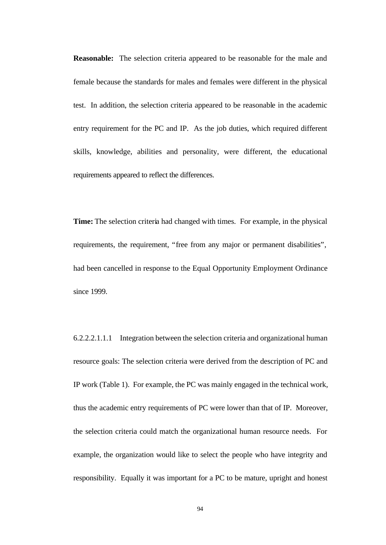**Reasonable:** The selection criteria appeared to be reasonable for the male and female because the standards for males and females were different in the physical test. In addition, the selection criteria appeared to be reasonable in the academic entry requirement for the PC and IP. As the job duties, which required different skills, knowledge, abilities and personality, were different, the educational requirements appeared to reflect the differences.

**Time:** The selection criteria had changed with times. For example, in the physical requirements, the requirement, "free from any major or permanent disabilities", had been cancelled in response to the Equal Opportunity Employment Ordinance since 1999.

6.2.2.2.1.1.1 Integration between the selection criteria and organizational human resource goals: The selection criteria were derived from the description of PC and IP work (Table 1). For example, the PC was mainly engaged in the technical work, thus the academic entry requirements of PC were lower than that of IP. Moreover, the selection criteria could match the organizational human resource needs. For example, the organization would like to select the people who have integrity and responsibility. Equally it was important for a PC to be mature, upright and honest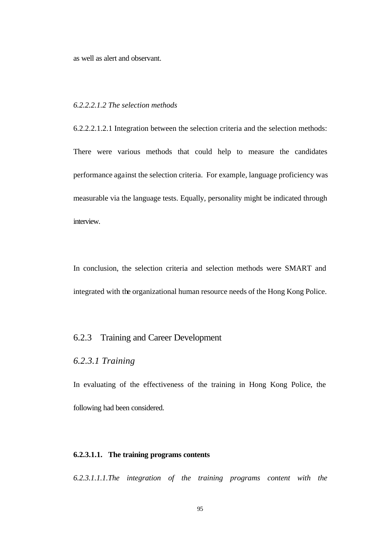as well as alert and observant.

## *6.2.2.2.1.2 The selection methods*

6.2.2.2.1.2.1 Integration between the selection criteria and the selection methods: There were various methods that could help to measure the candidates performance against the selection criteria. For example, language proficiency was measurable via the language tests. Equally, personality might be indicated through interview.

In conclusion, the selection criteria and selection methods were SMART and integrated with the organizational human resource needs of the Hong Kong Police.

## 6.2.3 Training and Career Development

# *6.2.3.1 Training*

In evaluating of the effectiveness of the training in Hong Kong Police, the following had been considered.

#### **6.2.3.1.1. The training programs contents**

*6.2.3.1.1.1.The integration of the training programs content with the*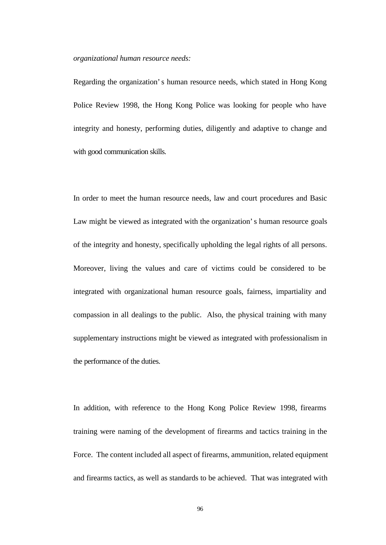#### *organizational human resource needs:*

Regarding the organization's human resource needs, which stated in Hong Kong Police Review 1998, the Hong Kong Police was looking for people who have integrity and honesty, performing duties, diligently and adaptive to change and with good communication skills.

In order to meet the human resource needs, law and court procedures and Basic Law might be viewed as integrated with the organization's human resource goals of the integrity and honesty, specifically upholding the legal rights of all persons. Moreover, living the values and care of victims could be considered to be integrated with organizational human resource goals, fairness, impartiality and compassion in all dealings to the public. Also, the physical training with many supplementary instructions might be viewed as integrated with professionalism in the performance of the duties.

In addition, with reference to the Hong Kong Police Review 1998, firearms training were naming of the development of firearms and tactics training in the Force. The content included all aspect of firearms, ammunition, related equipment and firearms tactics, as well as standards to be achieved. That was integrated with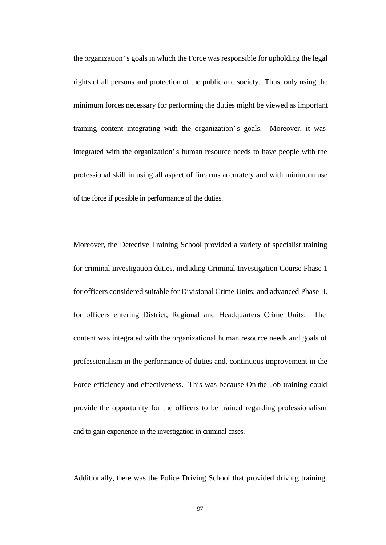the organization's goals in which the Force was responsible for upholding the legal rights of all persons and protection of the public and society. Thus, only using the minimum forces necessary for performing the duties might be viewed as important training content integrating with the organization's goals. Moreover, it was integrated with the organization's human resource needs to have people with the professional skill in using all aspect of firearms accurately and with minimum use of the force if possible in performance of the duties.

Moreover, the Detective Training School provided a variety of specialist training for criminal investigation duties, including Criminal Investigation Course Phase 1 for officers considered suitable for Divisional Crime Units; and advanced Phase II, for officers entering District, Regional and Headquarters Crime Units. The content was integrated with the organizational human resource needs and goals of professionalism in the performance of duties and, continuous improvement in the Force efficiency and effectiveness. This was because On-the-Job training could provide the opportunity for the officers to be trained regarding professionalism and to gain experience in the investigation in criminal cases.

Additionally, there was the Police Driving School that provided driving training.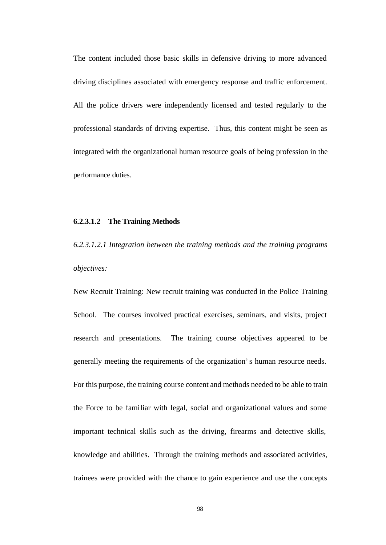The content included those basic skills in defensive driving to more advanced driving disciplines associated with emergency response and traffic enforcement. All the police drivers were independently licensed and tested regularly to the professional standards of driving expertise. Thus, this content might be seen as integrated with the organizational human resource goals of being profession in the performance duties.

#### **6.2.3.1.2 The Training Methods**

*6.2.3.1.2.1 Integration between the training methods and the training programs objectives:* 

New Recruit Training: New recruit training was conducted in the Police Training School. The courses involved practical exercises, seminars, and visits, project research and presentations. The training course objectives appeared to be generally meeting the requirements of the organization's human resource needs. For this purpose, the training course content and methods needed to be able to train the Force to be familiar with legal, social and organizational values and some important technical skills such as the driving, firearms and detective skills, knowledge and abilities. Through the training methods and associated activities, trainees were provided with the chance to gain experience and use the concepts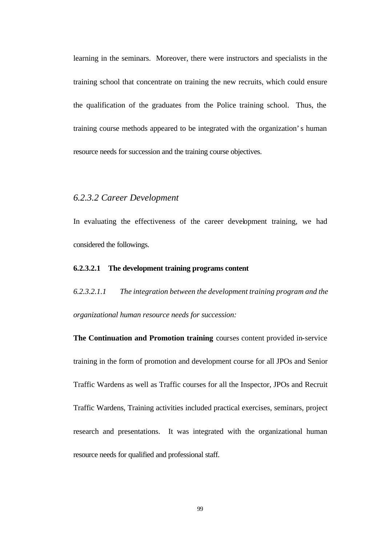learning in the seminars. Moreover, there were instructors and specialists in the training school that concentrate on training the new recruits, which could ensure the qualification of the graduates from the Police training school. Thus, the training course methods appeared to be integrated with the organization's human resource needs for succession and the training course objectives.

#### *6.2.3.2 Career Development*

In evaluating the effectiveness of the career development training, we had considered the followings.

#### **6.2.3.2.1 The development training programs content**

*6.2.3.2.1.1 The integration between the development training program and the organizational human resource needs for succession:* 

**The Continuation and Promotion training** courses content provided in-service training in the form of promotion and development course for all JPOs and Senior Traffic Wardens as well as Traffic courses for all the Inspector, JPOs and Recruit Traffic Wardens, Training activities included practical exercises, seminars, project research and presentations. It was integrated with the organizational human resource needs for qualified and professional staff.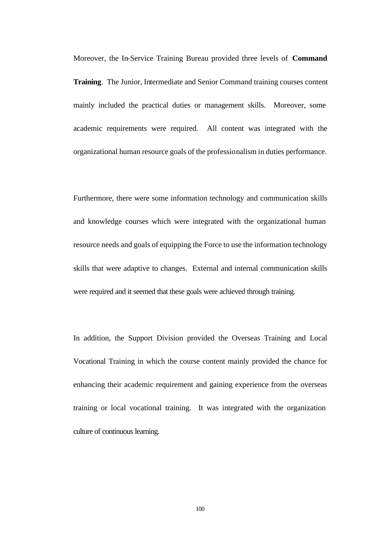Moreover, the In-Service Training Bureau provided three levels of **Command Training**. The Junior, Intermediate and Senior Command training courses content mainly included the practical duties or management skills. Moreover, some academic requirements were required. All content was integrated with the organizational human resource goals of the professionalism in duties performance.

Furthermore, there were some information technology and communication skills and knowledge courses which were integrated with the organizational human resource needs and goals of equipping the Force to use the information technology skills that were adaptive to changes. External and internal communication skills were required and it seemed that these goals were achieved through training.

In addition, the Support Division provided the Overseas Training and Local Vocational Training in which the course content mainly provided the chance for enhancing their academic requirement and gaining experience from the overseas training or local vocational training. It was integrated with the organization culture of continuous learning.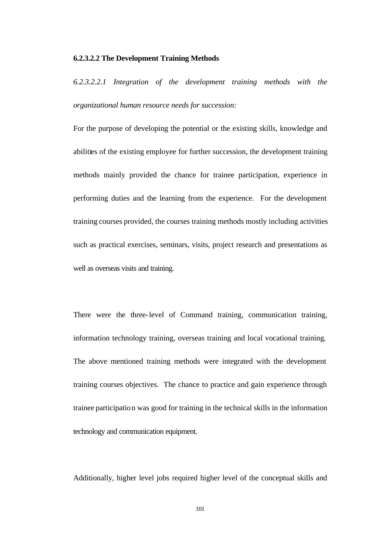#### **6.2.3.2.2 The Development Training Methods**

*6.2.3.2.2.1 Integration of the development training methods with the organizational human resource needs for succession:* 

For the purpose of developing the potential or the existing skills, knowledge and abilities of the existing employee for further succession, the development training methods mainly provided the chance for trainee participation, experience in performing duties and the learning from the experience. For the development training courses provided, the courses training methods mostly including activities such as practical exercises, seminars, visits, project research and presentations as well as overseas visits and training.

There were the three-level of Command training, communication training, information technology training, overseas training and local vocational training. The above mentioned training methods were integrated with the development training courses objectives. The chance to practice and gain experience through trainee participation was good for training in the technical skills in the information technology and communication equipment.

Additionally, higher level jobs required higher level of the conceptual skills and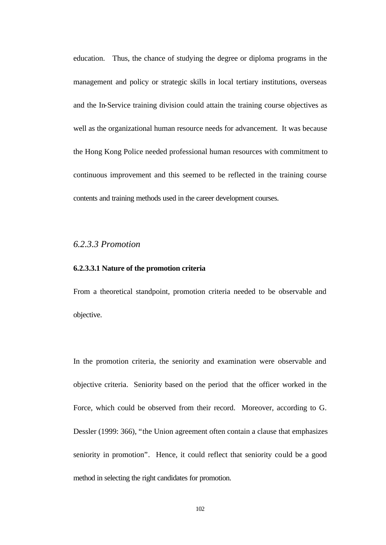education. Thus, the chance of studying the degree or diploma programs in the management and policy or strategic skills in local tertiary institutions, overseas and the In-Service training division could attain the training course objectives as well as the organizational human resource needs for advancement. It was because the Hong Kong Police needed professional human resources with commitment to continuous improvement and this seemed to be reflected in the training course contents and training methods used in the career development courses.

# *6.2.3.3 Promotion*

#### **6.2.3.3.1 Nature of the promotion criteria**

From a theoretical standpoint, promotion criteria needed to be observable and objective.

In the promotion criteria, the seniority and examination were observable and objective criteria. Seniority based on the period that the officer worked in the Force, which could be observed from their record. Moreover, according to G. Dessler (1999: 366), "the Union agreement often contain a clause that emphasizes seniority in promotion". Hence, it could reflect that seniority could be a good method in selecting the right candidates for promotion.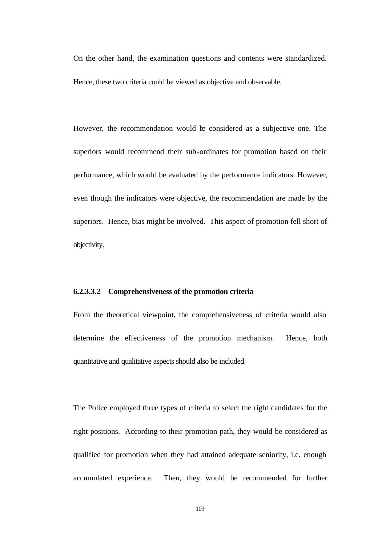On the other hand, the examination questions and contents were standardized. Hence, these two criteria could be viewed as objective and observable.

However, the recommendation would be considered as a subjective one. The superiors would recommend their sub-ordinates for promotion based on their performance, which would be evaluated by the performance indicators. However, even though the indicators were objective, the recommendation are made by the superiors. Hence, bias might be involved. This aspect of promotion fell short of objectivity.

#### **6.2.3.3.2 Comprehensiveness of the promotion criteria**

From the theoretical viewpoint, the comprehensiveness of criteria would also determine the effectiveness of the promotion mechanism. Hence, both quantitative and qualitative aspects should also be included.

The Police employed three types of criteria to select the right candidates for the right positions. According to their promotion path, they would be considered as qualified for promotion when they had attained adequate seniority, i.e. enough accumulated experience. Then, they would be recommended for further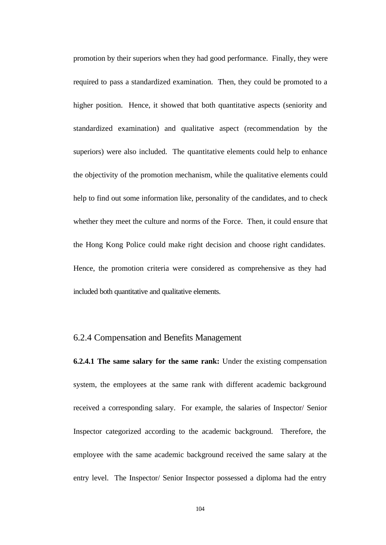promotion by their superiors when they had good performance. Finally, they were required to pass a standardized examination. Then, they could be promoted to a higher position. Hence, it showed that both quantitative aspects (seniority and standardized examination) and qualitative aspect (recommendation by the superiors) were also included. The quantitative elements could help to enhance the objectivity of the promotion mechanism, while the qualitative elements could help to find out some information like, personality of the candidates, and to check whether they meet the culture and norms of the Force. Then, it could ensure that the Hong Kong Police could make right decision and choose right candidates. Hence, the promotion criteria were considered as comprehensive as they had included both quantitative and qualitative elements.

#### 6.2.4 Compensation and Benefits Management

**6.2.4.1 The same salary for the same rank:** Under the existing compensation system, the employees at the same rank with different academic background received a corresponding salary. For example, the salaries of Inspector/ Senior Inspector categorized according to the academic background. Therefore, the employee with the same academic background received the same salary at the entry level. The Inspector/ Senior Inspector possessed a diploma had the entry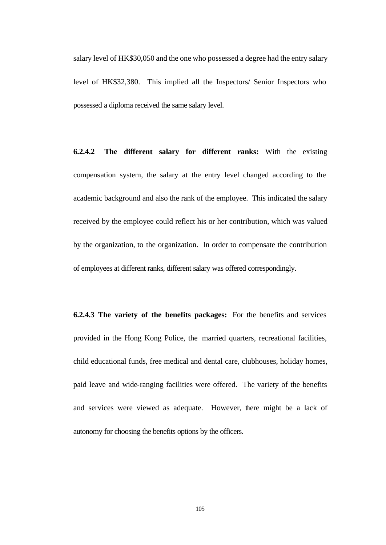salary level of HK\$30,050 and the one who possessed a degree had the entry salary level of HK\$32,380. This implied all the Inspectors/ Senior Inspectors who possessed a diploma received the same salary level.

**6.2.4.2 The different salary for different ranks:** With the existing compensation system, the salary at the entry level changed according to the academic background and also the rank of the employee. This indicated the salary received by the employee could reflect his or her contribution, which was valued by the organization, to the organization. In order to compensate the contribution of employees at different ranks, different salary was offered correspondingly.

**6.2.4.3 The variety of the benefits packages:** For the benefits and services provided in the Hong Kong Police, the married quarters, recreational facilities, child educational funds, free medical and dental care, clubhouses, holiday homes, paid leave and wide-ranging facilities were offered. The variety of the benefits and services were viewed as adequate. However, there might be a lack of autonomy for choosing the benefits options by the officers.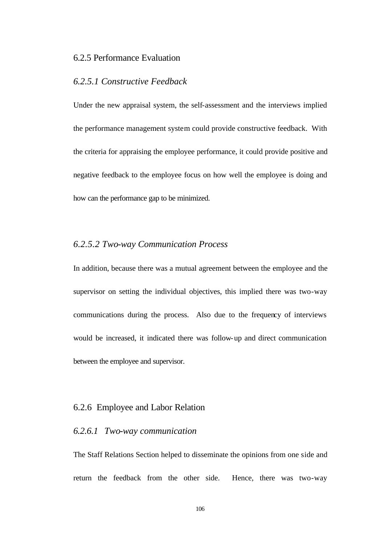# 6.2.5 Performance Evaluation

#### *6.2.5.1 Constructive Feedback*

Under the new appraisal system, the self-assessment and the interviews implied the performance management system could provide constructive feedback. With the criteria for appraising the employee performance, it could provide positive and negative feedback to the employee focus on how well the employee is doing and how can the performance gap to be minimized.

# *6.2.5.2 Two-way Communication Process*

In addition, because there was a mutual agreement between the employee and the supervisor on setting the individual objectives, this implied there was two-way communications during the process. Also due to the frequency of interviews would be increased, it indicated there was follow-up and direct communication between the employee and supervisor.

## 6.2.6 Employee and Labor Relation

#### *6.2.6.1 Two-way communication*

The Staff Relations Section helped to disseminate the opinions from one side and return the feedback from the other side. Hence, there was two-way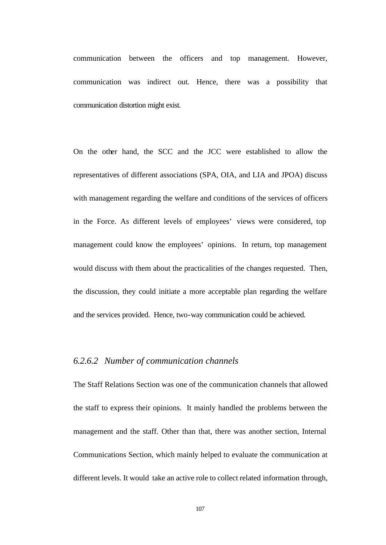communication between the officers and top management. However, communication was indirect out. Hence, there was a possibility that communication distortion might exist.

On the other hand, the SCC and the JCC were established to allow the representatives of different associations (SPA, OIA, and LIA and JPOA) discuss with management regarding the welfare and conditions of the services of officers in the Force. As different levels of employees' views were considered, top management could know the employees' opinions. In return, top management would discuss with them about the practicalities of the changes requested. Then, the discussion, they could initiate a more acceptable plan regarding the welfare and the services provided. Hence, two-way communication could be achieved.

## *6.2.6.2 Number of communication channels*

The Staff Relations Section was one of the communication channels that allowed the staff to express their opinions. It mainly handled the problems between the management and the staff. Other than that, there was another section, Internal Communications Section, which mainly helped to evaluate the communication at different levels. It would take an active role to collect related information through,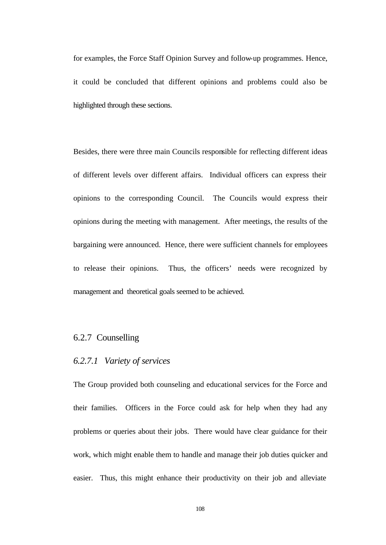for examples, the Force Staff Opinion Survey and follow-up programmes. Hence, it could be concluded that different opinions and problems could also be highlighted through these sections.

Besides, there were three main Councils responsible for reflecting different ideas of different levels over different affairs. Individual officers can express their opinions to the corresponding Council. The Councils would express their opinions during the meeting with management. After meetings, the results of the bargaining were announced. Hence, there were sufficient channels for employees to release their opinions. Thus, the officers' needs were recognized by management and theoretical goals seemed to be achieved.

### 6.2.7 Counselling

#### *6.2.7.1 Variety of services*

The Group provided both counseling and educational services for the Force and their families. Officers in the Force could ask for help when they had any problems or queries about their jobs. There would have clear guidance for their work, which might enable them to handle and manage their job duties quicker and easier. Thus, this might enhance their productivity on their job and alleviate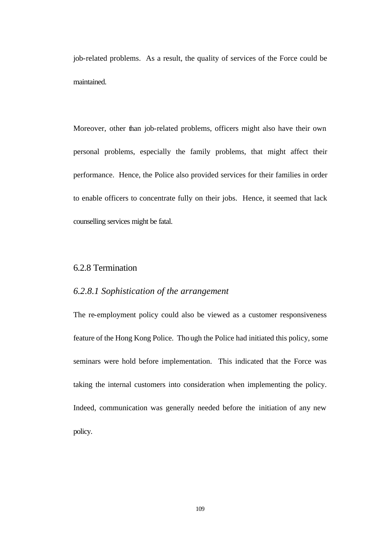job-related problems. As a result, the quality of services of the Force could be maintained.

Moreover, other than job-related problems, officers might also have their own personal problems, especially the family problems, that might affect their performance. Hence, the Police also provided services for their families in order to enable officers to concentrate fully on their jobs. Hence, it seemed that lack counselling services might be fatal.

# 6.2.8 Termination

### *6.2.8.1 Sophistication of the arrangement*

The re-employment policy could also be viewed as a customer responsiveness feature of the Hong Kong Police. Though the Police had initiated this policy, some seminars were hold before implementation. This indicated that the Force was taking the internal customers into consideration when implementing the policy. Indeed, communication was generally needed before the initiation of any new policy.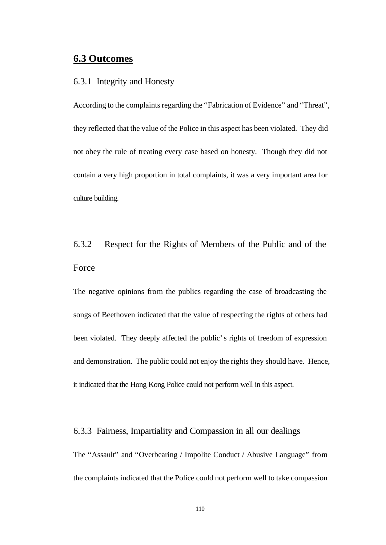# **6.3 Outcomes**

#### 6.3.1 Integrity and Honesty

According to the complaints regarding the "Fabrication of Evidence" and "Threat", they reflected that the value of the Police in this aspect has been violated. They did not obey the rule of treating every case based on honesty. Though they did not contain a very high proportion in total complaints, it was a very important area for culture building.

# 6.3.2 Respect for the Rights of Members of the Public and of the Force

The negative opinions from the publics regarding the case of broadcasting the songs of Beethoven indicated that the value of respecting the rights of others had been violated. They deeply affected the public's rights of freedom of expression and demonstration. The public could not enjoy the rights they should have. Hence, it indicated that the Hong Kong Police could not perform well in this aspect.

## 6.3.3 Fairness, Impartiality and Compassion in all our dealings

The "Assault" and "Overbearing / Impolite Conduct / Abusive Language" from the complaints indicated that the Police could not perform well to take compassion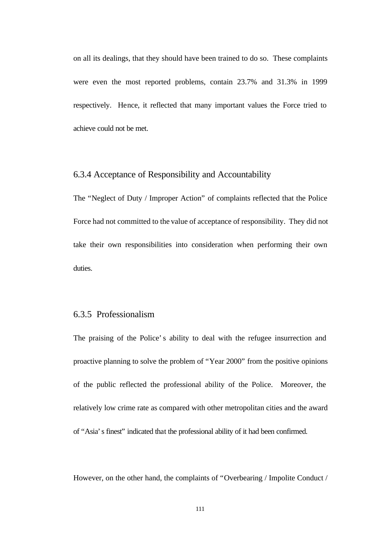on all its dealings, that they should have been trained to do so. These complaints were even the most reported problems, contain 23.7% and 31.3% in 1999 respectively. Hence, it reflected that many important values the Force tried to achieve could not be met.

#### 6.3.4 Acceptance of Responsibility and Accountability

The "Neglect of Duty / Improper Action" of complaints reflected that the Police Force had not committed to the value of acceptance of responsibility. They did not take their own responsibilities into consideration when performing their own duties.

#### 6.3.5 Professionalism

The praising of the Police's ability to deal with the refugee insurrection and proactive planning to solve the problem of "Year 2000" from the positive opinions of the public reflected the professional ability of the Police. Moreover, the relatively low crime rate as compared with other metropolitan cities and the award of "Asia's finest" indicated that the professional ability of it had been confirmed.

However, on the other hand, the complaints of "Overbearing / Impolite Conduct /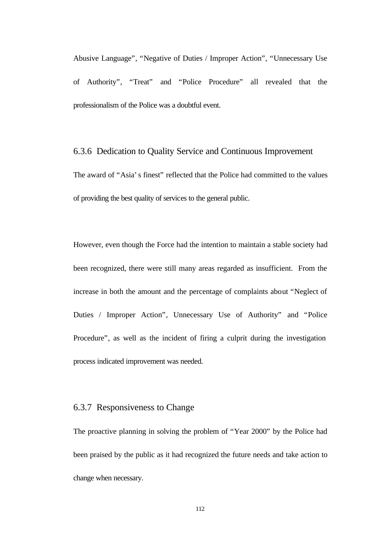Abusive Language", "Negative of Duties / Improper Action", "Unnecessary Use of Authority", "Treat" and "Police Procedure" all revealed that the professionalism of the Police was a doubtful event.

6.3.6 Dedication to Quality Service and Continuous Improvement The award of "Asia's finest" reflected that the Police had committed to the values of providing the best quality of services to the general public.

However, even though the Force had the intention to maintain a stable society had been recognized, there were still many areas regarded as insufficient. From the increase in both the amount and the percentage of complaints about "Neglect of Duties / Improper Action", Unnecessary Use of Authority" and "Police Procedure", as well as the incident of firing a culprit during the investigation process indicated improvement was needed.

# 6.3.7 Responsiveness to Change

The proactive planning in solving the problem of "Year 2000" by the Police had been praised by the public as it had recognized the future needs and take action to change when necessary.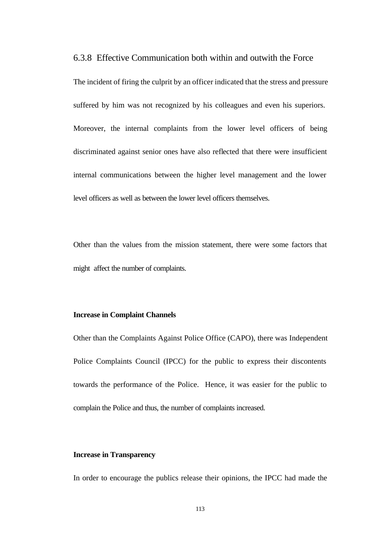6.3.8 Effective Communication both within and outwith the Force

The incident of firing the culprit by an officer indicated that the stress and pressure suffered by him was not recognized by his colleagues and even his superiors. Moreover, the internal complaints from the lower level officers of being discriminated against senior ones have also reflected that there were insufficient internal communications between the higher level management and the lower level officers as well as between the lower level officers themselves.

Other than the values from the mission statement, there were some factors that might affect the number of complaints.

#### **Increase in Complaint Channels**

Other than the Complaints Against Police Office (CAPO), there was Independent Police Complaints Council (IPCC) for the public to express their discontents towards the performance of the Police. Hence, it was easier for the public to complain the Police and thus, the number of complaints increased.

#### **Increase in Transparency**

In order to encourage the publics release their opinions, the IPCC had made the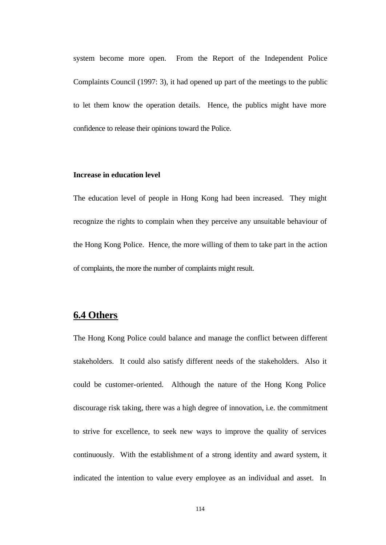system become more open. From the Report of the Independent Police Complaints Council (1997: 3), it had opened up part of the meetings to the public to let them know the operation details. Hence, the publics might have more confidence to release their opinions toward the Police.

#### **Increase in education level**

The education level of people in Hong Kong had been increased. They might recognize the rights to complain when they perceive any unsuitable behaviour of the Hong Kong Police. Hence, the more willing of them to take part in the action of complaints, the more the number of complaints might result.

# **6.4 Others**

The Hong Kong Police could balance and manage the conflict between different stakeholders. It could also satisfy different needs of the stakeholders. Also it could be customer-oriented. Although the nature of the Hong Kong Police discourage risk taking, there was a high degree of innovation, i.e. the commitment to strive for excellence, to seek new ways to improve the quality of services continuously. With the establishment of a strong identity and award system, it indicated the intention to value every employee as an individual and asset. In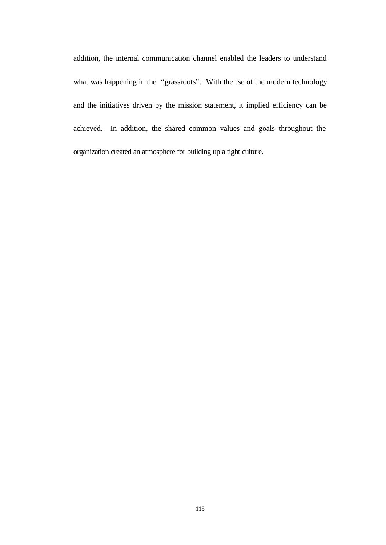addition, the internal communication channel enabled the leaders to understand what was happening in the "grassroots". With the use of the modern technology and the initiatives driven by the mission statement, it implied efficiency can be achieved. In addition, the shared common values and goals throughout the organization created an atmosphere for building up a tight culture.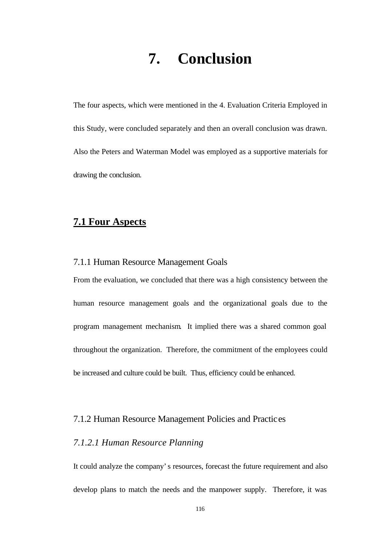# **7. Conclusion**

The four aspects, which were mentioned in the 4. Evaluation Criteria Employed in this Study, were concluded separately and then an overall conclusion was drawn. Also the Peters and Waterman Model was employed as a supportive materials for drawing the conclusion.

# **7.1 Four Aspects**

#### 7.1.1 Human Resource Management Goals

From the evaluation, we concluded that there was a high consistency between the human resource management goals and the organizational goals due to the program management mechanism. It implied there was a shared common goal throughout the organization. Therefore, the commitment of the employees could be increased and culture could be built. Thus, efficiency could be enhanced.

#### 7.1.2 Human Resource Management Policies and Practices

### *7.1.2.1 Human Resource Planning*

It could analyze the company's resources, forecast the future requirement and also develop plans to match the needs and the manpower supply. Therefore, it was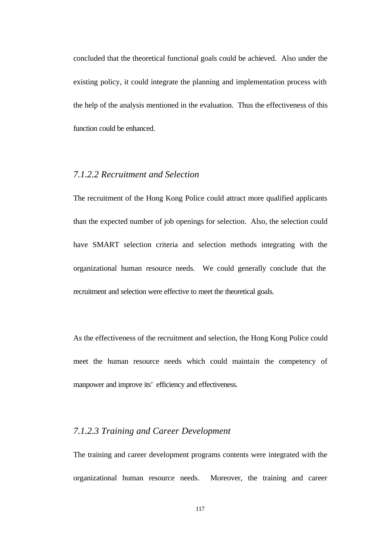concluded that the theoretical functional goals could be achieved. Also under the existing policy, it could integrate the planning and implementation process with the help of the analysis mentioned in the evaluation. Thus the effectiveness of this function could be enhanced.

## *7.1.2.2 Recruitment and Selection*

The recruitment of the Hong Kong Police could attract more qualified applicants than the expected number of job openings for selection. Also, the selection could have SMART selection criteria and selection methods integrating with the organizational human resource needs. We could generally conclude that the recruitment and selection were effective to meet the theoretical goals.

As the effectiveness of the recruitment and selection, the Hong Kong Police could meet the human resource needs which could maintain the competency of manpower and improve its' efficiency and effectiveness.

#### *7.1.2.3 Training and Career Development*

The training and career development programs contents were integrated with the organizational human resource needs. Moreover, the training and career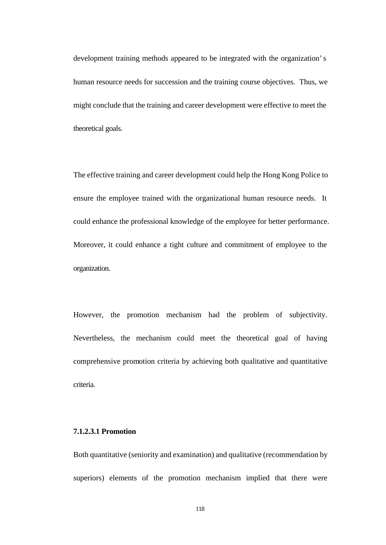development training methods appeared to be integrated with the organization's human resource needs for succession and the training course objectives. Thus, we might conclude that the training and career development were effective to meet the theoretical goals.

The effective training and career development could help the Hong Kong Police to ensure the employee trained with the organizational human resource needs. It could enhance the professional knowledge of the employee for better performance. Moreover, it could enhance a tight culture and commitment of employee to the organization.

However, the promotion mechanism had the problem of subjectivity. Nevertheless, the mechanism could meet the theoretical goal of having comprehensive promotion criteria by achieving both qualitative and quantitative criteria.

#### **7.1.2.3.1 Promotion**

Both quantitative (seniority and examination) and qualitative (recommendation by superiors) elements of the promotion mechanism implied that there were

118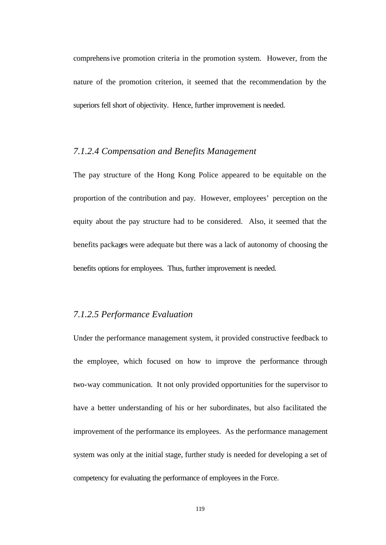comprehensive promotion criteria in the promotion system. However, from the nature of the promotion criterion, it seemed that the recommendation by the superiors fell short of objectivity. Hence, further improvement is needed.

#### *7.1.2.4 Compensation and Benefits Management*

The pay structure of the Hong Kong Police appeared to be equitable on the proportion of the contribution and pay. However, employees' perception on the equity about the pay structure had to be considered. Also, it seemed that the benefits packages were adequate but there was a lack of autonomy of choosing the benefits options for employees. Thus, further improvement is needed.

## *7.1.2.5 Performance Evaluation*

Under the performance management system, it provided constructive feedback to the employee, which focused on how to improve the performance through two-way communication. It not only provided opportunities for the supervisor to have a better understanding of his or her subordinates, but also facilitated the improvement of the performance its employees. As the performance management system was only at the initial stage, further study is needed for developing a set of competency for evaluating the performance of employees in the Force.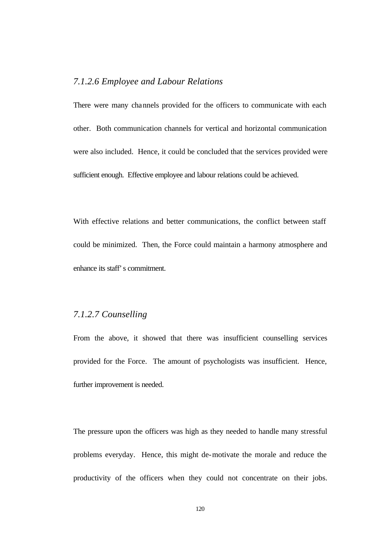# *7.1.2.6 Employee and Labour Relations*

There were many channels provided for the officers to communicate with each other. Both communication channels for vertical and horizontal communication were also included. Hence, it could be concluded that the services provided were sufficient enough. Effective employee and labour relations could be achieved.

With effective relations and better communications, the conflict between staff could be minimized. Then, the Force could maintain a harmony atmosphere and enhance its staff's commitment.

#### *7.1.2.7 Counselling*

From the above, it showed that there was insufficient counselling services provided for the Force. The amount of psychologists was insufficient. Hence, further improvement is needed.

The pressure upon the officers was high as they needed to handle many stressful problems everyday. Hence, this might de-motivate the morale and reduce the productivity of the officers when they could not concentrate on their jobs.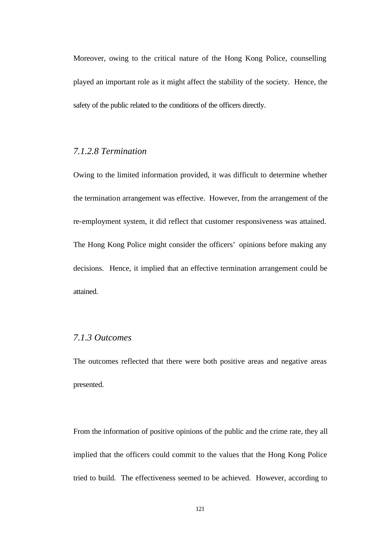Moreover, owing to the critical nature of the Hong Kong Police, counselling played an important role as it might affect the stability of the society. Hence, the safety of the public related to the conditions of the officers directly.

## *7.1.2.8 Termination*

Owing to the limited information provided, it was difficult to determine whether the termination arrangement was effective. However, from the arrangement of the re-employment system, it did reflect that customer responsiveness was attained. The Hong Kong Police might consider the officers' opinions before making any decisions. Hence, it implied that an effective termination arrangement could be attained.

# *7.1.3 Outcomes*

The outcomes reflected that there were both positive areas and negative areas presented.

From the information of positive opinions of the public and the crime rate, they all implied that the officers could commit to the values that the Hong Kong Police tried to build. The effectiveness seemed to be achieved. However, according to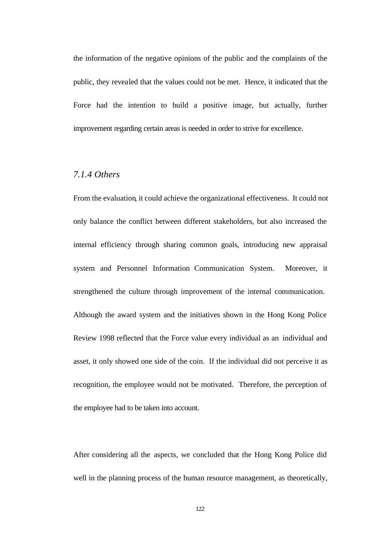the information of the negative opinions of the public and the complaints of the public, they revealed that the values could not be met. Hence, it indicated that the Force had the intention to build a positive image, but actually, further improvement regarding certain areas is needed in order to strive for excellence.

## *7.1.4 Others*

From the evaluation, it could achieve the organizational effectiveness. It could not only balance the conflict between different stakeholders, but also increased the internal efficiency through sharing common goals, introducing new appraisal system and Personnel Information Communication System. Moreover, it strengthened the culture through improvement of the internal communication. Although the award system and the initiatives shown in the Hong Kong Police Review 1998 reflected that the Force value every individual as an individual and asset, it only showed one side of the coin. If the individual did not perceive it as recognition, the employee would not be motivated. Therefore, the perception of the employee had to be taken into account.

After considering all the aspects, we concluded that the Hong Kong Police did well in the planning process of the human resource management, as theoretically,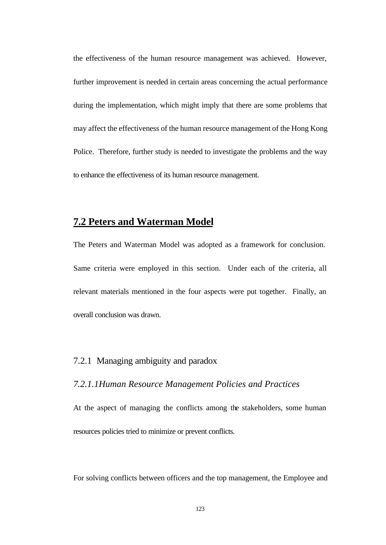the effectiveness of the human resource management was achieved. However, further improvement is needed in certain areas concerning the actual performance during the implementation, which might imply that there are some problems that may affect the effectiveness of the human resource management of the Hong Kong Police. Therefore, further study is needed to investigate the problems and the way to enhance the effectiveness of its human resource management.

# **7.2 Peters and Waterman Model**

The Peters and Waterman Model was adopted as a framework for conclusion. Same criteria were employed in this section. Under each of the criteria, all relevant materials mentioned in the four aspects were put together. Finally, an overall conclusion was drawn.

# 7.2.1 Managing ambiguity and paradox

#### *7.2.1.1Human Resource Management Policies and Practices*

At the aspect of managing the conflicts among the stakeholders, some human resources policies tried to minimize or prevent conflicts.

For solving conflicts between officers and the top management, the Employee and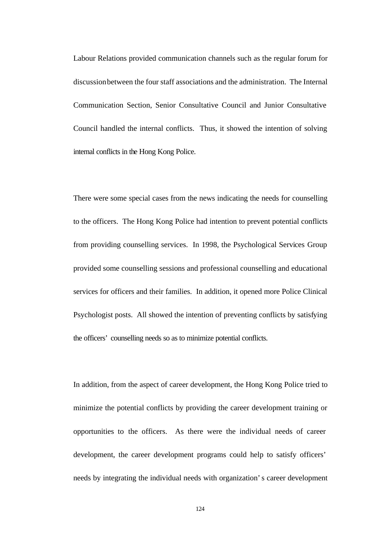Labour Relations provided communication channels such as the regular forum for discussion between the four staff associations and the administration. The Internal Communication Section, Senior Consultative Council and Junior Consultative Council handled the internal conflicts. Thus, it showed the intention of solving internal conflicts in the Hong Kong Police.

There were some special cases from the news indicating the needs for counselling to the officers. The Hong Kong Police had intention to prevent potential conflicts from providing counselling services. In 1998, the Psychological Services Group provided some counselling sessions and professional counselling and educational services for officers and their families. In addition, it opened more Police Clinical Psychologist posts. All showed the intention of preventing conflicts by satisfying the officers' counselling needs so as to minimize potential conflicts.

In addition, from the aspect of career development, the Hong Kong Police tried to minimize the potential conflicts by providing the career development training or opportunities to the officers. As there were the individual needs of career development, the career development programs could help to satisfy officers' needs by integrating the individual needs with organization's career development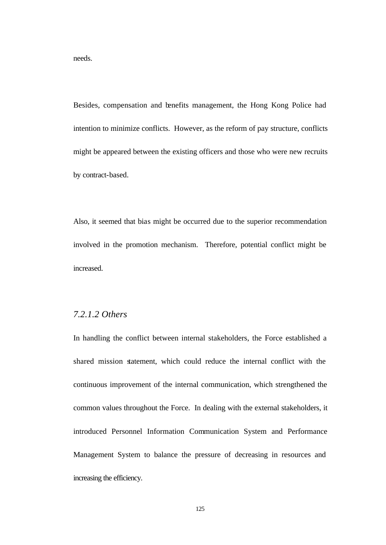needs.

Besides, compensation and benefits management, the Hong Kong Police had intention to minimize conflicts. However, as the reform of pay structure, conflicts might be appeared between the existing officers and those who were new recruits by contract-based.

Also, it seemed that bias might be occurred due to the superior recommendation involved in the promotion mechanism. Therefore, potential conflict might be increased.

#### *7.2.1.2 Others*

In handling the conflict between internal stakeholders, the Force established a shared mission statement, which could reduce the internal conflict with the continuous improvement of the internal communication, which strengthened the common values throughout the Force. In dealing with the external stakeholders, it introduced Personnel Information Communication System and Performance Management System to balance the pressure of decreasing in resources and increasing the efficiency.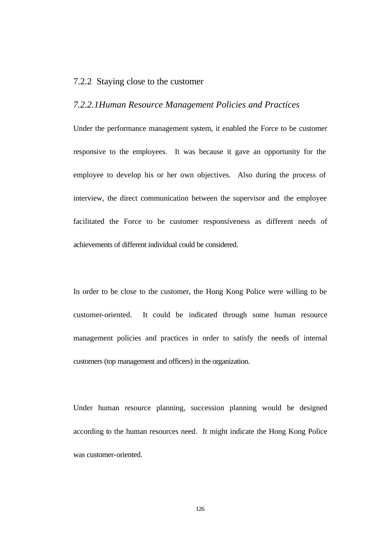#### 7.2.2 Staying close to the customer

#### *7.2.2.1Human Resource Management Policies and Practices*

Under the performance management system, it enabled the Force to be customer responsive to the employees. It was because it gave an opportunity for the employee to develop his or her own objectives. Also during the process of interview, the direct communication between the supervisor and the employee facilitated the Force to be customer responsiveness as different needs of achievements of different individual could be considered.

In order to be close to the customer, the Hong Kong Police were willing to be customer-oriented. It could be indicated through some human resource management policies and practices in order to satisfy the needs of internal customers (top management and officers) in the organization.

Under human resource planning, succession planning would be designed according to the human resources need. It might indicate the Hong Kong Police was customer-oriented.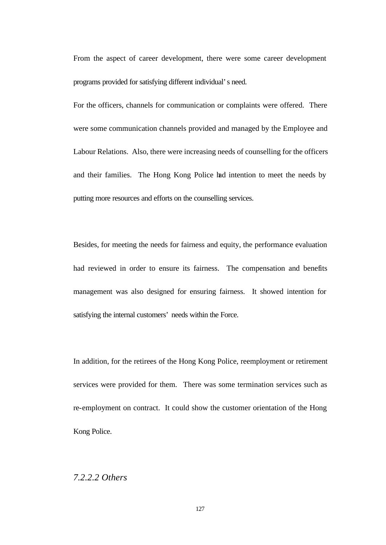From the aspect of career development, there were some career development programs provided for satisfying different individual's need.

For the officers, channels for communication or complaints were offered. There were some communication channels provided and managed by the Employee and Labour Relations. Also, there were increasing needs of counselling for the officers and their families. The Hong Kong Police had intention to meet the needs by putting more resources and efforts on the counselling services.

Besides, for meeting the needs for fairness and equity, the performance evaluation had reviewed in order to ensure its fairness. The compensation and benefits management was also designed for ensuring fairness. It showed intention for satisfying the internal customers' needs within the Force.

In addition, for the retirees of the Hong Kong Police, reemployment or retirement services were provided for them. There was some termination services such as re-employment on contract. It could show the customer orientation of the Hong Kong Police.

#### *7.2.2.2 Others*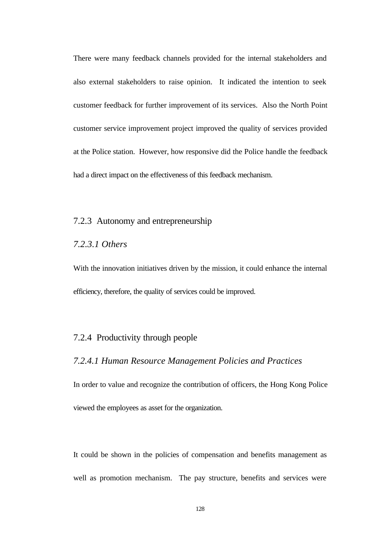There were many feedback channels provided for the internal stakeholders and also external stakeholders to raise opinion. It indicated the intention to seek customer feedback for further improvement of its services. Also the North Point customer service improvement project improved the quality of services provided at the Police station. However, how responsive did the Police handle the feedback had a direct impact on the effectiveness of this feedback mechanism.

#### 7.2.3 Autonomy and entrepreneurship

#### *7.2.3.1 Others*

With the innovation initiatives driven by the mission, it could enhance the internal efficiency, therefore, the quality of services could be improved.

### 7.2.4 Productivity through people

#### *7.2.4.1 Human Resource Management Policies and Practices*

In order to value and recognize the contribution of officers, the Hong Kong Police viewed the employees as asset for the organization.

It could be shown in the policies of compensation and benefits management as well as promotion mechanism. The pay structure, benefits and services were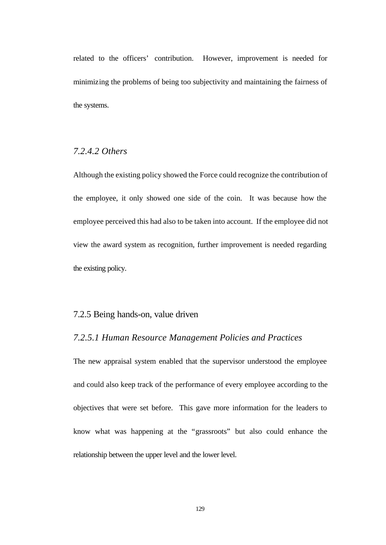related to the officers' contribution. However, improvement is needed for minimizing the problems of being too subjectivity and maintaining the fairness of the systems.

# *7.2.4.2 Others*

Although the existing policy showed the Force could recognize the contribution of the employee, it only showed one side of the coin. It was because how the employee perceived this had also to be taken into account. If the employee did not view the award system as recognition, further improvement is needed regarding the existing policy.

# 7.2.5 Being hands-on, value driven

## *7.2.5.1 Human Resource Management Policies and Practices*

The new appraisal system enabled that the supervisor understood the employee and could also keep track of the performance of every employee according to the objectives that were set before. This gave more information for the leaders to know what was happening at the "grassroots" but also could enhance the relationship between the upper level and the lower level.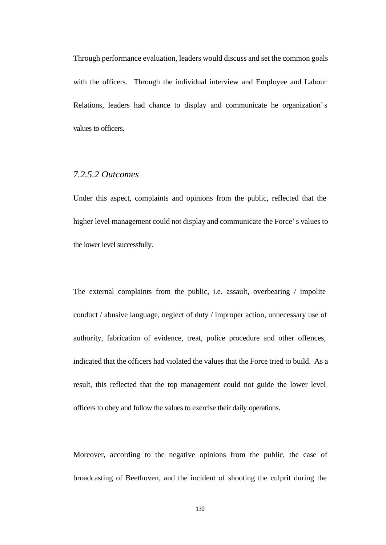Through performance evaluation, leaders would discuss and set the common goals with the officers. Through the individual interview and Employee and Labour Relations, leaders had chance to display and communicate he organization's values to officers.

## *7.2.5.2 Outcomes*

Under this aspect, complaints and opinions from the public, reflected that the higher level management could not display and communicate the Force's values to the lower level successfully.

The external complaints from the public, i.e. assault, overbearing / impolite conduct / abusive language, neglect of duty / improper action, unnecessary use of authority, fabrication of evidence, treat, police procedure and other offences, indicated that the officers had violated the values that the Force tried to build. As a result, this reflected that the top management could not guide the lower level officers to obey and follow the values to exercise their daily operations.

Moreover, according to the negative opinions from the public, the case of broadcasting of Beethoven, and the incident of shooting the culprit during the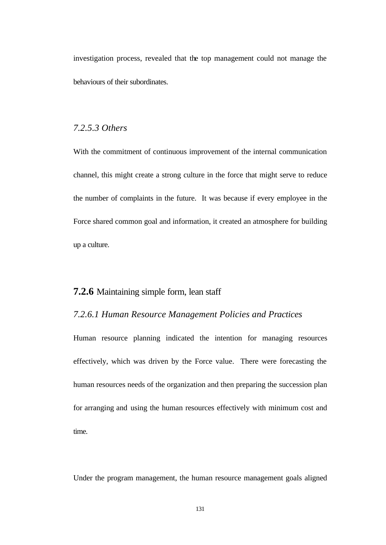investigation process, revealed that the top management could not manage the behaviours of their subordinates.

# *7.2.5.3 Others*

With the commitment of continuous improvement of the internal communication channel, this might create a strong culture in the force that might serve to reduce the number of complaints in the future. It was because if every employee in the Force shared common goal and information, it created an atmosphere for building up a culture.

# **7.2.6** Maintaining simple form, lean staff

#### *7.2.6.1 Human Resource Management Policies and Practices*

Human resource planning indicated the intention for managing resources effectively, which was driven by the Force value. There were forecasting the human resources needs of the organization and then preparing the succession plan for arranging and using the human resources effectively with minimum cost and time.

Under the program management, the human resource management goals aligned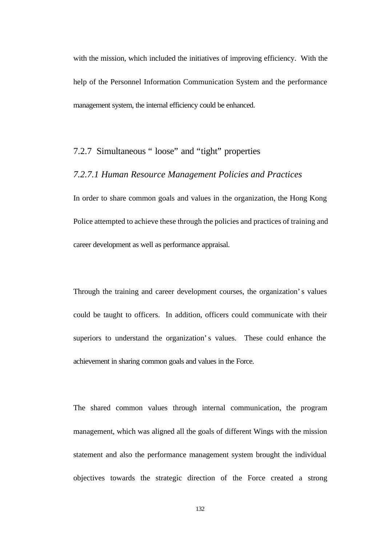with the mission, which included the initiatives of improving efficiency. With the help of the Personnel Information Communication System and the performance management system, the internal efficiency could be enhanced.

# 7.2.7 Simultaneous " loose" and "tight" properties

## *7.2.7.1 Human Resource Management Policies and Practices*

In order to share common goals and values in the organization, the Hong Kong Police attempted to achieve these through the policies and practices of training and career development as well as performance appraisal.

Through the training and career development courses, the organization's values could be taught to officers. In addition, officers could communicate with their superiors to understand the organization's values. These could enhance the achievement in sharing common goals and values in the Force.

The shared common values through internal communication, the program management, which was aligned all the goals of different Wings with the mission statement and also the performance management system brought the individual objectives towards the strategic direction of the Force created a strong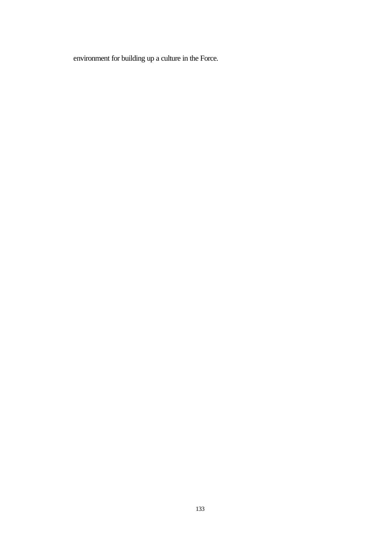environment for building up a culture in the Force.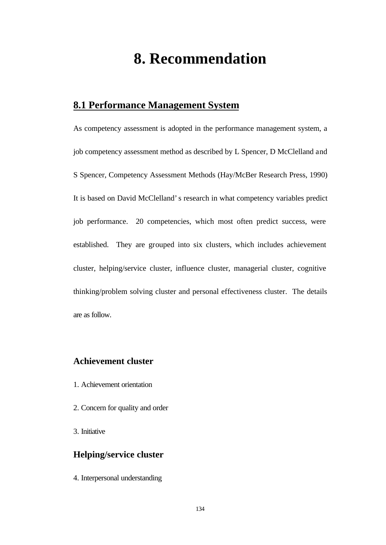# **8. Recommendation**

## **8.1 Performance Management System**

As competency assessment is adopted in the performance management system, a job competency assessment method as described by L Spencer, D McClelland and S Spencer, Competency Assessment Methods (Hay/McBer Research Press, 1990) It is based on David McClelland's research in what competency variables predict job performance. 20 competencies, which most often predict success, were established. They are grouped into six clusters, which includes achievement cluster, helping/service cluster, influence cluster, managerial cluster, cognitive thinking/problem solving cluster and personal effectiveness cluster. The details are as follow.

## **Achievement cluster**

- 1. Achievement orientation
- 2. Concern for quality and order
- 3. Initiative

#### **Helping/service cluster**

4. Interpersonal understanding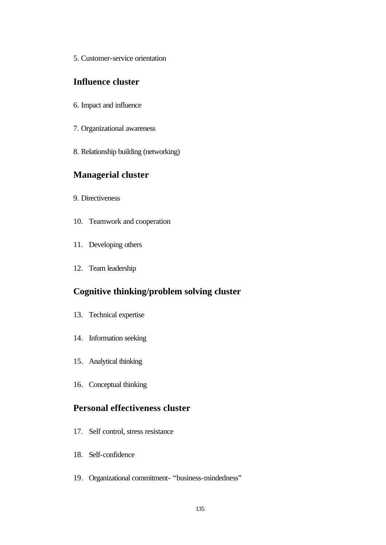5. Customer-service orientation

### **Influence cluster**

- 6. Impact and influence
- 7. Organizational awareness
- 8. Relationship building (networking)

## **Managerial cluster**

- 9. Directiveness
- 10. Teamwork and cooperation
- 11. Developing others
- 12. Team leadership

## **Cognitive thinking/problem solving cluster**

- 13. Technical expertise
- 14. Information seeking
- 15. Analytical thinking
- 16. Conceptual thinking

### **Personal effectiveness cluster**

- 17. Self control, stress resistance
- 18. Self-confidence
- 19. Organizational commitment- "business-mindedness"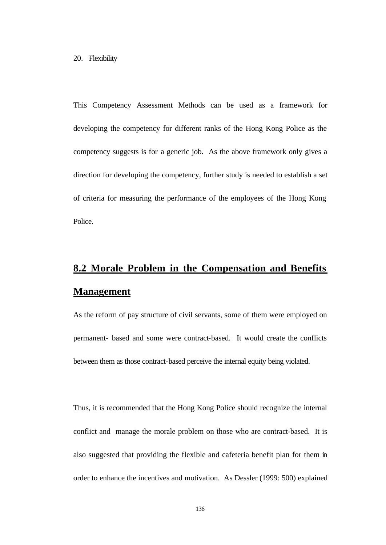This Competency Assessment Methods can be used as a framework for developing the competency for different ranks of the Hong Kong Police as the competency suggests is for a generic job. As the above framework only gives a direction for developing the competency, further study is needed to establish a set of criteria for measuring the performance of the employees of the Hong Kong Police.

# **8.2 Morale Problem in the Compensation and Benefits Management**

As the reform of pay structure of civil servants, some of them were employed on permanent- based and some were contract-based. It would create the conflicts between them as those contract-based perceive the internal equity being violated.

Thus, it is recommended that the Hong Kong Police should recognize the internal conflict and manage the morale problem on those who are contract-based. It is also suggested that providing the flexible and cafeteria benefit plan for them in order to enhance the incentives and motivation. As Dessler (1999: 500) explained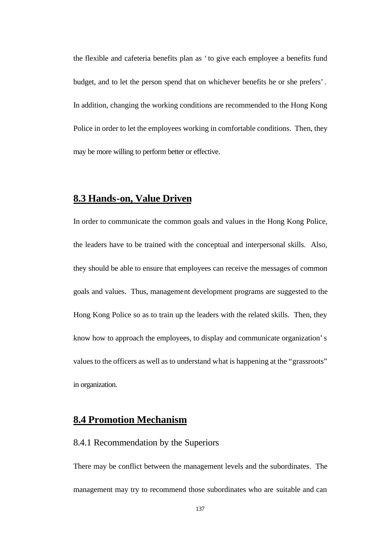the flexible and cafeteria benefits plan as 'to give each employee a benefits fund budget, and to let the person spend that on whichever benefits he or she prefers'. In addition, changing the working conditions are recommended to the Hong Kong Police in order to let the employees working in comfortable conditions. Then, they may be more willing to perform better or effective.

#### **8.3 Hands-on, Value Driven**

In order to communicate the common goals and values in the Hong Kong Police, the leaders have to be trained with the conceptual and interpersonal skills. Also, they should be able to ensure that employees can receive the messages of common goals and values. Thus, management development programs are suggested to the Hong Kong Police so as to train up the leaders with the related skills. Then, they know how to approach the employees, to display and communicate organization's values to the officers as well as to understand what is happening at the "grassroots" in organization.

#### **8.4 Promotion Mechanism**

#### 8.4.1 Recommendation by the Superiors

There may be conflict between the management levels and the subordinates. The management may try to recommend those subordinates who are suitable and can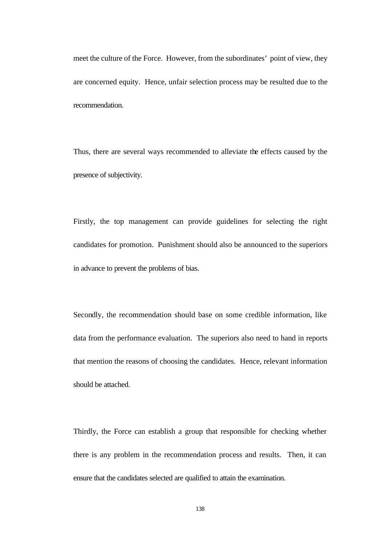meet the culture of the Force. However, from the subordinates' point of view, they are concerned equity. Hence, unfair selection process may be resulted due to the recommendation.

Thus, there are several ways recommended to alleviate the effects caused by the presence of subjectivity.

Firstly, the top management can provide guidelines for selecting the right candidates for promotion. Punishment should also be announced to the superiors in advance to prevent the problems of bias.

Secondly, the recommendation should base on some credible information, like data from the performance evaluation. The superiors also need to hand in reports that mention the reasons of choosing the candidates. Hence, relevant information should be attached.

Thirdly, the Force can establish a group that responsible for checking whether there is any problem in the recommendation process and results. Then, it can ensure that the candidates selected are qualified to attain the examination.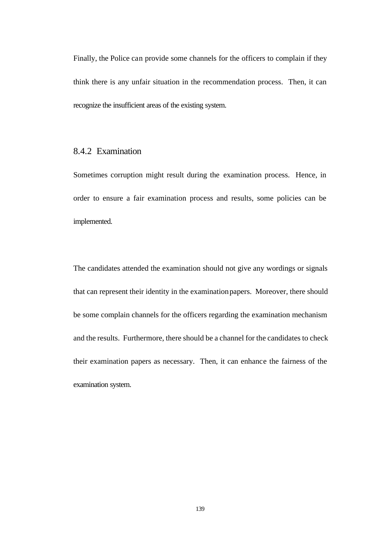Finally, the Police can provide some channels for the officers to complain if they think there is any unfair situation in the recommendation process. Then, it can recognize the insufficient areas of the existing system.

#### 8.4.2 Examination

Sometimes corruption might result during the examination process. Hence, in order to ensure a fair examination process and results, some policies can be implemented.

The candidates attended the examination should not give any wordings or signals that can represent their identity in the examination papers. Moreover, there should be some complain channels for the officers regarding the examination mechanism and the results. Furthermore, there should be a channel for the candidates to check their examination papers as necessary. Then, it can enhance the fairness of the examination system.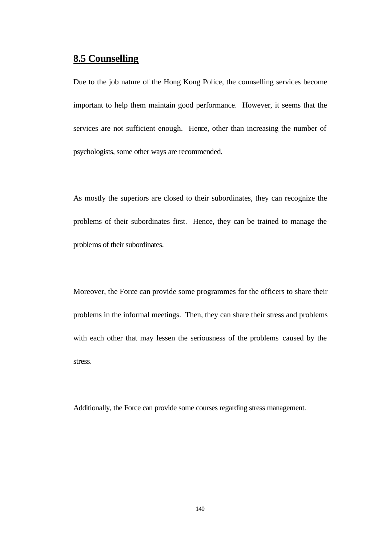## **8.5 Counselling**

Due to the job nature of the Hong Kong Police, the counselling services become important to help them maintain good performance. However, it seems that the services are not sufficient enough. Hence, other than increasing the number of psychologists, some other ways are recommended.

As mostly the superiors are closed to their subordinates, they can recognize the problems of their subordinates first. Hence, they can be trained to manage the problems of their subordinates.

Moreover, the Force can provide some programmes for the officers to share their problems in the informal meetings. Then, they can share their stress and problems with each other that may lessen the seriousness of the problems caused by the stress.

Additionally, the Force can provide some courses regarding stress management.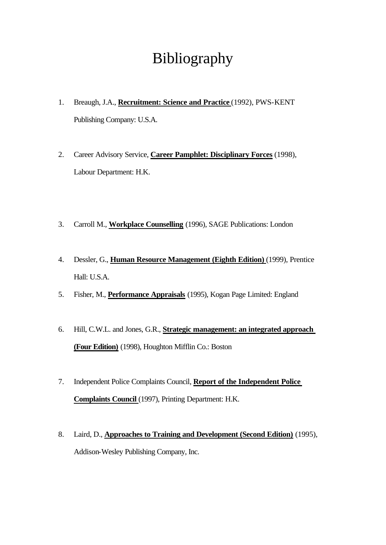# Bibliography

- 1. Breaugh, J.A., **Recruitment: Science and Practice** (1992), PWS-KENT Publishing Company: U.S.A.
- 2. Career Advisory Service, **Career Pamphlet: Disciplinary Forces** (1998), Labour Department: H.K.
- 3. Carroll M., **Workplace Counselling** (1996), SAGE Publications: London
- 4. Dessler, G., **Human Resource Management (Eighth Edition)** (1999), Prentice Hall: U.S.A.
- 5. Fisher, M., **Performance Appraisals** (1995), Kogan Page Limited: England
- 6. Hill, C.W.L. and Jones, G.R., **Strategic management: an integrated approach (Four Edition)** (1998), Houghton Mifflin Co.: Boston
- 7. Independent Police Complaints Council, **Report of the Independent Police Complaints Council** (1997), Printing Department: H.K.
- 8. Laird, D., **Approaches to Training and Development (Second Edition)** (1995), Addison-Wesley Publishing Company, Inc.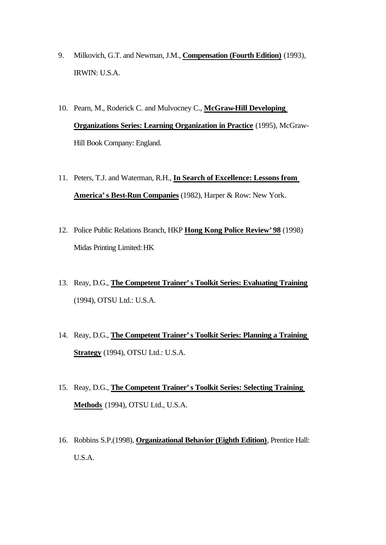- 9. Milkovich, G.T. and Newman, J.M., **Compensation (Fourth Edition)** (1993), IRWIN: U.S.A.
- 10. Pearn, M., Roderick C. and Mulvocney C., **McGraw-Hill Developing Organizations Series: Learning Organization in Practice** (1995), McGraw-Hill Book Company: England.
- 11. Peters, T.J. and Waterman, R.H., **In Search of Excellence: Lessons from America's Best-Run Companies** (1982), Harper & Row: New York.
- 12. Police Public Relations Branch, HKP **Hong Kong Police Review'98** (1998) Midas Printing Limited: HK
- 13. Reay, D.G., **The Competent Trainer's Toolkit Series: Evaluating Training** (1994), OTSU Ltd.: U.S.A.
- 14. Reay, D.G., **The Competent Trainer's Toolkit Series: Planning a Training Strategy** (1994), OTSU Ltd.: U.S.A.
- 15. Reay, D.G., **The Competent Trainer's Toolkit Series: Selecting Training Methods** (1994), OTSU Ltd., U.S.A.
- 16. Robbins S.P.(1998), **Organizational Behavior (Eighth Edition)**, Prentice Hall: U.S.A.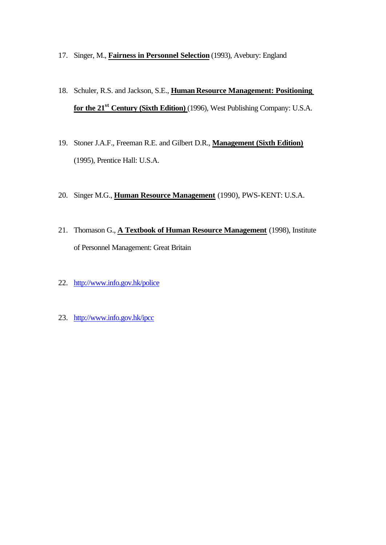- 17. Singer, M., **Fairness in Personnel Selection** (1993), Avebury: England
- 18. Schuler, R.S. and Jackson, S.E., **Human Resource Management: Positioning for the 21st Century (Sixth Edition)** (1996), West Publishing Company: U.S.A.
- 19. Stoner J.A.F., Freeman R.E. and Gilbert D.R., **Management (Sixth Edition)** (1995), Prentice Hall: U.S.A.
- 20. Singer M.G., **Human Resource Management** (1990), PWS-KENT: U.S.A.
- 21. Thomason G., **A Textbook of Human Resource Management** (1998), Institute of Personnel Management: Great Britain
- 22. http://www.info.gov.hk/police
- 23. http://www.info.gov.hk/ipcc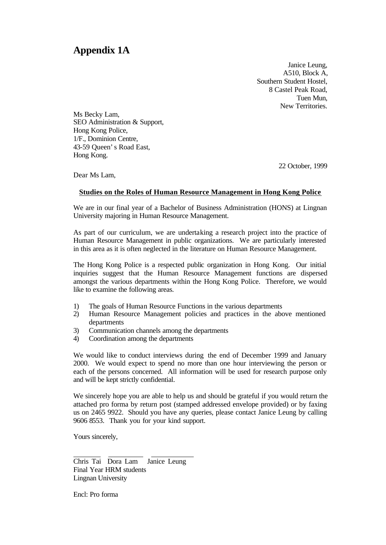# **Appendix 1A**

Janice Leung, A510, Block A, Southern Student Hostel, 8 Castel Peak Road, Tuen Mun, New Territories.

Ms Becky Lam, SEO Administration & Support, Hong Kong Police, 1/F., Dominion Centre, 43-59 Queen's Road East, Hong Kong.

22 October, 1999

Dear Ms Lam,

#### **Studies on the Roles of Human Resource Management in Hong Kong Police**

We are in our final year of a Bachelor of Business Administration (HONS) at Lingnan University majoring in Human Resource Management.

As part of our curriculum, we are undertaking a research project into the practice of Human Resource Management in public organizations. We are particularly interested in this area as it is often neglected in the literature on Human Resource Management.

The Hong Kong Police is a respected public organization in Hong Kong. Our initial inquiries suggest that the Human Resource Management functions are dispersed amongst the various departments within the Hong Kong Police. Therefore, we would like to examine the following areas.

- 1) The goals of Human Resource Functions in the various departments
- 2) Human Resource Management policies and practices in the above mentioned departments
- 3) Communication channels among the departments
- 4) Coordination among the departments

We would like to conduct interviews during the end of December 1999 and January 2000. We would expect to spend no more than one hour interviewing the person or each of the persons concerned. All information will be used for research purpose only and will be kept strictly confidential.

We sincerely hope you are able to help us and should be grateful if you would return the attached pro forma by return post (stamped addressed envelope provided) or by faxing us on 2465 9922. Should you have any queries, please contact Janice Leung by calling 9606 8553. Thank you for your kind support.

Yours sincerely,

l

Chris Tai Dora Lam Janice Leung Final Year HRM students Lingnan University

Encl: Pro forma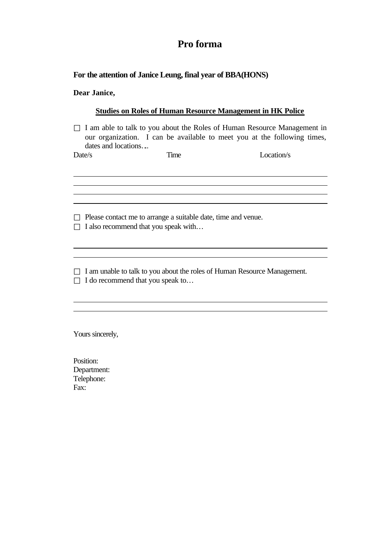# **Pro forma**

#### **For the attention of Janice Leung, final year of BBA(HONS)**

**Dear Janice,**

#### **Studies on Roles of Human Resource Management in HK Police**

I am able to talk to you about the Roles of Human Resource Management in our organization. I can be available to meet you at the following times, dates and locations….

 $\overline{a}$ 

 $\overline{a}$  $\overline{a}$ 

l l

l l

Date/s Time Location/s

Please contact me to arrange a suitable date, time and venue. I also recommend that you speak with…

I am unable to talk to you about the roles of Human Resource Management. I do recommend that you speak to…

Yours sincerely,

Position: Department: Telephone: Fax: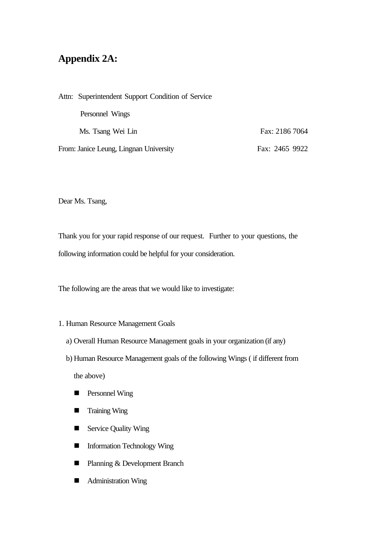# **Appendix 2A:**

| Attn: Superintendent Support Condition of Service |                |
|---------------------------------------------------|----------------|
| Personnel Wings                                   |                |
| Ms. Tsang Wei Lin                                 | Fax: 2186 7064 |
| From: Janice Leung, Lingnan University            | Fax: 2465 9922 |

Dear Ms. Tsang,

Thank you for your rapid response of our request. Further to your questions, the following information could be helpful for your consideration.

The following are the areas that we would like to investigate:

#### 1. Human Resource Management Goals

- a) Overall Human Resource Management goals in your organization (if any)
- b) Human Resource Management goals of the following Wings ( if different from

the above)

- **n** Personnel Wing
- Training Wing
- Service Quality Wing
- Information Technology Wing
- Planning & Development Branch
- Administration Wing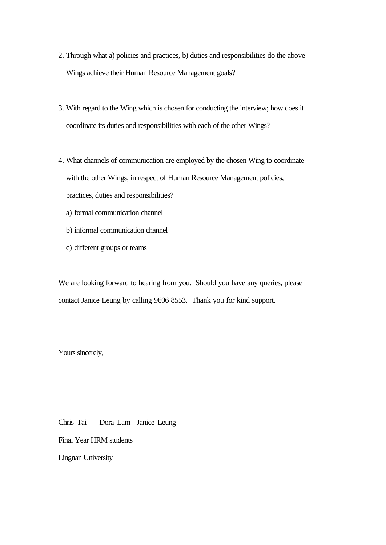- 2. Through what a) policies and practices, b) duties and responsibilities do the above Wings achieve their Human Resource Management goals?
- 3. With regard to the Wing which is chosen for conducting the interview; how does it coordinate its duties and responsibilities with each of the other Wings?
- 4. What channels of communication are employed by the chosen Wing to coordinate with the other Wings, in respect of Human Resource Management policies, practices, duties and responsibilities?
	- a) formal communication channel
	- b) informal communication channel
	- c) different groups or teams

We are looking forward to hearing from you. Should you have any queries, please contact Janice Leung by calling 9606 8553. Thank you for kind support.

Yours sincerely,

l

Chris Tai Dora Lam Janice Leung Final Year HRM students Lingnan University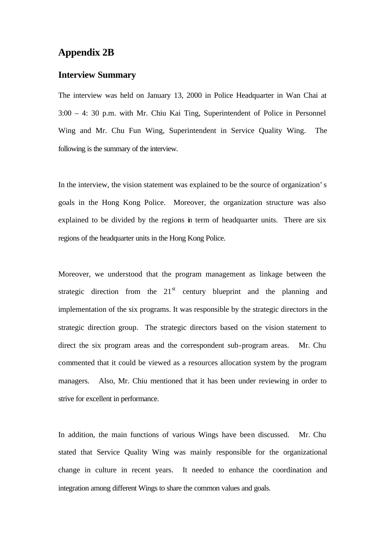## **Appendix 2B**

#### **Interview Summary**

The interview was held on January 13, 2000 in Police Headquarter in Wan Chai at 3:00 – 4: 30 p.m. with Mr. Chiu Kai Ting, Superintendent of Police in Personnel Wing and Mr. Chu Fun Wing, Superintendent in Service Quality Wing. The following is the summary of the interview.

In the interview, the vision statement was explained to be the source of organization's goals in the Hong Kong Police. Moreover, the organization structure was also explained to be divided by the regions in term of headquarter units. There are six regions of the headquarter units in the Hong Kong Police.

Moreover, we understood that the program management as linkage between the strategic direction from the  $21<sup>st</sup>$  century blueprint and the planning and implementation of the six programs. It was responsible by the strategic directors in the strategic direction group. The strategic directors based on the vision statement to direct the six program areas and the correspondent sub-program areas. Mr. Chu commented that it could be viewed as a resources allocation system by the program managers. Also, Mr. Chiu mentioned that it has been under reviewing in order to strive for excellent in performance.

In addition, the main functions of various Wings have been discussed. Mr. Chu stated that Service Quality Wing was mainly responsible for the organizational change in culture in recent years. It needed to enhance the coordination and integration among different Wings to share the common values and goals.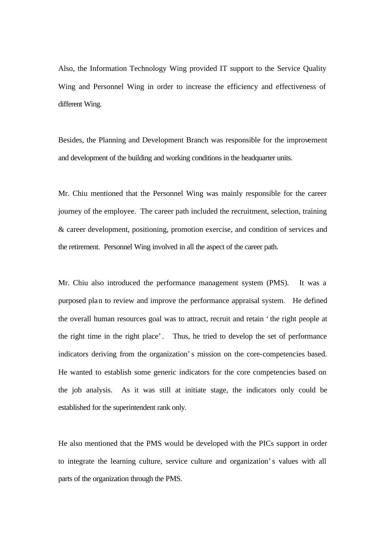Also, the Information Technology Wing provided IT support to the Service Quality Wing and Personnel Wing in order to increase the efficiency and effectiveness of different Wing.

Besides, the Planning and Development Branch was responsible for the improvement and development of the building and working conditions in the headquarter units.

Mr. Chiu mentioned that the Personnel Wing was mainly responsible for the career journey of the employee. The career path included the recruitment, selection, training & career development, positioning, promotion exercise, and condition of services and the retirement. Personnel Wing involved in all the aspect of the career path.

Mr. Chiu also introduced the performance management system (PMS). It was a purposed plan to review and improve the performance appraisal system. He defined the overall human resources goal was to attract, recruit and retain 'the right people at the right time in the right place'. Thus, he tried to develop the set of performance indicators deriving from the organization's mission on the core-competencies based. He wanted to establish some generic indicators for the core competencies based on the job analysis. As it was still at initiate stage, the indicators only could be established for the superintendent rank only.

He also mentioned that the PMS would be developed with the PICs support in order to integrate the learning culture, service culture and organization's values with all parts of the organization through the PMS.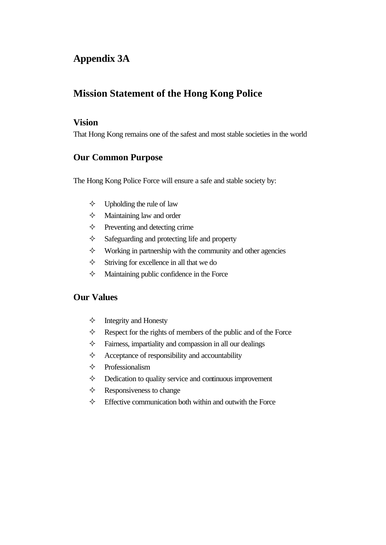# **Appendix 3A**

# **Mission Statement of the Hong Kong Police**

#### **Vision**

That Hong Kong remains one of the safest and most stable societies in the world

## **Our Common Purpose**

The Hong Kong Police Force will ensure a safe and stable society by:

- $\diamond$  Upholding the rule of law
- $\Diamond$  Maintaining law and order
- $\diamond$  Preventing and detecting crime
- $\Diamond$  Safeguarding and protecting life and property
- $\diamond$  Working in partnership with the community and other agencies
- $\Diamond$  Striving for excellence in all that we do
- $\Diamond$  Maintaining public confidence in the Force

### **Our Values**

- $\Diamond$  Integrity and Honesty
- $\Diamond$  Respect for the rights of members of the public and of the Force
- $\Diamond$  Fairness, impartiality and compassion in all our dealings
- $\Diamond$  Acceptance of responsibility and accountability
- $\Diamond$  Professionalism
- $\diamond$  Dedication to quality service and continuous improvement
- $\Diamond$  Responsiveness to change
- $\Diamond$  Effective communication both within and outwith the Force